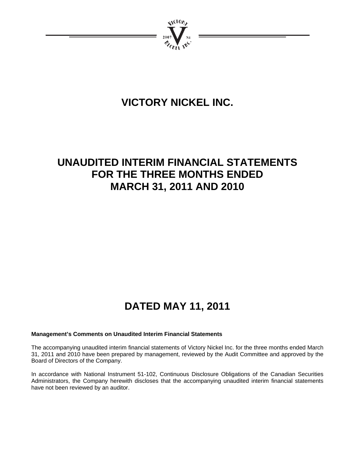

# **VICTORY NICKEL INC.**

# **UNAUDITED INTERIM FINANCIAL STATEMENTS FOR THE THREE MONTHS ENDED MARCH 31, 2011 AND 2010**

# **DATED MAY 11, 2011**

# **Management's Comments on Unaudited Interim Financial Statements**

The accompanying unaudited interim financial statements of Victory Nickel Inc. for the three months ended March 31, 2011 and 2010 have been prepared by management, reviewed by the Audit Committee and approved by the Board of Directors of the Company.

In accordance with National Instrument 51-102, Continuous Disclosure Obligations of the Canadian Securities Administrators, the Company herewith discloses that the accompanying unaudited interim financial statements have not been reviewed by an auditor.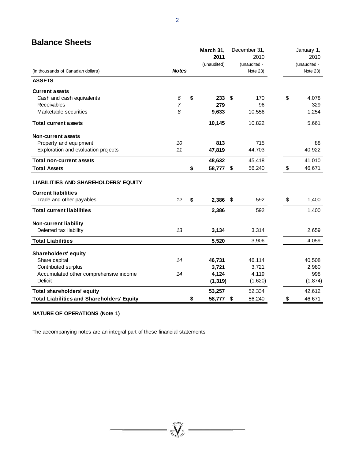# **Balance Sheets**

|                                                   |                | March 31,    | December 31, |       | January 1,   |
|---------------------------------------------------|----------------|--------------|--------------|-------|--------------|
|                                                   |                | 2011         | 2010         |       | 2010         |
|                                                   |                | (unaudited)  | (unaudited - |       | (unaudited - |
| (in thousands of Canadian dollars)                | <b>Notes</b>   |              | Note 23)     |       | Note 23)     |
| <b>ASSETS</b>                                     |                |              |              |       |              |
| <b>Current assets</b>                             |                |              |              |       |              |
| Cash and cash equivalents                         | 6              | \$<br>233    | \$<br>170    | \$    | 4,078        |
| Receivables                                       | $\overline{7}$ | 279          | 96           |       | 329          |
| Marketable securities                             | 8              | 9,633        | 10,556       |       | 1,254        |
| <b>Total current assets</b>                       |                | 10,145       | 10,822       |       | 5,661        |
| <b>Non-current assets</b>                         |                |              |              |       |              |
| Property and equipment                            | 10             | 813          | 715          |       | 88           |
| Exploration and evaluation projects               | 11             | 47,819       | 44,703       |       | 40,922       |
| <b>Total non-current assets</b>                   |                | 48,632       | 45,418       |       | 41,010       |
| <b>Total Assets</b>                               |                | \$<br>58,777 | \$<br>56,240 | \$    | 46,671       |
| <b>LIABILITIES AND SHAREHOLDERS' EQUITY</b>       |                |              |              |       |              |
| <b>Current liabilities</b>                        |                |              |              |       |              |
| Trade and other payables                          | 12             | \$<br>2,386  | \$<br>592    | \$    | 1,400        |
| <b>Total current liabilities</b>                  |                | 2,386        | 592          |       | 1,400        |
| <b>Non-current liability</b>                      |                |              |              |       |              |
| Deferred tax liability                            | 13             | 3,134        | 3,314        |       | 2,659        |
| <b>Total Liabilities</b>                          |                | 5,520        | 3,906        |       | 4,059        |
| <b>Shareholders' equity</b>                       |                |              |              |       |              |
| Share capital                                     | 14             | 46,731       | 46,114       |       | 40,508       |
| Contributed surplus                               |                | 3,721        | 3,721        |       | 2,980        |
| Accumulated other comprehensive income            | 14             | 4,124        | 4,119        |       | 998          |
| <b>Deficit</b>                                    |                | (1, 319)     | (1,620)      |       | (1, 874)     |
| <b>Total shareholders' equity</b>                 |                | 53,257       | 52,334       |       | 42,612       |
| <b>Total Liabilities and Shareholders' Equity</b> |                | \$<br>58,777 | \$<br>56,240 | $\$\$ | 46,671       |

=  $\sum_{n=1}^{\infty}$  =

 $\overline{\phantom{0}}$ 

# **NATURE OF OPERATIONS (Note 1)**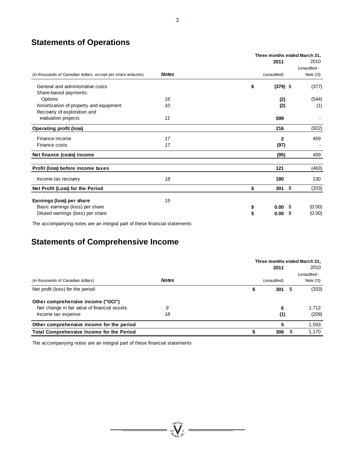# **Statements of Operations**

|                                                              |              | Three months ended March 31, |              |              |  |  |  |  |  |
|--------------------------------------------------------------|--------------|------------------------------|--------------|--------------|--|--|--|--|--|
|                                                              |              | 2011                         |              | 2010         |  |  |  |  |  |
|                                                              |              |                              |              | (unaudited - |  |  |  |  |  |
| (in thousands of Canadian dollars, except per share amounts) | <b>Notes</b> | (unaudited)                  |              | Note 23)     |  |  |  |  |  |
| General and administrative costs                             |              | \$                           | $(379)$ \$   | (377)        |  |  |  |  |  |
| Share-based payments:                                        |              |                              |              |              |  |  |  |  |  |
| Options                                                      | 16           |                              | (2)          | (544)        |  |  |  |  |  |
| Amortization of property and equipment                       | 10           |                              | (2)          | (1)          |  |  |  |  |  |
| Recovery of exploration and                                  |              |                              |              |              |  |  |  |  |  |
| evaluation projects                                          | 11           |                              | 599          |              |  |  |  |  |  |
| <b>Operating profit (loss)</b>                               |              |                              | 216          | (922)        |  |  |  |  |  |
| Finance income                                               | 17           |                              | $\mathbf{2}$ | 459          |  |  |  |  |  |
| Finance costs                                                | 17           |                              | (97)         |              |  |  |  |  |  |
| Net finance (costs) income                                   |              |                              | (95)         | 459          |  |  |  |  |  |
| Profit (loss) before income taxes                            |              |                              | 121          | (463)        |  |  |  |  |  |
| Income tax recovery                                          | 18           |                              | 180          | 130          |  |  |  |  |  |
| Net Profit (Loss) for the Period                             |              | \$                           | \$<br>301    | (333)        |  |  |  |  |  |
| Earnings (loss) per share                                    | 15           |                              |              |              |  |  |  |  |  |
| Basic earnings (loss) per share                              |              | \$                           | 0.00<br>\$   | (0.00)       |  |  |  |  |  |
| Diluted earnings (loss) per share                            |              | \$<br>0.00                   | \$           | (0.00)       |  |  |  |  |  |

The accompanying notes are an integral part of these financial statements

# **Statements of Comprehensive Income**

|                                                  |              |             |     | Three months ended March 31, |  |  |  |
|--------------------------------------------------|--------------|-------------|-----|------------------------------|--|--|--|
|                                                  |              | 2011        |     | 2010                         |  |  |  |
|                                                  |              |             |     | (unaudited -                 |  |  |  |
| (in thousands of Canadian dollars)               | <b>Notes</b> | (unaudited) |     | Note $23$ )                  |  |  |  |
| Net profit (loss) for the period                 |              | 301         |     | (333)                        |  |  |  |
| Other comprehensive income ("OCI")               |              |             |     |                              |  |  |  |
| Net change in fair value of financial assets     | 9            |             | 6   | 1,712                        |  |  |  |
| Income tax expense                               | 18           |             | (1) | (209)                        |  |  |  |
| Other comprehensive income for the period        |              |             | 5   | 1,503                        |  |  |  |
| <b>Total Comprehensive Income for the Period</b> |              | 306         |     | 1,170                        |  |  |  |

 $= \prod_{m,n=0}^{\infty} \sum_{m=0}^{\infty}$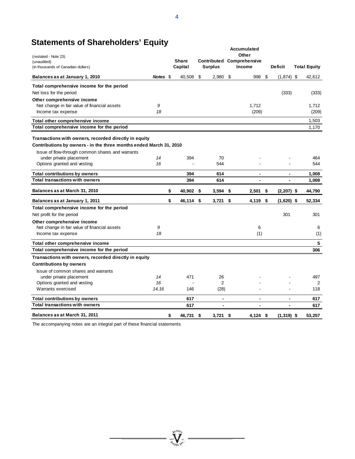| (restated - Note 23)                                               | Accumulated<br>Other |    |              |    |                          |    |                                  |      |                |  |                     |
|--------------------------------------------------------------------|----------------------|----|--------------|----|--------------------------|----|----------------------------------|------|----------------|--|---------------------|
| (unaudited)                                                        |                      |    | <b>Share</b> |    |                          |    | <b>Contributed Comprehensive</b> |      |                |  |                     |
| (in thousands of Canadian dollars)                                 |                      |    | Capital      |    | <b>Surplus</b>           |    | Income                           |      | <b>Deficit</b> |  | <b>Total Equity</b> |
| Balances as at January 1, 2010                                     | Notes \$             |    | 40,508       | \$ | 2,980                    | \$ | 998 \$                           |      | $(1,874)$ \$   |  | 42,612              |
| Total comprehensive income for the period                          |                      |    |              |    |                          |    |                                  |      |                |  |                     |
| Net loss for the period                                            |                      |    |              |    |                          |    |                                  |      | (333)          |  | (333)               |
| Other comprehensive income                                         |                      |    |              |    |                          |    |                                  |      |                |  |                     |
| Net change in fair value of financial assets                       | 9                    |    |              |    |                          |    | 1,712                            |      |                |  | 1,712               |
| Income tax expense                                                 | 18                   |    |              |    |                          |    | (209)                            |      |                |  | (209)               |
| Total other comprehensive income                                   |                      |    |              |    |                          |    |                                  |      |                |  | 1,503               |
| Total comprehensive income for the period                          |                      |    |              |    |                          |    |                                  |      |                |  | 1,170               |
| Transactions with owners, recorded directly in equity              |                      |    |              |    |                          |    |                                  |      |                |  |                     |
| Contributions by owners - in the three months ended March 31, 2010 |                      |    |              |    |                          |    |                                  |      |                |  |                     |
| Issue of flow-through common shares and warrants                   |                      |    |              |    |                          |    |                                  |      |                |  |                     |
| under private placement                                            | 14                   |    | 394          |    | 70                       |    |                                  |      |                |  | 464                 |
| Options granted and vesting                                        | 16                   |    |              |    | 544                      |    |                                  |      |                |  | 544                 |
| <b>Total contributions by owners</b>                               |                      |    | 394          |    | 614                      |    | $\blacksquare$                   |      | $\blacksquare$ |  | 1,008               |
| <b>Total transactions with owners</b>                              |                      |    | 394          |    | 614                      |    |                                  |      |                |  | 1,008               |
| Balances as at March 31, 2010                                      |                      | \$ | 40,902       | \$ | $3,594$ \$               |    | 2,501                            | - \$ | $(2,207)$ \$   |  | 44,790              |
| Balances as at January 1, 2011                                     |                      | \$ | 46,114 \$    |    | $3,721$ \$               |    | 4,119 \$                         |      | $(1,620)$ \$   |  | 52,334              |
| Total comprehensive income for the period                          |                      |    |              |    |                          |    |                                  |      |                |  |                     |
| Net profit for the period                                          |                      |    |              |    |                          |    |                                  |      | 301            |  | 301                 |
| Other comprehensive income                                         |                      |    |              |    |                          |    |                                  |      |                |  |                     |
| Net change in fair value of financial assets                       | 9                    |    |              |    |                          |    | 6                                |      |                |  | 6                   |
| Income tax expense                                                 | 18                   |    |              |    |                          |    | (1)                              |      |                |  | (1)                 |
| Total other comprehensive income                                   |                      |    |              |    |                          |    |                                  |      |                |  | 5                   |
| Total comprehensive income for the period                          |                      |    |              |    |                          |    |                                  |      |                |  | 306                 |
| Transactions with owners, recorded directly in equity              |                      |    |              |    |                          |    |                                  |      |                |  |                     |
| <b>Contributions by owners</b>                                     |                      |    |              |    |                          |    |                                  |      |                |  |                     |
| Issue of common shares and warrants                                |                      |    |              |    |                          |    |                                  |      |                |  |                     |
| under private placement                                            | 14                   |    | 471          |    | 26                       |    |                                  |      |                |  | 497                 |
| Options granted and vesting                                        | 16                   |    |              |    | $\overline{2}$           |    |                                  |      |                |  | 2                   |
| Warrants exercised                                                 | 14,16                |    | 146          |    | (28)                     |    |                                  |      |                |  | 118                 |
| <b>Total contributions by owners</b>                               |                      |    | 617          |    | $\overline{\phantom{a}}$ |    | -                                |      | $\blacksquare$ |  | 617                 |
| <b>Total transactions with owners</b>                              |                      |    | 617          |    |                          |    | $\blacksquare$                   |      |                |  | 617                 |
| Balances as at March 31, 2011                                      |                      | \$ | 46,731 \$    |    | 3.721                    | \$ | $4.124$ \$                       |      | $(1,319)$ \$   |  | 53.257              |

 $\sum_{\substack{\text{part }\\ \text{at } \text{all } \text{all } \\ \text{all } \text{all } \\ \text{all } \text{all } \\ \text{all } \text{all } \\ \text{all } \text{all } \\ \text{all } \text{all } \\ \text{all } \text{all } \\ \text{all } \text{all } \\ \text{all } \text{all } \\ \text{all } \text{all } \\ \text{all } \text{all } \\ \text{all } \\ \text{all } \\ \text{all } \\ \text{all } \\ \text{all } \\ \text{all } \\ \text{all } \\ \text{all } \\ \text{all } \\ \text{all } \\ \text{all } \\ \text{all } \\ \text{all } \\ \text{all$ 

# **Statements of Shareholders' Equity**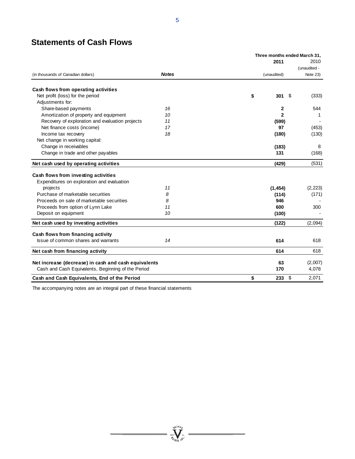# **Statements of Cash Flows**

|                                                      |              | Three months ended March 31, |                |              |  |
|------------------------------------------------------|--------------|------------------------------|----------------|--------------|--|
|                                                      |              | 2011                         |                | 2010         |  |
|                                                      |              |                              |                | (unaudited - |  |
| (in thousands of Canadian dollars)                   | <b>Notes</b> | (unaudited)                  |                | Note 23)     |  |
| Cash flows from operating activities                 |              |                              |                |              |  |
| Net profit (loss) for the period                     |              | \$                           | $301 \t$$      | (333)        |  |
| Adjustments for:                                     |              |                              |                |              |  |
| Share-based payments                                 | 16           |                              | $\mathbf{2}$   | 544          |  |
| Amortization of property and equipment               | 10           |                              | $\overline{2}$ | 1            |  |
| Recovery of exploration and evaluation projects      | 11           |                              | (599)          |              |  |
| Net finance costs (income)                           | 17           |                              | 97             | (453)        |  |
| Income tax recovery                                  | 18           |                              | (180)          | (130)        |  |
| Net change in working capital:                       |              |                              |                |              |  |
| Change in receivables                                |              |                              | (183)          | 8            |  |
| Change in trade and other payables                   |              |                              | 131            | (168)        |  |
| Net cash used by operating activities                |              |                              | (429)          | (531)        |  |
| Cash flows from investing activities                 |              |                              |                |              |  |
| Expenditures on exploration and evaluation           |              |                              |                |              |  |
| projects                                             | 11           | (1, 454)                     |                | (2, 223)     |  |
| Purchase of marketable securities                    | 8            |                              | (114)          | (171)        |  |
| Proceeds on sale of marketable securities            | 8            |                              | 946            |              |  |
| Proceeds from option of Lynn Lake                    | 11           |                              | 600            | 300          |  |
| Deposit on equipment                                 | 10           |                              | (100)          |              |  |
| Net cash used by investing activities                |              |                              | (122)          | (2,094)      |  |
| Cash flows from financing activity                   |              |                              |                |              |  |
| Issue of common shares and warrants                  | 14           |                              | 614            | 618          |  |
| Net cash from financing activity                     |              |                              | 614            | 618          |  |
| Net increase (decrease) in cash and cash equivalents |              |                              | 63             | (2,007)      |  |
| Cash and Cash Equivalents, Beginning of the Period   |              |                              | 170            | 4,078        |  |
| Cash and Cash Equivalents, End of the Period         |              | \$                           | -\$<br>233     | 2,071        |  |

 $\frac{1}{\sum_{\substack{\mathbf{y} \in \mathcal{W} \\ \mathbf{y} \in \mathcal{W} \\ \mathbf{y} \in \mathcal{W}^{\mathcal{W}}}} \cdot \mathbf{y} = \mathbf{y} \cdot \mathbf{y} \cdot \mathbf{y} \cdot \mathbf{y} \cdot \mathbf{y} \cdot \mathbf{y} \cdot \mathbf{y} \cdot \mathbf{y} \cdot \mathbf{y} \cdot \mathbf{y} \cdot \mathbf{y} \cdot \mathbf{y} \cdot \mathbf{y} \cdot \mathbf{y} \cdot \mathbf{y} \cdot \mathbf{y} \cdot \mathbf{y} \cdot \mathbf{y} \cdot \mathbf{$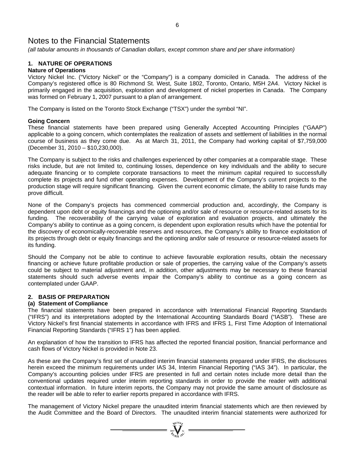*(all tabular amounts in thousands of Canadian dollars, except common share and per share information)* 

# **1. NATURE OF OPERATIONS**

### **Nature of Operations**

Victory Nickel Inc. ("Victory Nickel" or the "Company") is a company domiciled in Canada. The address of the Company's registered office is 80 Richmond St. West, Suite 1802, Toronto, Ontario, M5H 2A4. Victory Nickel is primarily engaged in the acquisition, exploration and development of nickel properties in Canada. The Company was formed on February 1, 2007 pursuant to a plan of arrangement.

The Company is listed on the Toronto Stock Exchange ("TSX") under the symbol "NI".

### **Going Concern**

These financial statements have been prepared using Generally Accepted Accounting Principles ("GAAP") applicable to a going concern, which contemplates the realization of assets and settlement of liabilities in the normal course of business as they come due. As at March 31, 2011, the Company had working capital of \$7,759,000 (December 31, 2010 – \$10,230,000).

The Company is subject to the risks and challenges experienced by other companies at a comparable stage. These risks include, but are not limited to, continuing losses, dependence on key individuals and the ability to secure adequate financing or to complete corporate transactions to meet the minimum capital required to successfully complete its projects and fund other operating expenses. Development of the Company's current projects to the production stage will require significant financing. Given the current economic climate, the ability to raise funds may prove difficult.

None of the Company's projects has commenced commercial production and, accordingly, the Company is dependent upon debt or equity financings and the optioning and/or sale of resource or resource-related assets for its funding. The recoverability of the carrying value of exploration and evaluation projects, and ultimately the Company's ability to continue as a going concern, is dependent upon exploration results which have the potential for the discovery of economically-recoverable reserves and resources, the Company's ability to finance exploitation of its projects through debt or equity financings and the optioning and/or sale of resource or resource-related assets for its funding.

Should the Company not be able to continue to achieve favourable exploration results, obtain the necessary financing or achieve future profitable production or sale of properties, the carrying value of the Company's assets could be subject to material adjustment and, in addition, other adjustments may be necessary to these financial statements should such adverse events impair the Company's ability to continue as a going concern as contemplated under GAAP.

# **2. BASIS OF PREPARATION**

### **(a) Statement of Compliance**

The financial statements have been prepared in accordance with International Financial Reporting Standards ("IFRS") and its interpretations adopted by the International Accounting Standards Board ("IASB"). These are Victory Nickel's first financial statements in accordance with IFRS and IFRS 1, First Time Adoption of International Financial Reporting Standards ("IFRS 1") has been applied.

An explanation of how the transition to IFRS has affected the reported financial position, financial performance and cash flows of Victory Nickel is provided in Note 23.

As these are the Company's first set of unaudited interim financial statements prepared under IFRS, the disclosures herein exceed the minimum requirements under IAS 34, Interim Financial Reporting ("IAS 34"). In particular, the Company's accounting policies under IFRS are presented in full and certain notes include more detail than the conventional updates required under interim reporting standards in order to provide the reader with additional contextual information. In future interim reports, the Company may not provide the same amount of disclosure as the reader will be able to refer to earlier reports prepared in accordance with IFRS.

The management of Victory Nickel prepare the unaudited interim financial statements which are then reviewed by the Audit Committee and the Board of Directors. The unaudited interim financial statements were authorized for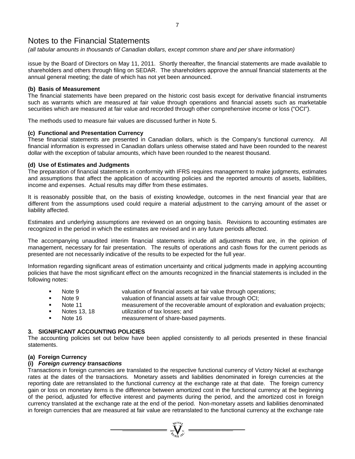*(all tabular amounts in thousands of Canadian dollars, except common share and per share information)* 

issue by the Board of Directors on May 11, 2011. Shortly thereafter, the financial statements are made available to shareholders and others through filing on SEDAR. The shareholders approve the annual financial statements at the annual general meeting; the date of which has not yet been announced.

### **(b) Basis of Measurement**

The financial statements have been prepared on the historic cost basis except for derivative financial instruments such as warrants which are measured at fair value through operations and financial assets such as marketable securities which are measured at fair value and recorded through other comprehensive income or loss ("OCI").

The methods used to measure fair values are discussed further in Note 5.

### **(c) Functional and Presentation Currency**

These financial statements are presented in Canadian dollars, which is the Company's functional currency. All financial information is expressed in Canadian dollars unless otherwise stated and have been rounded to the nearest dollar with the exception of tabular amounts, which have been rounded to the nearest thousand.

### **(d) Use of Estimates and Judgments**

The preparation of financial statements in conformity with IFRS requires management to make judgments, estimates and assumptions that affect the application of accounting policies and the reported amounts of assets, liabilities, income and expenses. Actual results may differ from these estimates.

It is reasonably possible that, on the basis of existing knowledge, outcomes in the next financial year that are different from the assumptions used could require a material adjustment to the carrying amount of the asset or liability affected.

Estimates and underlying assumptions are reviewed on an ongoing basis. Revisions to accounting estimates are recognized in the period in which the estimates are revised and in any future periods affected.

The accompanying unaudited interim financial statements include all adjustments that are, in the opinion of management, necessary for fair presentation. The results of operations and cash flows for the current periods as presented are not necessarily indicative of the results to be expected for the full year.

Information regarding significant areas of estimation uncertainty and critical judgments made in applying accounting policies that have the most significant effect on the amounts recognized in the financial statements is included in the following notes:

- Note 9 valuation of financial assets at fair value through operations;
- Note 9 valuation of financial assets at fair value through OCI;
- Note 11 measurement of the recoverable amount of exploration and evaluation projects;<br>Notes 13. 18 utilization of tax losses; and
- Notes 13, 18 utilization of tax losses; and
- Note 16 measurement of share-based payments.

# **3. SIGNIFICANT ACCOUNTING POLICIES**

The accounting policies set out below have been applied consistently to all periods presented in these financial statements.

# **(a) Foreign Currency**

### **(i)** *Foreign currency transactions*

Transactions in foreign currencies are translated to the respective functional currency of Victory Nickel at exchange rates at the dates of the transactions. Monetary assets and liabilities denominated in foreign currencies at the reporting date are retranslated to the functional currency at the exchange rate at that date. The foreign currency gain or loss on monetary items is the difference between amortized cost in the functional currency at the beginning of the period, adjusted for effective interest and payments during the period, and the amortized cost in foreign currency translated at the exchange rate at the end of the period. Non-monetary assets and liabilities denominated in foreign currencies that are measured at fair value are retranslated to the functional currency at the exchange rate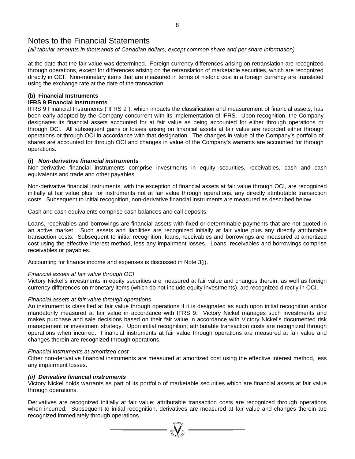*(all tabular amounts in thousands of Canadian dollars, except common share and per share information)* 

at the date that the fair value was determined. Foreign currency differences arising on retranslation are recognized through operations, except for differences arising on the retranslation of marketable securities, which are recognized directly in OCI. Non-monetary items that are measured in terms of historic cost in a foreign currency are translated using the exchange rate at the date of the transaction.

# **(b) Financial Instruments**

# **IFRS 9 Financial Instruments**

IFRS 9 Financial Instruments ("IFRS 9"), which impacts the classification and measurement of financial assets, has been early-adopted by the Company concurrent with its implementation of IFRS. Upon recognition, the Company designates its financial assets accounted for at fair value as being accounted for either through operations or through OCI. All subsequent gains or losses arising on financial assets at fair value are recorded either through operations or through OCI in accordance with that designation. The changes in value of the Company's portfolio of shares are accounted for through OCI and changes in value of the Company's warrants are accounted for through operations.

# **(i)** *Non-derivative financial instruments*

Non-derivative financial instruments comprise investments in equity securities, receivables, cash and cash equivalents and trade and other payables.

Non-derivative financial instruments, with the exception of financial assets at fair value through OCI, are recognized initially at fair value plus, for instruments not at fair value through operations, any directly attributable transaction costs. Subsequent to initial recognition, non-derivative financial instruments are measured as described below.

Cash and cash equivalents comprise cash balances and call deposits.

Loans, receivables and borrowings are financial assets with fixed or determinable payments that are not quoted in an active market. Such assets and liabilities are recognized initially at fair value plus any directly attributable transaction costs. Subsequent to initial recognition, loans, receivables and borrowings are measured at amortized cost using the effective interest method, less any impairment losses. Loans, receivables and borrowings comprise receivables or payables.

Accounting for finance income and expenses is discussed in Note 3(j).

# *Financial assets at fair value through OCI*

Victory Nickel's investments in equity securities are measured at fair value and changes therein, as well as foreign currency differences on monetary items (which do not include equity investments), are recognized directly in OCI.

# *Financial assets at fair value through operations*

An instrument is classified at fair value through operations if it is designated as such upon initial recognition and/or mandatorily measured at fair value in accordance with IFRS 9. Victory Nickel manages such investments and makes purchase and sale decisions based on their fair value in accordance with Victory Nickel's documented risk management or investment strategy. Upon initial recognition, attributable transaction costs are recognized through operations when incurred. Financial instruments at fair value through operations are measured at fair value and changes therein are recognized through operations.

### *Financial instruments at amortized cost*

Other non-derivative financial instruments are measured at amortized cost using the effective interest method, less any impairment losses.

### *(ii) Derivative financial instruments*

Victory Nickel holds warrants as part of its portfolio of marketable securities which are financial assets at fair value through operations.

Derivatives are recognized initially at fair value; attributable transaction costs are recognized through operations when incurred. Subsequent to initial recognition, derivatives are measured at fair value and changes therein are recognized immediately through operations.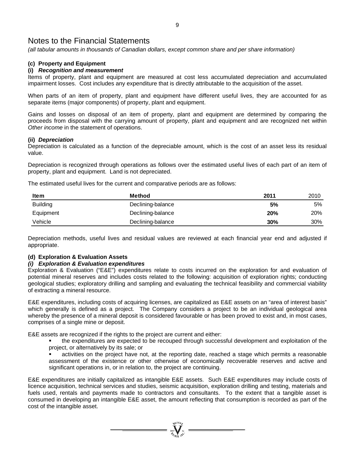*(all tabular amounts in thousands of Canadian dollars, except common share and per share information)* 

# **(c) Property and Equipment**

# **(i)** *Recognition and measurement*

Items of property, plant and equipment are measured at cost less accumulated depreciation and accumulated impairment losses. Cost includes any expenditure that is directly attributable to the acquisition of the asset.

When parts of an item of property, plant and equipment have different useful lives, they are accounted for as separate items (major components) of property, plant and equipment.

Gains and losses on disposal of an item of property, plant and equipment are determined by comparing the proceeds from disposal with the carrying amount of property, plant and equipment and are recognized net within *Other income* in the statement of operations.

### **(ii)** *Depreciation*

Depreciation is calculated as a function of the depreciable amount, which is the cost of an asset less its residual value.

Depreciation is recognized through operations as follows over the estimated useful lives of each part of an item of property, plant and equipment. Land is not depreciated.

The estimated useful lives for the current and comparative periods are as follows:

| <b>Item</b>     | Method            | 2011 | 2010       |
|-----------------|-------------------|------|------------|
| <b>Building</b> | Declining-balance | 5%   | 5%         |
| Equipment       | Declining-balance | 20%  | <b>20%</b> |
| Vehicle         | Declining-balance | 30%  | 30%        |

Depreciation methods, useful lives and residual values are reviewed at each financial year end and adjusted if appropriate.

# **(d) Exploration & Evaluation Assets**

### *(i) Exploration & Evaluation expenditures*

Exploration & Evaluation ("E&E") expenditures relate to costs incurred on the exploration for and evaluation of potential mineral reserves and includes costs related to the following: acquisition of exploration rights; conducting geological studies; exploratory drilling and sampling and evaluating the technical feasibility and commercial viability of extracting a mineral resource.

E&E expenditures, including costs of acquiring licenses, are capitalized as E&E assets on an "area of interest basis" which generally is defined as a project. The Company considers a project to be an individual geological area whereby the presence of a mineral deposit is considered favourable or has been proved to exist and, in most cases, comprises of a single mine or deposit.

E&E assets are recognized if the rights to the project are current and either:

- the expenditures are expected to be recouped through successful development and exploitation of the project, or alternatively by its sale; or
- activities on the project have not, at the reporting date, reached a stage which permits a reasonable assessment of the existence or other otherwise of economically recoverable reserves and active and significant operations in, or in relation to, the project are continuing.

E&E expenditures are initially capitalized as intangible E&E assets. Such E&E expenditures may include costs of licence acquisition, technical services and studies, seismic acquisition, exploration drilling and testing, materials and fuels used, rentals and payments made to contractors and consultants. To the extent that a tangible asset is consumed in developing an intangible E&E asset, the amount reflecting that consumption is recorded as part of the cost of the intangible asset.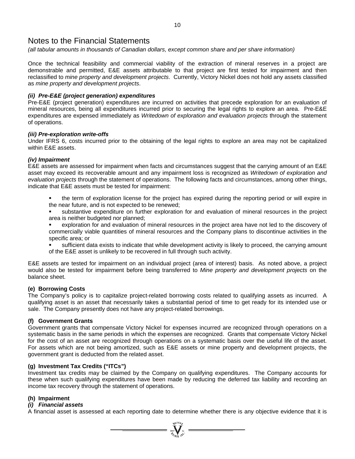*(all tabular amounts in thousands of Canadian dollars, except common share and per share information)* 

Once the technical feasibility and commercial viability of the extraction of mineral reserves in a project are demonstrable and permitted, E&E assets attributable to that project are first tested for impairment and then reclassified to *mine property and development projects*. Currently, Victory Nickel does not hold any assets classified as *mine property and development projects*.

### *(ii) Pre-E&E (project generation) expenditures*

Pre-E&E (project generation) expenditures are incurred on activities that precede exploration for an evaluation of mineral resources, being all expenditures incurred prior to securing the legal rights to explore an area. Pre-E&E expenditures are expensed immediately as *Writedown of exploration and evaluation projects* through the statement of operations.

### *(iii) Pre-exploration write-offs*

Under IFRS 6, costs incurred prior to the obtaining of the legal rights to explore an area may not be capitalized within E&E assets.

### *(iv) Impairment*

E&E assets are assessed for impairment when facts and circumstances suggest that the carrying amount of an E&E asset may exceed its recoverable amount and any impairment loss is recognized as *Writedown of exploration and evaluation projects* through the statement of operations. The following facts and circumstances, among other things, indicate that E&E assets must be tested for impairment:

- the term of exploration license for the project has expired during the reporting period or will expire in the near future, and is not expected to be renewed;
- substantive expenditure on further exploration for and evaluation of mineral resources in the project area is neither budgeted nor planned;
- exploration for and evaluation of mineral resources in the project area have not led to the discovery of commercially viable quantities of mineral resources and the Company plans to discontinue activities in the specific area; or
- sufficient data exists to indicate that while development activity is likely to proceed, the carrying amount of the E&E asset is unlikely to be recovered in full through such activity.

E&E assets are tested for impairment on an individual project (area of interest) basis. As noted above, a project would also be tested for impairment before being transferred to *Mine property and development projects* on the balance sheet.

### **(e) Borrowing Costs**

The Company's policy is to capitalize project-related borrowing costs related to qualifying assets as incurred. A qualifying asset is an asset that necessarily takes a substantial period of time to get ready for its intended use or sale. The Company presently does not have any project-related borrowings.

### **(f) Government Grants**

Government grants that compensate Victory Nickel for expenses incurred are recognized through operations on a systematic basis in the same periods in which the expenses are recognized. Grants that compensate Victory Nickel for the cost of an asset are recognized through operations on a systematic basis over the useful life of the asset. For assets which are not being amortized, such as E&E assets or mine property and development projects, the government grant is deducted from the related asset.

### **(g) Investment Tax Credits ("ITCs")**

Investment tax credits may be claimed by the Company on qualifying expenditures. The Company accounts for these when such qualifying expenditures have been made by reducing the deferred tax liability and recording an income tax recovery through the statement of operations.

### **(h) Impairment**

# *(i) Financial assets*

A financial asset is assessed at each reporting date to determine whether there is any objective evidence that it is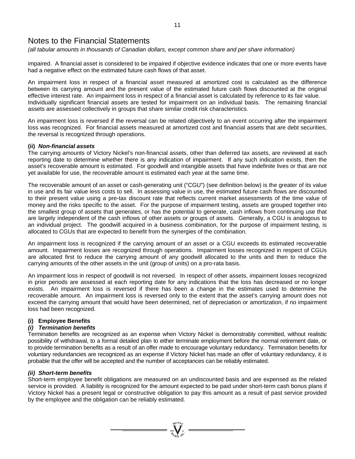*(all tabular amounts in thousands of Canadian dollars, except common share and per share information)* 

impaired. A financial asset is considered to be impaired if objective evidence indicates that one or more events have had a negative effect on the estimated future cash flows of that asset.

An impairment loss in respect of a financial asset measured at amortized cost is calculated as the difference between its carrying amount and the present value of the estimated future cash flows discounted at the original effective interest rate. An impairment loss in respect of a financial asset is calculated by reference to its fair value. Individually significant financial assets are tested for impairment on an individual basis. The remaining financial assets are assessed collectively in groups that share similar credit risk characteristics.

An impairment loss is reversed if the reversal can be related objectively to an event occurring after the impairment loss was recognized. For financial assets measured at amortized cost and financial assets that are debt securities, the reversal is recognized through operations.

### **(ii)** *Non-financial assets*

The carrying amounts of Victory Nickel's non-financial assets, other than deferred tax assets, are reviewed at each reporting date to determine whether there is any indication of impairment. If any such indication exists, then the asset's recoverable amount is estimated. For goodwill and intangible assets that have indefinite lives or that are not yet available for use, the recoverable amount is estimated each year at the same time.

The recoverable amount of an asset or cash-generating unit ("CGU") (see definition below) is the greater of its value in use and its fair value less costs to sell. In assessing value in use, the estimated future cash flows are discounted to their present value using a pre-tax discount rate that reflects current market assessments of the time value of money and the risks specific to the asset. For the purpose of impairment testing, assets are grouped together into the smallest group of assets that generates, or has the potential to generate, cash inflows from continuing use that are largely independent of the cash inflows of other assets or groups of assets. Generally, a CGU is analogous to an individual project. The goodwill acquired in a business combination, for the purpose of impairment testing, is allocated to CGUs that are expected to benefit from the synergies of the combination.

An impairment loss is recognized if the carrying amount of an asset or a CGU exceeds its estimated recoverable amount. Impairment losses are recognized through operations. Impairment losses recognized in respect of CGUs are allocated first to reduce the carrying amount of any goodwill allocated to the units and then to reduce the carrying amounts of the other assets in the unit (group of units) on a pro-rata basis.

An impairment loss in respect of goodwill is not reversed. In respect of other assets, impairment losses recognized in prior periods are assessed at each reporting date for any indications that the loss has decreased or no longer exists. An impairment loss is reversed if there has been a change in the estimates used to determine the recoverable amount. An impairment loss is reversed only to the extent that the asset's carrying amount does not exceed the carrying amount that would have been determined, net of depreciation or amortization, if no impairment loss had been recognized.

# **(i) Employee Benefits**

# *(i) Termination benefits*

Termination benefits are recognized as an expense when Victory Nickel is demonstrably committed, without realistic possibility of withdrawal, to a formal detailed plan to either terminate employment before the normal retirement date, or to provide termination benefits as a result of an offer made to encourage voluntary redundancy. Termination benefits for voluntary redundancies are recognized as an expense if Victory Nickel has made an offer of voluntary redundancy, it is probable that the offer will be accepted and the number of acceptances can be reliably estimated.

# *(ii) Short-term benefits*

Short-term employee benefit obligations are measured on an undiscounted basis and are expensed as the related service is provided. A liability is recognized for the amount expected to be paid under short-term cash bonus plans if Victory Nickel has a present legal or constructive obligation to pay this amount as a result of past service provided by the employee and the obligation can be reliably estimated.

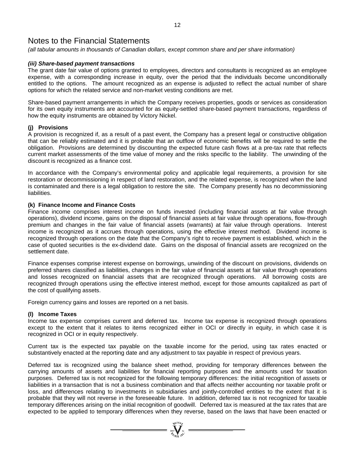*(all tabular amounts in thousands of Canadian dollars, except common share and per share information)* 

### *(iii) Share-based payment transactions*

The grant date fair value of options granted to employees, directors and consultants is recognized as an employee expense, with a corresponding increase in equity, over the period that the individuals become unconditionally entitled to the options. The amount recognized as an expense is adjusted to reflect the actual number of share options for which the related service and non-market vesting conditions are met.

Share-based payment arrangements in which the Company receives properties, goods or services as consideration for its own equity instruments are accounted for as equity-settled share-based payment transactions, regardless of how the equity instruments are obtained by Victory Nickel.

### **(j) Provisions**

A provision is recognized if, as a result of a past event, the Company has a present legal or constructive obligation that can be reliably estimated and it is probable that an outflow of economic benefits will be required to settle the obligation. Provisions are determined by discounting the expected future cash flows at a pre-tax rate that reflects current market assessments of the time value of money and the risks specific to the liability. The unwinding of the discount is recognized as a finance cost.

In accordance with the Company's environmental policy and applicable legal requirements, a provision for site restoration or decommissioning in respect of land restoration, and the related expense, is recognized when the land is contaminated and there is a legal obligation to restore the site. The Company presently has no decommissioning liabilities.

### **(k) Finance Income and Finance Costs**

Finance income comprises interest income on funds invested (including financial assets at fair value through operations), dividend income, gains on the disposal of financial assets at fair value through operations, flow-through premium and changes in the fair value of financial assets (warrants) at fair value through operations. Interest income is recognized as it accrues through operations, using the effective interest method. Dividend income is recognized through operations on the date that the Company's right to receive payment is established, which in the case of quoted securities is the ex-dividend date. Gains on the disposal of financial assets are recognized on the settlement date.

Finance expenses comprise interest expense on borrowings, unwinding of the discount on provisions, dividends on preferred shares classified as liabilities, changes in the fair value of financial assets at fair value through operations and losses recognized on financial assets that are recognized through operations. All borrowing costs are recognized through operations using the effective interest method, except for those amounts capitalized as part of the cost of qualifying assets.

Foreign currency gains and losses are reported on a net basis.

### **(l) Income Taxes**

Income tax expense comprises current and deferred tax. Income tax expense is recognized through operations except to the extent that it relates to items recognized either in OCI or directly in equity, in which case it is recognized in OCI or in equity respectively.

Current tax is the expected tax payable on the taxable income for the period, using tax rates enacted or substantively enacted at the reporting date and any adjustment to tax payable in respect of previous years.

Deferred tax is recognized using the balance sheet method, providing for temporary differences between the carrying amounts of assets and liabilities for financial reporting purposes and the amounts used for taxation purposes. Deferred tax is not recognized for the following temporary differences: the initial recognition of assets or liabilities in a transaction that is not a business combination and that affects neither accounting nor taxable profit or loss, and differences relating to investments in subsidiaries and jointly-controlled entities to the extent that it is probable that they will not reverse in the foreseeable future. In addition, deferred tax is not recognized for taxable temporary differences arising on the initial recognition of goodwill. Deferred tax is measured at the tax rates that are expected to be applied to temporary differences when they reverse, based on the laws that have been enacted or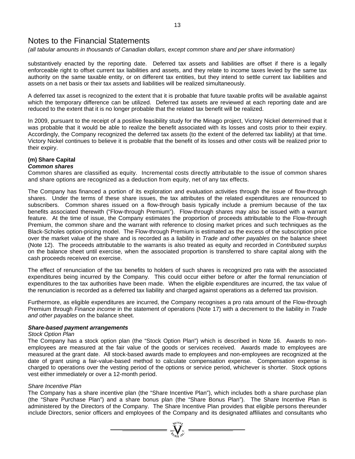*(all tabular amounts in thousands of Canadian dollars, except common share and per share information)* 

substantively enacted by the reporting date. Deferred tax assets and liabilities are offset if there is a legally enforceable right to offset current tax liabilities and assets, and they relate to income taxes levied by the same tax authority on the same taxable entity, or on different tax entities, but they intend to settle current tax liabilities and assets on a net basis or their tax assets and liabilities will be realized simultaneously.

A deferred tax asset is recognized to the extent that it is probable that future taxable profits will be available against which the temporary difference can be utilized. Deferred tax assets are reviewed at each reporting date and are reduced to the extent that it is no longer probable that the related tax benefit will be realized.

In 2009, pursuant to the receipt of a positive feasibility study for the Minago project, Victory Nickel determined that it was probable that it would be able to realize the benefit associated with its losses and costs prior to their expiry. Accordingly, the Company recognized the deferred tax assets (to the extent of the deferred tax liability) at that time. Victory Nickel continues to believe it is probable that the benefit of its losses and other costs will be realized prior to their expiry.

#### **(m) Share Capital**  *Common shares*

Common shares are classified as equity. Incremental costs directly attributable to the issue of common shares and share options are recognized as a deduction from equity, net of any tax effects.

The Company has financed a portion of its exploration and evaluation activities through the issue of flow-through shares. Under the terms of these share issues, the tax attributes of the related expenditures are renounced to subscribers. Common shares issued on a flow-through basis typically include a premium because of the tax benefits associated therewith ("Flow-through Premium"). Flow-through shares may also be issued with a warrant feature. At the time of issue, the Company estimates the proportion of proceeds attributable to the Flow-through Premium, the common share and the warrant with reference to closing market prices and such techniques as the Black-Scholes option-pricing model. The Flow-through Premium is estimated as the excess of the subscription price over the market value of the share and is recorded as a liability in *Trade and other payables* on the balance sheet (Note 12). The proceeds attributable to the warrants is also treated as equity and recorded in *Contributed surplus* on the balance sheet until exercise, when the associated proportion is transferred to share capital along with the cash proceeds received on exercise.

The effect of renunciation of the tax benefits to holders of such shares is recognized pro rata with the associated expenditures being incurred by the Company. This could occur either before or after the formal renunciation of expenditures to the tax authorities have been made. When the eligible expenditures are incurred, the tax value of the renunciation is recorded as a deferred tax liability and charged against operations as a deferred tax provision.

Furthermore, as eligible expenditures are incurred, the Company recognises a pro rata amount of the Flow-through Premium through *Finance income* in the statement of operations (Note 17) with a decrement to the liability in *Trade and other payables* on the balance sheet.

### *Share-based payment arrangements*

### *Stock Option Plan*

The Company has a stock option plan (the "Stock Option Plan") which is described in Note 16. Awards to nonemployees are measured at the fair value of the goods or services received. Awards made to employees are measured at the grant date. All stock-based awards made to employees and non-employees are recognized at the date of grant using a fair-value-based method to calculate compensation expense. Compensation expense is charged to operations over the vesting period of the options or service period, whichever is shorter. Stock options vest either immediately or over a 12-month period.

# *Share Incentive Plan*

The Company has a share incentive plan (the "Share Incentive Plan"), which includes both a share purchase plan (the "Share Purchase Plan") and a share bonus plan (the "Share Bonus Plan"). The Share Incentive Plan is administered by the Directors of the Company. The Share Incentive Plan provides that eligible persons thereunder include Directors, senior officers and employees of the Company and its designated affiliates and consultants who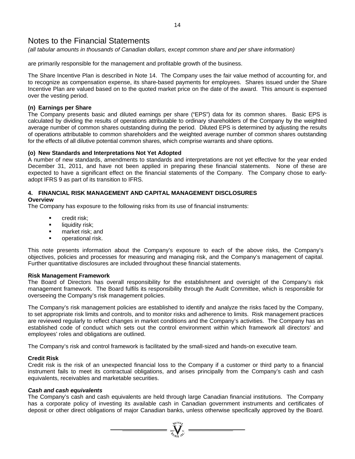*(all tabular amounts in thousands of Canadian dollars, except common share and per share information)* 

are primarily responsible for the management and profitable growth of the business.

The Share Incentive Plan is described in Note 14. The Company uses the fair value method of accounting for, and to recognize as compensation expense, its share-based payments for employees. Shares issued under the Share Incentive Plan are valued based on to the quoted market price on the date of the award. This amount is expensed over the vesting period.

### **(n) Earnings per Share**

The Company presents basic and diluted earnings per share ("EPS") data for its common shares. Basic EPS is calculated by dividing the results of operations attributable to ordinary shareholders of the Company by the weighted average number of common shares outstanding during the period. Diluted EPS is determined by adjusting the results of operations attributable to common shareholders and the weighted average number of common shares outstanding for the effects of all dilutive potential common shares, which comprise warrants and share options.

### **(o) New Standards and Interpretations Not Yet Adopted**

A number of new standards, amendments to standards and interpretations are not yet effective for the year ended December 31, 2011, and have not been applied in preparing these financial statements. None of these are expected to have a significant effect on the financial statements of the Company. The Company chose to earlyadopt IFRS 9 as part of its transition to IFRS.

# **4. FINANCIAL RISK MANAGEMENT AND CAPITAL MANAGEMENT DISCLOSURES**

# **Overview**

The Company has exposure to the following risks from its use of financial instruments:

- **•** credit risk:
- **E** liquidity risk:
- **n** market risk; and
- operational risk.

This note presents information about the Company's exposure to each of the above risks, the Company's objectives, policies and processes for measuring and managing risk, and the Company's management of capital. Further quantitative disclosures are included throughout these financial statements.

### **Risk Management Framework**

The Board of Directors has overall responsibility for the establishment and oversight of the Company's risk management framework. The Board fulfils its responsibility through the Audit Committee, which is responsible for overseeing the Company's risk management policies.

The Company's risk management policies are established to identify and analyze the risks faced by the Company, to set appropriate risk limits and controls, and to monitor risks and adherence to limits. Risk management practices are reviewed regularly to reflect changes in market conditions and the Company's activities. The Company has an established code of conduct which sets out the control environment within which framework all directors' and employees' roles and obligations are outlined.

The Company's risk and control framework is facilitated by the small-sized and hands-on executive team.

### **Credit Risk**

Credit risk is the risk of an unexpected financial loss to the Company if a customer or third party to a financial instrument fails to meet its contractual obligations, and arises principally from the Company's cash and cash equivalents, receivables and marketable securities.

### *Cash and cash equivalents*

The Company's cash and cash equivalents are held through large Canadian financial institutions. The Company has a corporate policy of investing its available cash in Canadian government instruments and certificates of deposit or other direct obligations of major Canadian banks, unless otherwise specifically approved by the Board.

 $\sum_{j_{\ell}\in\{0,1\}^n}^{\infty}$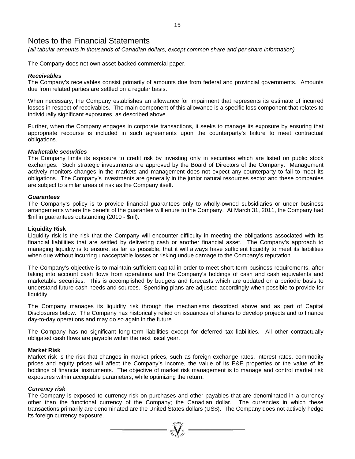*(all tabular amounts in thousands of Canadian dollars, except common share and per share information)* 

The Company does not own asset-backed commercial paper.

### *Receivables*

The Company's receivables consist primarily of amounts due from federal and provincial governments. Amounts due from related parties are settled on a regular basis.

When necessary, the Company establishes an allowance for impairment that represents its estimate of incurred losses in respect of receivables. The main component of this allowance is a specific loss component that relates to individually significant exposures, as described above.

Further, when the Company engages in corporate transactions, it seeks to manage its exposure by ensuring that appropriate recourse is included in such agreements upon the counterparty's failure to meet contractual obligations.

### *Marketable securities*

The Company limits its exposure to credit risk by investing only in securities which are listed on public stock exchanges. Such strategic investments are approved by the Board of Directors of the Company. Management actively monitors changes in the markets and management does not expect any counterparty to fail to meet its obligations. The Company's investments are generally in the junior natural resources sector and these companies are subject to similar areas of risk as the Company itself.

### *Guarantees*

The Company's policy is to provide financial guarantees only to wholly-owned subsidiaries or under business arrangements where the benefit of the guarantee will enure to the Company. At March 31, 2011, the Company had \$nil in guarantees outstanding (2010 - \$nil).

#### **Liquidity Risk**

Liquidity risk is the risk that the Company will encounter difficulty in meeting the obligations associated with its financial liabilities that are settled by delivering cash or another financial asset. The Company's approach to managing liquidity is to ensure, as far as possible, that it will always have sufficient liquidity to meet its liabilities when due without incurring unacceptable losses or risking undue damage to the Company's reputation.

The Company's objective is to maintain sufficient capital in order to meet short-term business requirements, after taking into account cash flows from operations and the Company's holdings of cash and cash equivalents and marketable securities. This is accomplished by budgets and forecasts which are updated on a periodic basis to understand future cash needs and sources. Spending plans are adjusted accordingly when possible to provide for liquidity.

The Company manages its liquidity risk through the mechanisms described above and as part of Capital Disclosures below. The Company has historically relied on issuances of shares to develop projects and to finance day-to-day operations and may do so again in the future.

The Company has no significant long-term liabilities except for deferred tax liabilities. All other contractually obligated cash flows are payable within the next fiscal year.

### **Market Risk**

Market risk is the risk that changes in market prices, such as foreign exchange rates, interest rates, commodity prices and equity prices will affect the Company's income, the value of its E&E properties or the value of its holdings of financial instruments. The objective of market risk management is to manage and control market risk exposures within acceptable parameters, while optimizing the return.

### *Currency risk*

The Company is exposed to currency risk on purchases and other payables that are denominated in a currency other than the functional currency of the Company; the Canadian dollar. The currencies in which these transactions primarily are denominated are the United States dollars (US\$). The Company does not actively hedge its foreign currency exposure.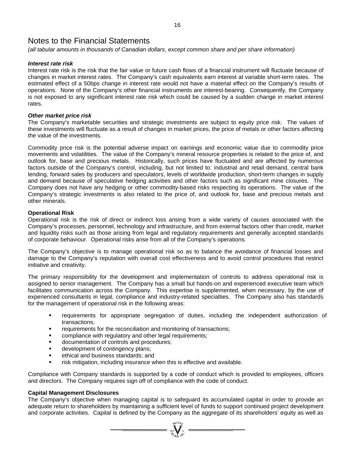*(all tabular amounts in thousands of Canadian dollars, except common share and per share information)* 

### *Interest rate risk*

Interest rate risk is the risk that the fair value or future cash flows of a financial instrument will fluctuate because of changes in market interest rates. The Company's cash equivalents earn interest at variable short-term rates. The estimated effect of a 50bps change in interest rate would not have a material effect on the Company's results of operations. None of the Company's other financial instruments are interest-bearing. Consequently, the Company is not exposed to any significant interest rate risk which could be caused by a sudden change in market interest rates.

### *Other market price risk*

The Company's marketable securities and strategic investments are subject to equity price risk. The values of these investments will fluctuate as a result of changes in market prices, the price of metals or other factors affecting the value of the investments.

Commodity price risk is the potential adverse impact on earnings and economic value due to commodity price movements and volatilities. The value of the Company's mineral resource properties is related to the price of, and outlook for, base and precious metals. Historically, such prices have fluctuated and are affected by numerous factors outside of the Company's control, including, but not limited to: industrial and retail demand, central bank lending, forward sales by producers and speculators, levels of worldwide production, short-term changes in supply and demand because of speculative hedging activities and other factors such as significant mine closures. The Company does not have any hedging or other commodity-based risks respecting its operations. The value of the Company's strategic investments is also related to the price of, and outlook for, base and precious metals and other minerals.

### **Operational Risk**

Operational risk is the risk of direct or indirect loss arising from a wide variety of causes associated with the Company's processes, personnel, technology and infrastructure, and from external factors other than credit, market and liquidity risks such as those arising from legal and regulatory requirements and generally accepted standards of corporate behaviour. Operational risks arise from all of the Company's operations.

The Company's objective is to manage operational risk so as to balance the avoidance of financial losses and damage to the Company's reputation with overall cost effectiveness and to avoid control procedures that restrict initiative and creativity.

The primary responsibility for the development and implementation of controls to address operational risk is assigned to senior management. The Company has a small but hands-on and experienced executive team which facilitates communication across the Company. This expertise is supplemented, when necessary, by the use of experienced consultants in legal, compliance and industry-related specialties. The Company also has standards for the management of operational risk in the following areas:

- requirements for appropriate segregation of duties, including the independent authorization of transactions;
- requirements for the reconciliation and monitoring of transactions;
- **EXEDENT** compliance with regulatory and other legal requirements;
- documentation of controls and procedures;
- **development of contingency plans:**
- **EXECUTE:** ethical and business standards; and
- **F** risk mitigation, including insurance when this is effective and available.

Compliance with Company standards is supported by a code of conduct which is provided to employees, officers and directors. The Company requires sign off of compliance with the code of conduct.

### **Capital Management Disclosures**

The Company's objective when managing capital is to safeguard its accumulated capital in order to provide an adequate return to shareholders by maintaining a sufficient level of funds to support continued project development and corporate activities. Capital is defined by the Company as the aggregate of its shareholders' equity as well as

 $\mathbf{V}$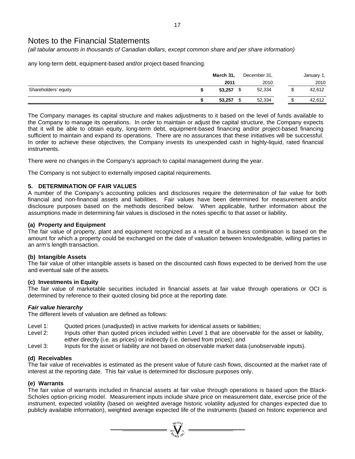*(all tabular amounts in thousands of Canadian dollars, except common share and per share information)* 

any long-term debt, equipment-based and/or project-based financing.

|                      | March 31, | December 31, |    | January 1, |
|----------------------|-----------|--------------|----|------------|
|                      | 2011      | 2010         |    | 2010       |
| Shareholders' equity | 53,257    | 52,334       | \$ | 42,612     |
|                      | 53,257    | 52,334       |    | 42,612     |

The Company manages its capital structure and makes adjustments to it based on the level of funds available to the Company to manage its operations. In order to maintain or adjust the capital structure, the Company expects that it will be able to obtain equity, long-term debt, equipment-based financing and/or project-based financing sufficient to maintain and expand its operations. There are no assurances that these initiatives will be successful. In order to achieve these objectives, the Company invests its unexpended cash in highly-liquid, rated financial instruments.

There were no changes in the Company's approach to capital management during the year.

The Company is not subject to externally imposed capital requirements.

# **5. DETERMINATION OF FAIR VALUES**

A number of the Company's accounting policies and disclosures require the determination of fair value for both financial and non-financial assets and liabilities. Fair values have been determined for measurement and/or disclosure purposes based on the methods described below. When applicable, further information about the assumptions made in determining fair values is disclosed in the notes specific to that asset or liability.

### **(a) Property and Equipment**

The fair value of property, plant and equipment recognized as a result of a business combination is based on the amount for which a property could be exchanged on the date of valuation between knowledgeable, willing parties in an arm's length transaction.

### **(b) Intangible Assets**

The fair value of other intangible assets is based on the discounted cash flows expected to be derived from the use and eventual sale of the assets.

### **(c) Investments in Equity**

The fair value of marketable securities included in financial assets at fair value through operations or OCI is determined by reference to their quoted closing bid price at the reporting date.

# *Fair value hierarchy*

The different levels of valuation are defined as follows:

- Level 1: Quoted prices (unadjusted) in active markets for identical assets or liabilities;
- Level 2: Inputs other than quoted prices included within Level 1 that are observable for the asset or liability, either directly (i.e. as prices) or indirectly (i.e. derived from prices); and
- Level 3: Inputs for the asset or liability are not based on observable market data (unobservable inputs).

### **(d) Receivables**

The fair value of receivables is estimated as the present value of future cash flows, discounted at the market rate of interest at the reporting date. This fair value is determined for disclosure purposes only.

### **(e) Warrants**

The fair value of warrants included in financial assets at fair value through operations is based upon the Black-Scholes option-pricing model. Measurement inputs include share price on measurement date, exercise price of the instrument, expected volatility (based on weighted average historic volatility adjusted for changes expected due to publicly available information), weighted average expected life of the instruments (based on historic experience and

 $\sum_{i=1}^{n}$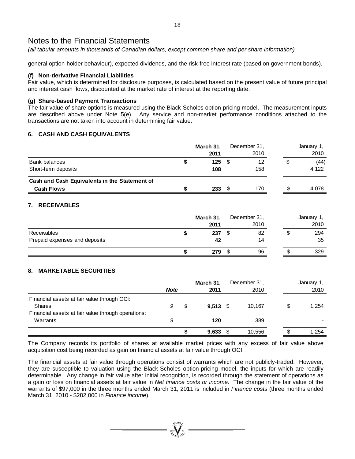*(all tabular amounts in thousands of Canadian dollars, except common share and per share information)* 

general option-holder behaviour), expected dividends, and the risk-free interest rate (based on government bonds).

### **(f) Non-derivative Financial Liabilities**

Fair value, which is determined for disclosure purposes, is calculated based on the present value of future principal and interest cash flows, discounted at the market rate of interest at the reporting date.

### **(g) Share-based Payment Transactions**

The fair value of share options is measured using the Black-Scholes option-pricing model. The measurement inputs are described above under Note 5(e). Any service and non-market performance conditions attached to the transactions are not taken into account in determining fair value.

# **6. CASH AND CASH EQUIVALENTS**

|                                                                    |  | March 31,<br>2011 |   | December 31,<br>2010 |   | January 1,<br>2010 |
|--------------------------------------------------------------------|--|-------------------|---|----------------------|---|--------------------|
| Bank balances<br>Short-term deposits                               |  | $125$ \$<br>108   |   | 12<br>158            | จ | (44)<br>4.122      |
| Cash and Cash Equivalents in the Statement of<br><b>Cash Flows</b> |  | 233               | S | 170                  | S | 4.078              |

# **7. RECEIVABLES**

|                               | March 31, |  | December 31, | January 1, |      |  |
|-------------------------------|-----------|--|--------------|------------|------|--|
|                               | 2011      |  | 2010         |            | 2010 |  |
| Receivables                   | 237       |  | 82           |            | 294  |  |
| Prepaid expenses and deposits | 42        |  | 14           |            | 35   |  |
|                               | 279       |  | 96           |            | 329  |  |

# **8. MARKETABLE SECURITIES**

|                                                                                                                    | <b>Note</b> | March 31,<br>2011 | December 31,<br>2010 |  | January 1,<br>2010 |
|--------------------------------------------------------------------------------------------------------------------|-------------|-------------------|----------------------|--|--------------------|
| Financial assets at fair value through OCI:<br><b>Shares</b><br>Financial assets at fair value through operations: | 9           | $9.513$ \$        | 10.167               |  | 1,254              |
| Warrants                                                                                                           | 9           | 120               | 389                  |  |                    |
|                                                                                                                    |             | 9,633             | 10,556               |  | 1.254              |

The Company records its portfolio of shares at available market prices with any excess of fair value above acquisition cost being recorded as gain on financial assets at fair value through OCI.

The financial assets at fair value through operations consist of warrants which are not publicly-traded. However, they are susceptible to valuation using the Black-Scholes option-pricing model, the inputs for which are readily determinable. Any change in fair value after initial recognition, is recorded through the statement of operations as a gain or loss on financial assets at fair value in *Net finance costs or income*. The change in the fair value of the warrants of \$97,000 in the three months ended March 31, 2011 is included in *Finance costs* (three months ended March 31, 2010 - \$282,000 in *Finance income*).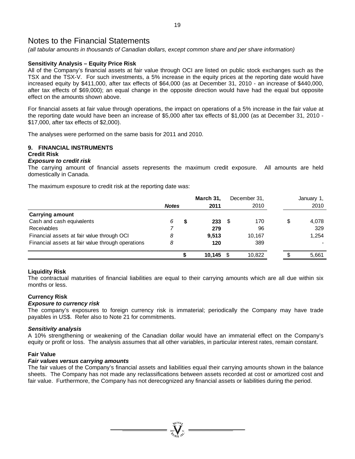*(all tabular amounts in thousands of Canadian dollars, except common share and per share information)* 

# **Sensitivity Analysis – Equity Price Risk**

All of the Company's financial assets at fair value through OCI are listed on public stock exchanges such as the TSX and the TSX-V. For such investments, a 5% increase in the equity prices at the reporting date would have increased equity by \$411,000, after tax effects of \$64,000 (as at December 31, 2010 - an increase of \$440,000, after tax effects of \$69,000); an equal change in the opposite direction would have had the equal but opposite effect on the amounts shown above.

For financial assets at fair value through operations, the impact on operations of a 5% increase in the fair value at the reporting date would have been an increase of \$5,000 after tax effects of \$1,000 (as at December 31, 2010 - \$17,000, after tax effects of \$2,000).

The analyses were performed on the same basis for 2011 and 2010.

# **9. FINANCIAL INSTRUMENTS**

# **Credit Risk**

#### *Exposure to credit risk*

The carrying amount of financial assets represents the maximum credit exposure. All amounts are held domestically in Canada.

The maximum exposure to credit risk at the reporting date was:

|                                                   |              |  | March 31, |     | December 31, | January 1, |  |
|---------------------------------------------------|--------------|--|-----------|-----|--------------|------------|--|
|                                                   | <b>Notes</b> |  | 2011      |     | 2010         | 2010       |  |
| <b>Carrying amount</b>                            |              |  |           |     |              |            |  |
| Cash and cash equivalents                         | 6            |  | 233       | - S | 170          | 4,078      |  |
| Receivables                                       |              |  | 279       |     | 96           | 329        |  |
| Financial assets at fair value through OCI        | 8            |  | 9.513     |     | 10,167       | 1,254      |  |
| Financial assets at fair value through operations | 8            |  | 120       |     | 389          |            |  |
|                                                   |              |  | 10.145    |     | 10,822       | 5,661      |  |

### **Liquidity Risk**

The contractual maturities of financial liabilities are equal to their carrying amounts which are all due within six months or less.

### **Currency Risk**

### *Exposure to currency risk*

The company's exposures to foreign currency risk is immaterial; periodically the Company may have trade payables in US\$. Refer also to Note 21 for commitments.

### *Sensitivity analysis*

A 10% strengthening or weakening of the Canadian dollar would have an immaterial effect on the Company's equity or profit or loss. The analysis assumes that all other variables, in particular interest rates, remain constant.

### **Fair Value**

### *Fair values versus carrying amounts*

The fair values of the Company's financial assets and liabilities equal their carrying amounts shown in the balance sheets. The Company has not made any reclassifications between assets recorded at cost or amortized cost and fair value. Furthermore, the Company has not derecognized any financial assets or liabilities during the period.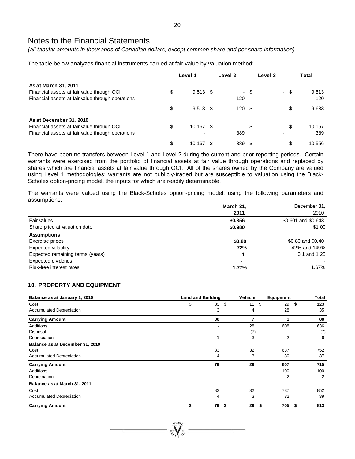*(all tabular amounts in thousands of Canadian dollars, except common share and per share information)* 

The table below analyzes financial instruments carried at fair value by valuation method:

|                                                   | Level 1 |            |    | Level <sub>2</sub> | Level 3 |                          | Total |        |
|---------------------------------------------------|---------|------------|----|--------------------|---------|--------------------------|-------|--------|
| As at March 31, 2011                              |         |            |    |                    |         |                          |       |        |
| Financial assets at fair value through OCI        | \$      | $9,513$ \$ |    |                    | - \$    |                          | - \$  | 9,513  |
| Financial assets at fair value through operations |         |            |    | 120                |         |                          |       | 120    |
|                                                   | \$.     | $9,513$ \$ |    | 120                | - \$    | $\overline{\phantom{0}}$ | \$    | 9,633  |
| As at December 31, 2010                           |         |            |    |                    |         |                          |       |        |
| Financial assets at fair value through OCI        | \$      | 10,167 \$  |    |                    | - \$    |                          | - \$  | 10.167 |
| Financial assets at fair value through operations |         |            |    | 389                |         |                          |       | 389    |
|                                                   |         | 10.167     | S. | 389                |         | ۰.                       |       | 10.556 |

There have been no transfers between Level 1 and Level 2 during the current and prior reporting periods. Certain warrants were exercised from the portfolio of financial assets at fair value through operations and replaced by shares which are financial assets at fair value through OCI. All of the shares owned by the Company are valued using Level 1 methodologies; warrants are not publicly-traded but are susceptible to valuation using the Black-Scholes option-pricing model, the inputs for which are readily determinable.

The warrants were valued using the Black-Scholes option-pricing model, using the following parameters and assumptions:

|                                  | March 31, | December 31.        |
|----------------------------------|-----------|---------------------|
|                                  | 2011      | 2010                |
| Fair values                      | \$0.356   | \$0.601 and \$0.643 |
| Share price at valuation date    | \$0.980   | \$1.00              |
| <b>Assumptions</b>               |           |                     |
| Exercise prices                  | \$0.80    | \$0.80 and \$0.40   |
| Expected volatility              | 72%       | 42% and 149%        |
| Expected remaining terms (years) | 1         | $0.1$ and $1.25$    |
| <b>Expected dividends</b>        |           |                     |
| Risk-free interest rates         | 1.77%     | 1.67%               |

### **10. PROPERTY AND EQUIPMENT**

| Balance as at January 1, 2010   | <b>Land and Building</b> |                | Vehicle        | Equipment | Total     |
|---------------------------------|--------------------------|----------------|----------------|-----------|-----------|
| Cost                            | \$                       | \$<br>83       | 11             | \$<br>29  | \$<br>123 |
| <b>Accumulated Depreciation</b> |                          | 3              | 4              | 28        | 35        |
| <b>Carrying Amount</b>          |                          | 80             | 7              |           | 88        |
| Additions                       |                          |                | 28             | 608       | 636       |
| Disposal                        |                          |                | (7)            |           | (7)       |
| Depreciation                    |                          | $\overline{A}$ | 3              | 2         | 6         |
| Balance as at December 31, 2010 |                          |                |                |           |           |
| Cost                            |                          | 83             | 32             | 637       | 752       |
| <b>Accumulated Depreciation</b> |                          | 4              | 3              | 30        | 37        |
| <b>Carrying Amount</b>          |                          | 79             | 29             | 607       | 715       |
| Additions                       |                          |                | $\blacksquare$ | 100       | 100       |
| Depreciation                    |                          |                | ٠              | 2         | 2         |
| Balance as at March 31, 2011    |                          |                |                |           |           |
| Cost                            |                          | 83             | 32             | 737       | 852       |
| Accumulated Depreciation        |                          | 4              | 3              | 32        | 39        |
| <b>Carrying Amount</b>          | \$                       | 79<br>\$       | 29             | 705<br>\$ | 813<br>\$ |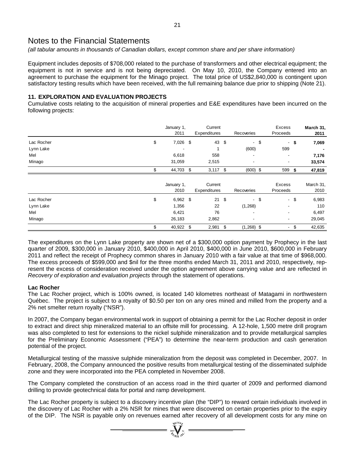*(all tabular amounts in thousands of Canadian dollars, except common share and per share information)* 

Equipment includes deposits of \$708,000 related to the purchase of transformers and other electrical equipment; the equipment is not in service and is not being depreciated. On May 10, 2010, the Company entered into an agreement to purchase the equipment for the Minago project. The total price of US\$2,840,000 is contingent upon satisfactory testing results which have been received, with the full remaining balance due prior to shipping (Note 21).

### **11. EXPLORATION AND EVALUATION PROJECTS**

Cumulative costs relating to the acquisition of mineral properties and E&E expenditures have been incurred on the following projects:

|            | January 1,<br>2011 | Current<br>Expenditures |      | Recoveries               |        | Excess<br>Proceeds       |     | March 31,<br>2011 |
|------------|--------------------|-------------------------|------|--------------------------|--------|--------------------------|-----|-------------------|
| Lac Rocher | \$<br>7,026 \$     | 43                      | \$   |                          | $-$ \$ | $\sim$                   | \$  | 7,069             |
| Lynn Lake  |                    |                         |      | (600)                    |        | 599                      |     |                   |
| Mel        | 6,618              | 558                     |      | $\overline{\phantom{a}}$ |        | $\overline{\phantom{a}}$ |     | 7,176             |
| Minago     | 31,059             | 2,515                   |      | $\overline{\phantom{a}}$ |        | $\overline{\phantom{a}}$ |     | 33,574            |
|            | \$<br>44,703 \$    | $3,117$ \$              |      | $(600)$ \$               |        | 599                      | -\$ | 47,819            |
|            |                    |                         |      |                          |        |                          |     |                   |
|            | January 1,<br>2010 | Current<br>Expenditures |      | Recoveries               |        | Excess<br>Proceeds       |     | March 31,<br>2010 |
| Lac Rocher | \$<br>$6,962$ \$   | $21 \quad $$            |      |                          | $-$ \$ | $\sim$                   | \$  | 6,983             |
| Lynn Lake  | 1,356              | 22                      |      | (1,268)                  |        |                          |     | 110               |
| Mel        | 6,421              | 76                      |      | $\overline{\phantom{a}}$ |        | $\blacksquare$           |     | 6,497             |
| Minago     | 26,183             | 2,862                   |      | $\overline{\phantom{a}}$ |        | $\overline{\phantom{a}}$ |     | 29,045            |
|            | \$<br>40,922 \$    | 2,981                   | - \$ | $(1,268)$ \$             |        | $\sim$                   | \$  | 42,635            |

The expenditures on the Lynn Lake property are shown net of a \$300,000 option payment by Prophecy in the last quarter of 2009, \$300,000 in January 2010, \$400,000 in April 2010, \$400,000 in June 2010, \$600,000 in February 2011 and reflect the receipt of Prophecy common shares in January 2010 with a fair value at that time of \$968,000. The excess proceeds of \$599,000 and \$nil for the three months ended March 31, 2011 and 2010, respectively, represent the excess of consideration received under the option agreement above carrying value and are reflected in *Recovery of exploration and evaluation projects* through the statement of operations.

### **Lac Rocher**

The Lac Rocher project, which is 100% owned, is located 140 kilometres northeast of Matagami in northwestern Québec. The project is subject to a royalty of \$0.50 per ton on any ores mined and milled from the property and a 2% net smelter return royalty ("NSR").

In 2007, the Company began environmental work in support of obtaining a permit for the Lac Rocher deposit in order to extract and direct ship mineralized material to an offsite mill for processing. A 12-hole, 1,500 metre drill program was also completed to test for extensions to the nickel sulphide mineralization and to provide metallurgical samples for the Preliminary Economic Assessment ("PEA") to determine the near-term production and cash generation potential of the project.

Metallurgical testing of the massive sulphide mineralization from the deposit was completed in December, 2007. In February, 2008, the Company announced the positive results from metallurgical testing of the disseminated sulphide zone and they were incorporated into the PEA completed in November 2008.

The Company completed the construction of an access road in the third quarter of 2009 and performed diamond drilling to provide geotechnical data for portal and ramp development.

The Lac Rocher property is subject to a discovery incentive plan (the "DIP") to reward certain individuals involved in the discovery of Lac Rocher with a 2% NSR for mines that were discovered on certain properties prior to the expiry of the DIP. The NSR is payable only on revenues earned after recovery of all development costs for any mine on

 $\mathbf{V}$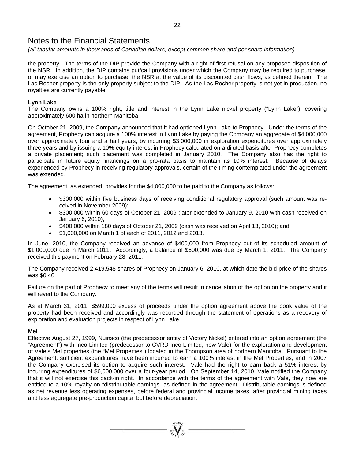*(all tabular amounts in thousands of Canadian dollars, except common share and per share information)* 

the property. The terms of the DIP provide the Company with a right of first refusal on any proposed disposition of the NSR. In addition, the DIP contains put/call provisions under which the Company may be required to purchase, or may exercise an option to purchase, the NSR at the value of its discounted cash flows, as defined therein. The Lac Rocher property is the only property subject to the DIP. As the Lac Rocher property is not yet in production, no royalties are currently payable.

### **Lynn Lake**

The Company owns a 100% right, title and interest in the Lynn Lake nickel property ("Lynn Lake"), covering approximately 600 ha in northern Manitoba.

On October 21, 2009, the Company announced that it had optioned Lynn Lake to Prophecy. Under the terms of the agreement, Prophecy can acquire a 100% interest in Lynn Lake by paying the Company an aggregate of \$4,000,000 over approximately four and a half years, by incurring \$3,000,000 in exploration expenditures over approximately three years and by issuing a 10% equity interest in Prophecy calculated on a diluted basis after Prophecy completes a private placement; such placement was completed in January 2010. The Company also has the right to participate in future equity financings on a pro-rata basis to maintain its 10% interest. Because of delays experienced by Prophecy in receiving regulatory approvals, certain of the timing contemplated under the agreement was extended.

The agreement, as extended, provides for the \$4,000,000 to be paid to the Company as follows:

- \$300,000 within five business days of receiving conditional regulatory approval (such amount was received in November 2009);
- \$300,000 within 60 days of October 21, 2009 (later extended to January 9, 2010 with cash received on January 6, 2010);
- \$400,000 within 180 days of October 21, 2009 (cash was received on April 13, 2010); and
- \$1,000,000 on March 1 of each of 2011, 2012 and 2013.

In June, 2010, the Company received an advance of \$400,000 from Prophecy out of its scheduled amount of \$1,000,000 due in March 2011. Accordingly, a balance of \$600,000 was due by March 1, 2011. The Company received this payment on February 28, 2011.

The Company received 2,419,548 shares of Prophecy on January 6, 2010, at which date the bid price of the shares was \$0.40.

Failure on the part of Prophecy to meet any of the terms will result in cancellation of the option on the property and it will revert to the Company.

As at March 31, 2011, \$599,000 excess of proceeds under the option agreement above the book value of the property had been received and accordingly was recorded through the statement of operations as a recovery of exploration and evaluation projects in respect of Lynn Lake.

### **Mel**

Effective August 27, 1999, Nuinsco (the predecessor entity of Victory Nickel) entered into an option agreement (the "Agreement") with Inco Limited (predecessor to CVRD Inco Limited, now Vale) for the exploration and development of Vale's Mel properties (the "Mel Properties") located in the Thompson area of northern Manitoba. Pursuant to the Agreement, sufficient expenditures have been incurred to earn a 100% interest in the Mel Properties, and in 2007 the Company exercised its option to acquire such interest. Vale had the right to earn back a 51% interest by incurring expenditures of \$6,000,000 over a four-year period. On September 14, 2010, Vale notified the Company that it will not exercise this back-in right. In accordance with the terms of the agreement with Vale, they now are entitled to a 10% royalty on "distributable earnings" as defined in the agreement. Distributable earnings is defined as net revenue less operating expenses, before federal and provincial income taxes, after provincial mining taxes and less aggregate pre-production capital but before depreciation.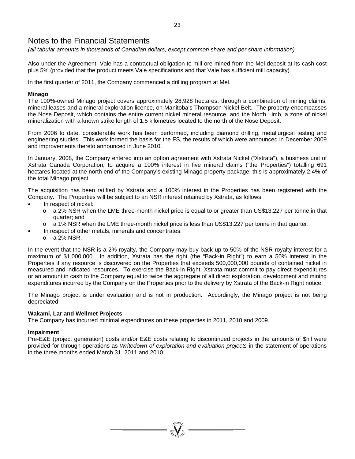*(all tabular amounts in thousands of Canadian dollars, except common share and per share information)* 

Also under the Agreement, Vale has a contractual obligation to mill ore mined from the Mel deposit at its cash cost plus 5% (provided that the product meets Vale specifications and that Vale has sufficient mill capacity).

In the first quarter of 2011, the Company commenced a drilling program at Mel.

# **Minago**

The 100%-owned Minago project covers approximately 28,928 hectares, through a combination of mining claims, mineral leases and a mineral exploration licence, on Manitoba's Thompson Nickel Belt. The property encompasses the Nose Deposit, which contains the entire current nickel mineral resource, and the North Limb, a zone of nickel mineralization with a known strike length of 1.5 kilometres located to the north of the Nose Deposit.

From 2006 to date, considerable work has been performed, including diamond drilling, metallurgical testing and engineering studies. This work formed the basis for the FS, the results of which were announced in December 2009 and improvements thereto announced in June 2010.

In January, 2008, the Company entered into an option agreement with Xstrata Nickel ("Xstrata"), a business unit of Xstrata Canada Corporation, to acquire a 100% interest in five mineral claims ("the Properties") totalling 691 hectares located at the north end of the Company's existing Minago property package; this is approximately 2.4% of the total Minago project.

The acquisition has been ratified by Xstrata and a 100% interest in the Properties has been registered with the Company. The Properties will be subject to an NSR interest retained by Xstrata, as follows:

- In respect of nickel:
	- o a 2% NSR when the LME three-month nickel price is equal to or greater than US\$13,227 per tonne in that quarter; and
	- o a 1% NSR when the LME three-month nickel price is less than US\$13,227 per tonne in that quarter.
	- In respect of other metals, minerals and concentrates:
		- o a 2% NSR.

In the event that the NSR is a 2% royalty, the Company may buy back up to 50% of the NSR royalty interest for a maximum of \$1,000,000. In addition, Xstrata has the right (the "Back-in Right") to earn a 50% interest in the Properties if any resource is discovered on the Properties that exceeds 500,000,000 pounds of contained nickel in measured and indicated resources. To exercise the Back-in Right, Xstrata must commit to pay direct expenditures or an amount in cash to the Company equal to twice the aggregate of all direct exploration, development and mining expenditures incurred by the Company on the Properties prior to the delivery by Xstrata of the Back-in Right notice.

The Minago project is under evaluation and is not in production. Accordingly, the Minago project is not being depreciated.

# **Wakami, Lar and Wellmet Projects**

The Company has incurred minimal expenditures on these properties in 2011, 2010 and 2009.

### **Impairment**

Pre-E&E (project generation) costs and/or E&E costs relating to discontinued projects in the amounts of \$nil were provided for through operations as *Writedown of exploration and evaluation projects* in the statement of operations in the three months ended March 31, 2011 and 2010.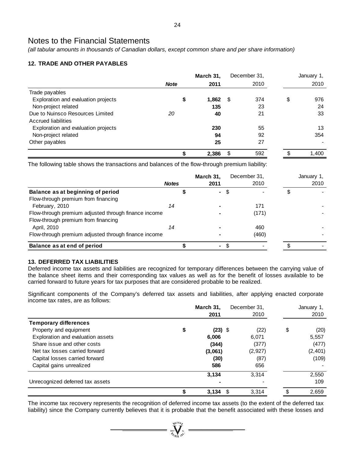*(all tabular amounts in thousands of Canadian dollars, except common share and per share information)* 

# **12. TRADE AND OTHER PAYABLES**

|                                     |             | March 31, | December 31, | January 1,  |
|-------------------------------------|-------------|-----------|--------------|-------------|
|                                     | <b>Note</b> | 2011      | 2010         | 2010        |
| Trade payables                      |             |           |              |             |
| Exploration and evaluation projects | \$          | 1,862     | \$<br>374    | \$<br>976   |
| Non-project related                 |             | 135       | 23           | 24          |
| Due to Nuinsco Resources Limited    | 20          | 40        | 21           | 33          |
| Accrued liabilities                 |             |           |              |             |
| Exploration and evaluation projects |             | 230       | 55           | 13          |
| Non-project related                 |             | 94        | 92           | 354         |
| Other payables                      |             | 25        | 27           |             |
|                                     |             | 2,386     | \$<br>592    | \$<br>1.400 |

The following table shows the transactions and balances of the flow-through premium liability:

|                                                      | <b>Notes</b> | March 31,<br>2011 | December 31,<br>2010 | January 1,<br>2010 |
|------------------------------------------------------|--------------|-------------------|----------------------|--------------------|
| Balance as at beginning of period                    |              | $\mathbf{r}$      |                      |                    |
| Flow-through premium from financing                  |              |                   |                      |                    |
| February, 2010                                       | 14           |                   | 171                  |                    |
| Flow-through premium adjusted through finance income |              |                   | (171)                |                    |
| Flow-through premium from financing                  |              |                   |                      |                    |
| April, 2010                                          | 14           |                   | 460                  |                    |
| Flow-through premium adjusted through finance income |              |                   | (460)                |                    |
| Balance as at end of period                          |              | ۰.                |                      |                    |

# **13. DEFERRED TAX LIABILITIES**

Deferred income tax assets and liabilities are recognized for temporary differences between the carrying value of the balance sheet items and their corresponding tax values as well as for the benefit of losses available to be carried forward to future years for tax purposes that are considered probable to be realized.

Significant components of the Company's deferred tax assets and liabilities, after applying enacted corporate income tax rates, are as follows:

|                                   | March 31,       | December 31, |    | January 1, |
|-----------------------------------|-----------------|--------------|----|------------|
|                                   | 2011            | 2010         |    | 2010       |
| <b>Temporary differences</b>      |                 |              |    |            |
| Property and equipment            | \$<br>$(23)$ \$ | (22)         | \$ | (20)       |
| Exploration and evaluation assets | 6,006           | 6,071        |    | 5,557      |
| Share issue and other costs       | (344)           | (377)        |    | (477)      |
| Net tax losses carried forward    | (3,061)         | (2,927)      |    | (2, 401)   |
| Capital losses carried forward    | (30)            | (87)         |    | (109)      |
| Capital gains unrealized          | 586             | 656          |    |            |
|                                   | 3,134           | 3,314        |    | 2,550      |
| Unrecognized deferred tax assets  |                 |              |    | 109        |
|                                   | 3,134           | 3.314        | S. | 2,659      |

The income tax recovery represents the recognition of deferred income tax assets (to the extent of the deferred tax liability) since the Company currently believes that it is probable that the benefit associated with these losses and

 $\sum_{\substack{m=1\\ \text{all } m}}^{\text{Nefion}}$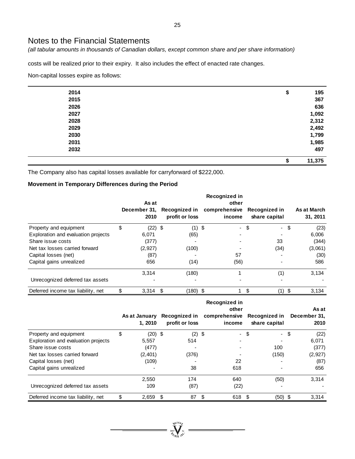*(all tabular amounts in thousands of Canadian dollars, except common share and per share information)* 

costs will be realized prior to their expiry. It also includes the effect of enacted rate changes.

Non-capital losses expire as follows:

| 2014 | \$     | 195    |
|------|--------|--------|
| 2015 |        | 367    |
| 2026 |        | 636    |
| 2027 |        | 1,092  |
| 2028 |        | 2,312  |
| 2029 |        | 2,492  |
| 2030 |        | 1,799  |
| 2031 |        | 1,985  |
| 2032 |        | 497    |
|      | œ<br>₽ | 11,375 |

The Company also has capital losses available for carryforward of \$222,000.

# **Movement in Temporary Differences during the Period**

|                                     | As at<br>December 31.<br>2010 |      | <b>Recognized in</b><br>profit or loss | Recognized in<br>other<br>comprehensive<br>income | Recognized in<br>share capital |     | As at March<br>31, 2011 |
|-------------------------------------|-------------------------------|------|----------------------------------------|---------------------------------------------------|--------------------------------|-----|-------------------------|
| Property and equipment              | \$<br>$(22)$ \$               |      | $(1)$ \$                               | - \$                                              | - \$                           |     | (23)                    |
| Exploration and evaluation projects | 6.071                         |      | (65)                                   |                                                   |                                |     | 6,006                   |
| Share issue costs                   | (377)                         |      |                                        |                                                   | 33                             |     | (344)                   |
| Net tax losses carried forward      | (2,927)                       |      | (100)                                  |                                                   | (34)                           |     | (3,061)                 |
| Capital losses (net)                | (87)                          |      |                                        | 57                                                |                                |     | (30)                    |
| Capital gains unrealized            | 656                           |      | (14)                                   | (56)                                              |                                |     | 586                     |
|                                     | 3.314                         |      | (180)                                  |                                                   | (1)                            |     | 3.134                   |
| Unrecognized deferred tax assets    |                               |      |                                        |                                                   |                                |     |                         |
| Deferred income tax liability, net  | \$<br>3,314                   | - \$ | (180) \$                               | 1.                                                | \$<br>(1)                      | -\$ | 3.134                   |

|                                     | 1.2010          | As at January Recognized in<br>profit or loss | Recognized in<br>other<br>comprehensive Recognized in<br>income |      | share capital |      | As at<br>December 31.<br>2010 |
|-------------------------------------|-----------------|-----------------------------------------------|-----------------------------------------------------------------|------|---------------|------|-------------------------------|
| Property and equipment              | \$<br>$(20)$ \$ | $(2)$ \$                                      |                                                                 | - \$ | - \$          |      | (22)                          |
| Exploration and evaluation projects | 5,557           | 514                                           |                                                                 |      |               |      | 6,071                         |
| Share issue costs                   | (477)           |                                               |                                                                 |      | 100           |      | (377)                         |
| Net tax losses carried forward      | (2,401)         | (376)                                         |                                                                 |      | (150)         |      | (2,927)                       |
| Capital losses (net)                | (109)           |                                               | 22                                                              |      |               |      | (87)                          |
| Capital gains unrealized            |                 | 38                                            | 618                                                             |      |               |      | 656                           |
|                                     | 2,550           | 174                                           | 640                                                             |      | (50)          |      | 3,314                         |
| Unrecognized deferred tax assets    | 109             | (87)                                          | (22)                                                            |      |               |      |                               |
| Deferred income tax liability, net  | 2,659           | \$<br>87                                      | \$<br>618                                                       | \$.  | (50)          | - \$ | 3,314                         |

**Welling**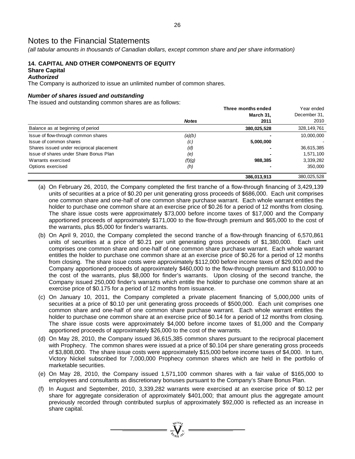*(all tabular amounts in thousands of Canadian dollars, except common share and per share information)* 

# **14. CAPITAL AND OTHER COMPONENTS OF EQUITY Share Capital**

#### *Authorized*

The Company is authorized to issue an unlimited number of common shares.

### *Number of shares issued and outstanding*

The issued and outstanding common shares are as follows:

|                                          |              | Three months ended | Year ended    |
|------------------------------------------|--------------|--------------------|---------------|
|                                          |              | March 31,          | December 31,  |
|                                          | <b>Notes</b> | 2011               | 2010          |
| Balance as at beginning of period        |              | 380,025,528        | 328, 149, 761 |
| Issue of flow-through common shares      | (a)(b)       |                    | 10,000,000    |
| Issue of common shares                   | (c)          | 5,000,000          |               |
| Shares issued under reciprocal placement | (d)          |                    | 36,615,385    |
| Issue of shares under Share Bonus Plan   | (e)          |                    | 1,571,100     |
| Warrants exercised                       | (f)(g)       | 988,385            | 3,339,282     |
| Options exercised                        | (h)          |                    | 350,000       |
|                                          |              | 386,013,913        | 380,025,528   |

- (a) On February 26, 2010, the Company completed the first tranche of a flow-through financing of 3,429,139 units of securities at a price of \$0.20 per unit generating gross proceeds of \$686,000. Each unit comprises one common share and one-half of one common share purchase warrant. Each whole warrant entitles the holder to purchase one common share at an exercise price of \$0.26 for a period of 12 months from closing. The share issue costs were approximately \$73,000 before income taxes of \$17,000 and the Company apportioned proceeds of approximately \$171,000 to the flow-through premium and \$65,000 to the cost of the warrants, plus \$5,000 for finder's warrants.
- (b) On April 9, 2010, the Company completed the second tranche of a flow-through financing of 6,570,861 units of securities at a price of \$0.21 per unit generating gross proceeds of \$1,380,000. Each unit comprises one common share and one-half of one common share purchase warrant. Each whole warrant entitles the holder to purchase one common share at an exercise price of \$0.26 for a period of 12 months from closing. The share issue costs were approximately \$112,000 before income taxes of \$29,000 and the Company apportioned proceeds of approximately \$460,000 to the flow-through premium and \$110,000 to the cost of the warrants, plus \$8,000 for finder's warrants. Upon closing of the second tranche, the Company issued 250,000 finder's warrants which entitle the holder to purchase one common share at an exercise price of \$0.175 for a period of 12 months from issuance.
- (c) On January 10, 2011, the Company completed a private placement financing of 5,000,000 units of securities at a price of \$0.10 per unit generating gross proceeds of \$500,000. Each unit comprises one common share and one-half of one common share purchase warrant. Each whole warrant entitles the holder to purchase one common share at an exercise price of \$0.14 for a period of 12 months from closing. The share issue costs were approximately \$4,000 before income taxes of \$1,000 and the Company apportioned proceeds of approximately \$26,000 to the cost of the warrants.
- (d) On May 28, 2010, the Company issued 36,615,385 common shares pursuant to the reciprocal placement with Prophecy. The common shares were issued at a price of \$0.104 per share generating gross proceeds of \$3,808,000. The share issue costs were approximately \$15,000 before income taxes of \$4,000. In turn, Victory Nickel subscribed for 7,000,000 Prophecy common shares which are held in the portfolio of marketable securities.
- (e) On May 28, 2010, the Company issued 1,571,100 common shares with a fair value of \$165,000 to employees and consultants as discretionary bonuses pursuant to the Company's Share Bonus Plan.
- (f) In August and September, 2010, 3,339,282 warrants were exercised at an exercise price of \$0.12 per share for aggregate consideration of approximately \$401,000; that amount plus the aggregate amount previously recorded through contributed surplus of approximately \$92,000 is reflected as an increase in share capital.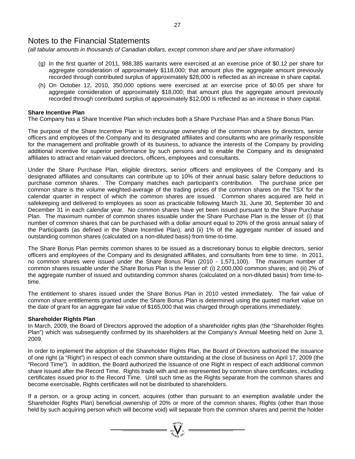*(all tabular amounts in thousands of Canadian dollars, except common share and per share information)* 

- (g) In the first quarter of 2011, 988,385 warrants were exercised at an exercise price of \$0.12 per share for aggregate consideration of approximately \$118,000; that amount plus the aggregate amount previously recorded through contributed surplus of approximately \$28,000 is reflected as an increase in share capital.
- (h) On October 12, 2010, 350,000 options were exercised at an exercise price of \$0.05 per share for aggregate consideration of approximately \$18,000; that amount plus the aggregate amount previously recorded through contributed surplus of approximately \$12,000 is reflected as an increase in share capital.

### **Share Incentive Plan**

The Company has a Share Incentive Plan which includes both a Share Purchase Plan and a Share Bonus Plan.

The purpose of the Share Incentive Plan is to encourage ownership of the common shares by directors, senior officers and employees of the Company and its designated affiliates and consultants who are primarily responsible for the management and profitable growth of its business, to advance the interests of the Company by providing additional incentive for superior performance by such persons and to enable the Company and its designated affiliates to attract and retain valued directors, officers, employees and consultants.

Under the Share Purchase Plan, eligible directors, senior officers and employees of the Company and its designated affiliates and consultants can contribute up to 10% of their annual basic salary before deductions to purchase common shares. The Company matches each participant's contribution. The purchase price per common share is the volume weighted-average of the trading prices of the common shares on the TSX for the calendar quarter in respect of which the common shares are issued. Common shares acquired are held in safekeeping and delivered to employees as soon as practicable following March 31, June 30, September 30 and December 31 in each calendar year. No common shares have yet been issued pursuant to the Share Purchase Plan. The maximum number of common shares issuable under the Share Purchase Plan is the lesser of: (i) that number of common shares that can be purchased with a dollar amount equal to 20% of the gross annual salary of the Participants (as defined in the Share Incentive Plan); and (ii) 1% of the aggregate number of issued and outstanding common shares (calculated on a non-diluted basis) from time-to-time.

The Share Bonus Plan permits common shares to be issued as a discretionary bonus to eligible directors, senior officers and employees of the Company and its designated affiliates, and consultants from time to time. In 2011, no common shares were issued under the Share Bonus Plan (2010 - 1,571,100). The maximum number of common shares issuable under the Share Bonus Plan is the lesser of: (i) 2,000,000 common shares; and (ii) 2% of the aggregate number of issued and outstanding common shares (calculated on a non-diluted basis) from time-totime.

The entitlement to shares issued under the Share Bonus Plan in 2010 vested immediately. The fair value of common share entitlements granted under the Share Bonus Plan is determined using the quoted market value on the date of grant for an aggregate fair value of \$165,000 that was charged through operations immediately.

### **Shareholder Rights Plan**

In March, 2009, the Board of Directors approved the adoption of a shareholder rights plan (the "Shareholder Rights Plan") which was subsequently confirmed by its shareholders at the Company's Annual Meeting held on June 3, 2009.

In order to implement the adoption of the Shareholder Rights Plan, the Board of Directors authorized the issuance of one right (a "Right") in respect of each common share outstanding at the close of business on April 17, 2009 (the "Record Time"). In addition, the Board authorized the issuance of one Right in respect of each additional common share issued after the Record Time. Rights trade with and are represented by common share certificates, including certificates issued prior to the Record Time. Until such time as the Rights separate from the common shares and become exercisable, Rights certificates will not be distributed to shareholders.

If a person, or a group acting in concert, acquires (other than pursuant to an exemption available under the Shareholder Rights Plan) beneficial ownership of 20% or more of the common shares, Rights (other than those held by such acquiring person which will become void) will separate from the common shares and permit the holder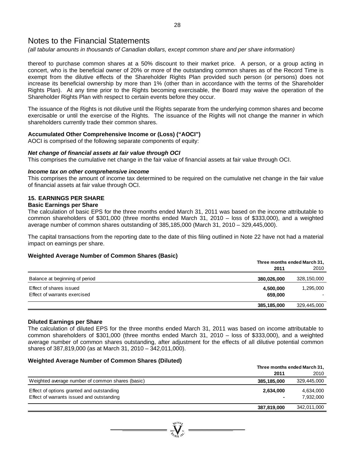*(all tabular amounts in thousands of Canadian dollars, except common share and per share information)* 

thereof to purchase common shares at a 50% discount to their market price. A person, or a group acting in concert, who is the beneficial owner of 20% or more of the outstanding common shares as of the Record Time is exempt from the dilutive effects of the Shareholder Rights Plan provided such person (or persons) does not increase its beneficial ownership by more than 1% (other than in accordance with the terms of the Shareholder Rights Plan). At any time prior to the Rights becoming exercisable, the Board may waive the operation of the Shareholder Rights Plan with respect to certain events before they occur.

The issuance of the Rights is not dilutive until the Rights separate from the underlying common shares and become exercisable or until the exercise of the Rights. The issuance of the Rights will not change the manner in which shareholders currently trade their common shares.

### **Accumulated Other Comprehensive Income or (Loss) ("AOCI")**

AOCI is comprised of the following separate components of equity:

### *Net change of financial assets at fair value through OCI*

This comprises the cumulative net change in the fair value of financial assets at fair value through OCI.

#### *Income tax on other comprehensive income*

This comprises the amount of income tax determined to be required on the cumulative net change in the fair value of financial assets at fair value through OCI.

# **15. EARNINGS PER SHARE**

### **Basic Earnings per Share**

The calculation of basic EPS for the three months ended March 31, 2011 was based on the income attributable to common shareholders of \$301,000 (three months ended March 31, 2010 – loss of \$333,000), and a weighted average number of common shares outstanding of 385,185,000 (March 31, 2010 – 329,445,000).

The capital transactions from the reporting date to the date of this filing outlined in Note 22 have not had a material impact on earnings per share.

### **Weighted Average Number of Common Shares (Basic)**

|                                                         |                      | Three months ended March 31, |
|---------------------------------------------------------|----------------------|------------------------------|
|                                                         | 2011                 | 2010                         |
| Balance at beginning of period                          | 380,026,000          | 328,150,000                  |
| Effect of shares issued<br>Effect of warrants exercised | 4,500,000<br>659,000 | 1,295,000                    |
|                                                         | 385,185,000          | 329,445,000                  |

### **Diluted Earnings per Share**

The calculation of diluted EPS for the three months ended March 31, 2011 was based on income attributable to common shareholders of \$301,000 (three months ended March 31, 2010 – loss of \$333,000), and a weighted average number of common shares outstanding, after adjustment for the effects of all dilutive potential common shares of 387,819,000 (as at March 31, 2010 – 342,011,000).

### **Weighted Average Number of Common Shares (Diluted)**

|                                                  |             | Three months ended March 31, |
|--------------------------------------------------|-------------|------------------------------|
|                                                  | 2011        | 2010                         |
| Weighted average number of common shares (basic) | 385,185,000 | 329,445,000                  |
| Effect of options granted and outstanding        | 2,634,000   | 4,634,000                    |
| Effect of warrants issued and outstanding        |             | 7,932,000                    |
|                                                  | 387,819,000 | 342,011,000                  |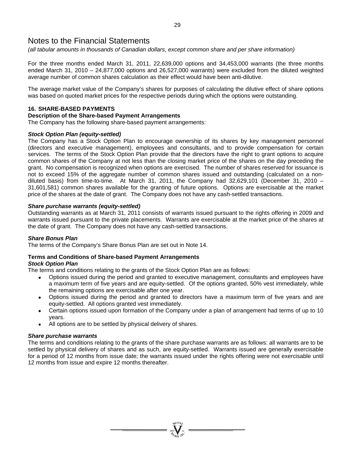*(all tabular amounts in thousands of Canadian dollars, except common share and per share information)* 

For the three months ended March 31, 2011, 22,639,000 options and 34,453,000 warrants (the three months ended March 31, 2010 – 24,877,000 options and 26,527,000 warrants) were excluded from the diluted weighted average number of common shares calculation as their effect would have been anti-dilutive.

The average market value of the Company's shares for purposes of calculating the dilutive effect of share options was based on quoted market prices for the respective periods during which the options were outstanding.

### **16. SHARE-BASED PAYMENTS**

### **Description of the Share-based Payment Arrangements**

The Company has the following share-based payment arrangements:

### *Stock Option Plan (equity-settled)*

The Company has a Stock Option Plan to encourage ownership of its shares by key management personnel (directors and executive management), employees and consultants, and to provide compensation for certain services. The terms of the Stock Option Plan provide that the directors have the right to grant options to acquire common shares of the Company at not less than the closing market price of the shares on the day preceding the grant. No compensation is recognized when options are exercised. The number of shares reserved for issuance is not to exceed 15% of the aggregate number of common shares issued and outstanding (calculated on a nondiluted basis) from time-to-time. At March 31, 2011, the Company had 32,629,101 (December 31, 2010 – 31,601,581) common shares available for the granting of future options. Options are exercisable at the market price of the shares at the date of grant. The Company does not have any cash-settled transactions.

### *Share purchase warrants (equity-settled)*

Outstanding warrants as at March 31, 2011 consists of warrants issued pursuant to the rights offering in 2009 and warrants issued pursuant to the private placements. Warrants are exercisable at the market price of the shares at the date of grant. The Company does not have any cash-settled transactions.

### *Share Bonus Plan*

The terms of the Company's Share Bonus Plan are set out in Note 14.

#### **Terms and Conditions of Share-based Payment Arrangements**  *Stock Option Plan*

The terms and conditions relating to the grants of the Stock Option Plan are as follows:

- Options issued during the period and granted to executive management, consultants and employees have a maximum term of five years and are equity-settled. Of the options granted, 50% vest immediately, while the remaining options are exercisable after one year.
- Options issued during the period and granted to directors have a maximum term of five years and are equity-settled. All options granted vest immediately.
- Certain options issued upon formation of the Company under a plan of arrangement had terms of up to 10 years.
- All options are to be settled by physical delivery of shares.

### *Share purchase warrants*

The terms and conditions relating to the grants of the share purchase warrants are as follows: all warrants are to be settled by physical delivery of shares and as such, are equity-settled. Warrants issued are generally exercisable for a period of 12 months from issue date; the warrants issued under the rights offering were not exercisable until 12 months from issue and expire 12 months thereafter.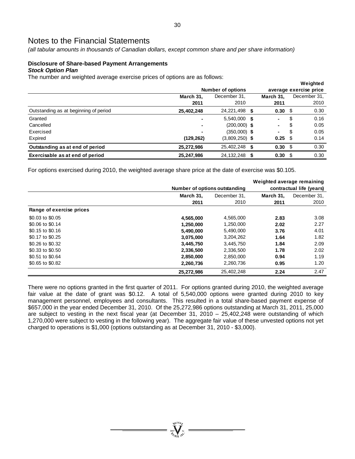*(all tabular amounts in thousands of Canadian dollars, except common share and per share information)* 

### **Disclosure of Share-based Payment Arrangements**  *Stock Option Plan*

The number and weighted average exercise prices of options are as follows:

|                                       |                |                          |  |                        |    | Weighted     |  |  |
|---------------------------------------|----------------|--------------------------|--|------------------------|----|--------------|--|--|
|                                       |                | <b>Number of options</b> |  | average exercise price |    |              |  |  |
|                                       | March 31.      | December 31,             |  |                        |    | December 31, |  |  |
|                                       | 2011           | 2010                     |  | 2011                   |    | 2010         |  |  |
| Outstanding as at beginning of period | 25,402,248     | 24,221,498 \$            |  | $0.30\,$ \$            |    | 0.30         |  |  |
| Granted                               | $\blacksquare$ | 5,540,000 \$             |  | ۰.                     | \$ | 0.16         |  |  |
| Cancelled                             |                | $(200,000)$ \$           |  | ٠                      | \$ | 0.05         |  |  |
| Exercised                             |                | $(350,000)$ \$           |  | ٠                      | S  | 0.05         |  |  |
| Expired                               | (129, 262)     | $(3,809,250)$ \$         |  | $0.25 \quad$ \$        |    | 0.14         |  |  |
| Outstanding as at end of period       | 25,272,986     | 25,402,248 \$            |  | $0.30 \, \hat{S}$      |    | 0.30         |  |  |
| Exercisable as at end of period       | 25,247,986     | 24, 132, 248 \$          |  | $0.30 \, \text{S}$     |    | 0.30         |  |  |

For options exercised during 2010, the weighted average share price at the date of exercise was \$0.105.

|                          |            | Number of options outstanding | contractual life (years) |              |  |  |  |
|--------------------------|------------|-------------------------------|--------------------------|--------------|--|--|--|
|                          | March 31,  | December 31.                  | March 31.                | December 31, |  |  |  |
|                          | 2011       | 2010                          | 2011                     | 2010         |  |  |  |
| Range of exercise prices |            |                               |                          |              |  |  |  |
| \$0.03 to \$0.05         | 4,565,000  | 4,565,000                     | 2.83                     | 3.08         |  |  |  |
| \$0.06 to \$0.14         | 1,250,000  | 1,250,000                     | 2.02                     | 2.27         |  |  |  |
| \$0.15 to \$0.16         | 5,490,000  | 5,490,000                     | 3.76                     | 4.01         |  |  |  |
| \$0.17 to \$0.25         | 3,075,000  | 3,204,262                     | 1.64                     | 1.82         |  |  |  |
| \$0.26 to \$0.32         | 3,445,750  | 3,445,750                     | 1.84                     | 2.09         |  |  |  |
| \$0.33 to \$0.50         | 2,336,500  | 2,336,500                     | 1.78                     | 2.02         |  |  |  |
| \$0.51 to \$0.64         | 2,850,000  | 2,850,000                     | 0.94                     | 1.19         |  |  |  |
| \$0.65 to \$0.82         | 2,260,736  | 2,260,736                     | 0.95                     | 1.20         |  |  |  |
|                          | 25.272.986 | 25.402.248                    | 2.24                     | 2.47         |  |  |  |

There were no options granted in the first quarter of 2011. For options granted during 2010, the weighted average fair value at the date of grant was \$0.12. A total of 5,540,000 options were granted during 2010 to key management personnel, employees and consultants. This resulted in a total share-based payment expense of \$657,000 in the year ended December 31, 2010. Of the 25,272,986 options outstanding at March 31, 2011, 25,000 are subject to vesting in the next fiscal year (at December 31, 2010 – 25,402,248 were outstanding of which 1,270,000 were subject to vesting in the following year). The aggregate fair value of these unvested options not yet charged to operations is \$1,000 (options outstanding as at December 31, 2010 - \$3,000).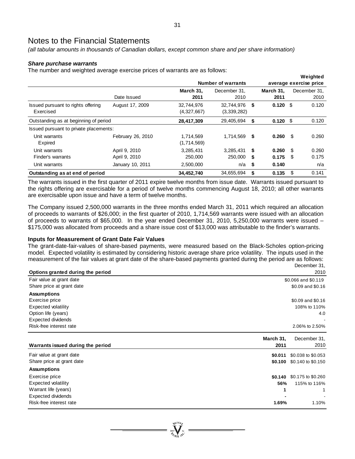*(all tabular amounts in thousands of Canadian dollars, except common share and per share information)* 

### *Share purchase warrants*

The number and weighted average exercise prices of warrants are as follows:

| ັ                                      |                   |             | Number of warrants |     |            |      | Weighted<br>average exercise price |
|----------------------------------------|-------------------|-------------|--------------------|-----|------------|------|------------------------------------|
|                                        |                   | March 31.   | December 31.       |     | March 31.  |      | December 31,                       |
|                                        | Date Issued       | 2011        | 2010               |     | 2011       |      | 2010                               |
| Issued pursuant to rights offering     | August 17, 2009   | 32,744,976  | 32,744,976         | S.  | $0.120$ \$ |      | 0.120                              |
| Exercised                              |                   | (4,327,667) | (3,339,282)        |     |            |      |                                    |
| Outstanding as at beginning of period  |                   | 28,417,309  | 29,405,694         | \$  | $0.120$ \$ |      | 0.120                              |
| Issued pursuant to private placements: |                   |             |                    |     |            |      |                                    |
| Unit warrants                          | February 26, 2010 | 1,714,569   | 1.714.569          | S.  | 0.260      | - \$ | 0.260                              |
| Expired                                |                   | (1,714,569) |                    |     |            |      |                                    |
| Unit warrants                          | April 9, 2010     | 3,285,431   | 3.285.431          | \$. | 0.260      | -\$  | 0.260                              |
| Finder's warrants                      | April 9, 2010     | 250,000     | 250,000            | \$  | 0.175      | - \$ | 0.175                              |
| Unit warrants                          | January 10, 2011  | 2,500,000   | n/a                | \$  | 0.140      |      | n/a                                |
| Outstanding as at end of period        |                   | 34,452,740  | 34,655,694         | \$  | 0.135      | \$   | 0.141                              |

The warrants issued in the first quarter of 2011 expire twelve months from issue date. Warrants issued pursuant to the rights offering are exercisable for a period of twelve months commencing August 18, 2010; all other warrants are exercisable upon issue and have a term of twelve months.

The Company issued 2,500,000 warrants in the three months ended March 31, 2011 which required an allocation of proceeds to warrants of \$26,000; in the first quarter of 2010, 1,714,569 warrants were issued with an allocation of proceeds to warrants of \$65,000. In the year ended December 31, 2010, 5,250,000 warrants were issued – \$175,000 was allocated from proceeds and a share issue cost of \$13,000 was attributable to the finder's warrants.

# **Inputs for Measurement of Grant Date Fair Values**

The grant-date-fair-values of share-based payments, were measured based on the Black-Scholes option-pricing model. Expected volatility is estimated by considering historic average share price volatility. The inputs used in the measurement of the fair values at grant date of the share-based payments granted during the period are as follows: December 31,

| Options granted during the period |           |                     |  |  |  |  |
|-----------------------------------|-----------|---------------------|--|--|--|--|
| Fair value at grant date          |           | \$0.066 and \$0.119 |  |  |  |  |
| Share price at grant date         |           | \$0.09 and \$0.16   |  |  |  |  |
| <b>Assumptions</b>                |           |                     |  |  |  |  |
| Exercise price                    |           | \$0.09 and \$0.16   |  |  |  |  |
| <b>Expected volatility</b>        |           | 108% to 110%        |  |  |  |  |
| Option life (years)               |           | 4.0                 |  |  |  |  |
| <b>Expected dividends</b>         |           |                     |  |  |  |  |
| Risk-free interest rate           |           | 2.06% to 2.50%      |  |  |  |  |
|                                   | March 31, | December 31,        |  |  |  |  |
| Warrants issued during the period | 2011      | 2010                |  |  |  |  |
| Fair value at grant date          | \$0.011   | \$0.038 to \$0.053  |  |  |  |  |
| Share price at grant date         | \$0.100   | \$0.140 to \$0.150  |  |  |  |  |
| <b>Assumptions</b>                |           |                     |  |  |  |  |
| Exercise price                    | \$0.140   | \$0.175 to \$0.260  |  |  |  |  |
| <b>Expected volatility</b>        | 56%       | 115% to 116%        |  |  |  |  |
| Warrant life (years)              | 1         | 1                   |  |  |  |  |
| <b>Expected dividends</b>         |           |                     |  |  |  |  |
| Risk-free interest rate           | 1.69%     | 1.10%               |  |  |  |  |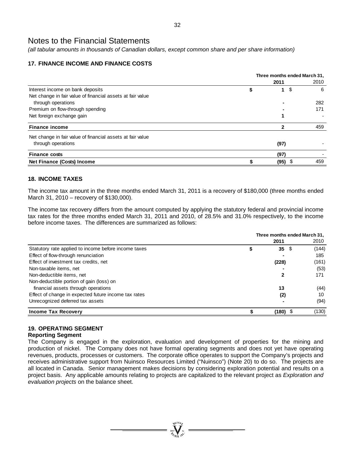*(all tabular amounts in thousands of Canadian dollars, except common share and per share information)* 

# **17. FINANCE INCOME AND FINANCE COSTS**

|                                                            | Three months ended March 31, |           |      |  |  |  |
|------------------------------------------------------------|------------------------------|-----------|------|--|--|--|
|                                                            | 2011                         |           | 2010 |  |  |  |
| Interest income on bank deposits                           | S                            | \$<br>1   | 6    |  |  |  |
| Net change in fair value of financial assets at fair value |                              |           |      |  |  |  |
| through operations                                         |                              |           | 282  |  |  |  |
| Premium on flow-through spending                           |                              |           | 171  |  |  |  |
| Net foreign exchange gain                                  |                              |           |      |  |  |  |
| <b>Finance income</b>                                      |                              |           | 459  |  |  |  |
| Net change in fair value of financial assets at fair value |                              |           |      |  |  |  |
| through operations                                         |                              | (97)      |      |  |  |  |
| <b>Finance costs</b>                                       |                              | (97)      |      |  |  |  |
| Net Finance (Costs) Income                                 |                              | $(95)$ \$ | 459  |  |  |  |

# **18. INCOME TAXES**

The income tax amount in the three months ended March 31, 2011 is a recovery of \$180,000 (three months ended March 31, 2010 – recovery of \$130,000).

The income tax recovery differs from the amount computed by applying the statutory federal and provincial income tax rates for the three months ended March 31, 2011 and 2010, of 28.5% and 31.0% respectively, to the income before income taxes. The differences are summarized as follows:

|                                                      | Three months ended March 31, |              |       |  |  |  |  |
|------------------------------------------------------|------------------------------|--------------|-------|--|--|--|--|
|                                                      |                              | 2011         | 2010  |  |  |  |  |
| Statutory rate applied to income before income taxes | \$                           | $35 \quad $$ | (144) |  |  |  |  |
| Effect of flow-through renunciation                  |                              |              | 185   |  |  |  |  |
| Effect of investment tax credits, net                |                              | (228)        | (161) |  |  |  |  |
| Non-taxable items, net                               |                              |              | (53)  |  |  |  |  |
| Non-deductible items, net                            |                              |              | 171   |  |  |  |  |
| Non-deductible portion of gain (loss) on             |                              |              |       |  |  |  |  |
| financial assets through operations                  |                              | 13           | (44)  |  |  |  |  |
| Effect of change in expected future income tax rates |                              | (2)          | 10    |  |  |  |  |
| Unrecognized deferred tax assets                     |                              |              | (94)  |  |  |  |  |
| <b>Income Tax Recovery</b>                           |                              | (180)        | (130) |  |  |  |  |

# **19. OPERATING SEGMENT**

### **Reporting Segment**

The Company is engaged in the exploration, evaluation and development of properties for the mining and production of nickel. The Company does not have formal operating segments and does not yet have operating revenues, products, processes or customers. The corporate office operates to support the Company's projects and receives administrative support from Nuinsco Resources Limited ("Nuinsco") (Note 20) to do so. The projects are all located in Canada. Senior management makes decisions by considering exploration potential and results on a project basis. Any applicable amounts relating to projects are capitalized to the relevant project as *Exploration and evaluation projects* on the balance sheet.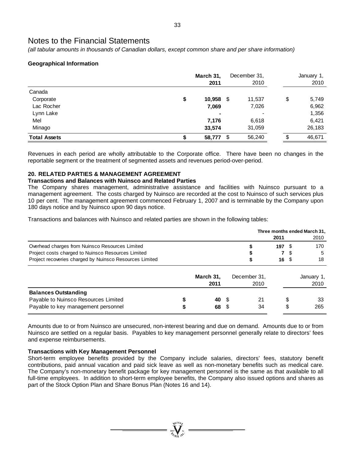*(all tabular amounts in thousands of Canadian dollars, except common share and per share information)* 

# **Geographical Information**

|                     | March 31,<br>2011 |     | December 31,<br>2010 |    | January 1,<br>2010 |  |
|---------------------|-------------------|-----|----------------------|----|--------------------|--|
| Canada              |                   |     |                      |    |                    |  |
| Corporate           | \$<br>$10,958$ \$ |     | 11,537               | \$ | 5,749              |  |
| Lac Rocher          | 7,069             |     | 7,026                |    | 6,962              |  |
| Lynn Lake           | ۰                 |     |                      |    | 1,356              |  |
| Mel                 | 7,176             |     | 6,618                |    | 6,421              |  |
| Minago              | 33,574            |     | 31,059               |    | 26,183             |  |
| <b>Total Assets</b> | 58,777            | -\$ | 56,240               | S  | 46,671             |  |

Revenues in each period are wholly attributable to the Corporate office. There have been no changes in the reportable segment or the treatment of segmented assets and revenues period-over-period.

# **20. RELATED PARTIES & MANAGEMENT AGREEMENT**

### **Transactions and Balances with Nuinsco and Related Parties**

The Company shares management, administrative assistance and facilities with Nuinsco pursuant to a management agreement. The costs charged by Nuinsco are recorded at the cost to Nuinsco of such services plus 10 per cent. The management agreement commenced February 1, 2007 and is terminable by the Company upon 180 days notice and by Nuinsco upon 90 days notice.

Transactions and balances with Nuinsco and related parties are shown in the following tables:

|                                                         |           |              | Three months ended March 31, |        |            |  |  |  |
|---------------------------------------------------------|-----------|--------------|------------------------------|--------|------------|--|--|--|
|                                                         |           |              | 2011                         |        | 2010       |  |  |  |
| Overhead charges from Nuinsco Resources Limited         |           |              | 197S                         |        | 170        |  |  |  |
| Project costs charged to Nuinsco Resources Limited      |           |              |                              | S.     | 5          |  |  |  |
| Project recoveries charged by Nuinsco Resources Limited |           |              | 16 S                         |        | 18         |  |  |  |
|                                                         | March 31, | December 31, |                              |        | January 1, |  |  |  |
|                                                         | 2011      | 2010         |                              |        | 2010       |  |  |  |
| <b>Balances Outstanding</b>                             |           |              |                              |        |            |  |  |  |
| Payable to Nuinsco Resources Limited                    | 40 S      | 21           |                              | S      | 33         |  |  |  |
| Payable to key management personnel                     | 68        | 34           |                              | c<br>J | 265        |  |  |  |

Amounts due to or from Nuinsco are unsecured, non-interest bearing and due on demand. Amounts due to or from Nuinsco are settled on a regular basis. Payables to key management personnel generally relate to directors' fees and expense reimbursements.

### **Transactions with Key Management Personnel**

Short-term employee benefits provided by the Company include salaries, directors' fees, statutory benefit contributions, paid annual vacation and paid sick leave as well as non-monetary benefits such as medical care. The Company's non-monetary benefit package for key management personnel is the same as that available to all full-time employees. In addition to short-term employee benefits, the Company also issued options and shares as part of the Stock Option Plan and Share Bonus Plan (Notes 16 and 14).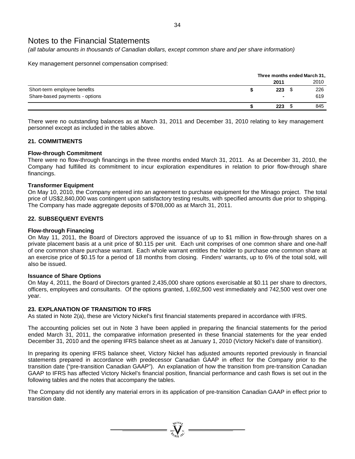*(all tabular amounts in thousands of Canadian dollars, except common share and per share information)* 

Key management personnel compensation comprised:

|                                | Three months ended March 31, |  |      |  |  |  |
|--------------------------------|------------------------------|--|------|--|--|--|
|                                | 2011                         |  | 2010 |  |  |  |
| Short-term employee benefits   | 223                          |  | 226  |  |  |  |
| Share-based payments - options | $\blacksquare$               |  | 619  |  |  |  |
|                                | 223                          |  | 845  |  |  |  |

There were no outstanding balances as at March 31, 2011 and December 31, 2010 relating to key management personnel except as included in the tables above.

### **21. COMMITMENTS**

### **Flow-through Commitment**

There were no flow-through financings in the three months ended March 31, 2011. As at December 31, 2010, the Company had fulfilled its commitment to incur exploration expenditures in relation to prior flow-through share financings.

### **Transformer Equipment**

On May 10, 2010, the Company entered into an agreement to purchase equipment for the Minago project. The total price of US\$2,840,000 was contingent upon satisfactory testing results, with specified amounts due prior to shipping. The Company has made aggregate deposits of \$708,000 as at March 31, 2011.

### **22. SUBSEQUENT EVENTS**

### **Flow-through Financing**

On May 11, 2011, the Board of Directors approved the issuance of up to \$1 million in flow-through shares on a private placement basis at a unit price of \$0.115 per unit. Each unit comprises of one common share and one-half of one common share purchase warrant. Each whole warrant entitles the holder to purchase one common share at an exercise price of \$0.15 for a period of 18 months from closing. Finders' warrants, up to 6% of the total sold, will also be issued.

### **Issuance of Share Options**

On May 4, 2011, the Board of Directors granted 2,435,000 share options exercisable at \$0.11 per share to directors, officers, employees and consultants. Of the options granted, 1,692,500 vest immediately and 742,500 vest over one year.

# **23. EXPLANATION OF TRANSITION TO IFRS**

As stated in Note 2(a), these are Victory Nickel's first financial statements prepared in accordance with IFRS.

The accounting policies set out in Note 3 have been applied in preparing the financial statements for the period ended March 31, 2011, the comparative information presented in these financial statements for the year ended December 31, 2010 and the opening IFRS balance sheet as at January 1, 2010 (Victory Nickel's date of transition).

In preparing its opening IFRS balance sheet, Victory Nickel has adjusted amounts reported previously in financial statements prepared in accordance with predecessor Canadian GAAP in effect for the Company prior to the transition date ("pre-transition Canadian GAAP"). An explanation of how the transition from pre-transition Canadian GAAP to IFRS has affected Victory Nickel's financial position, financial performance and cash flows is set out in the following tables and the notes that accompany the tables.

The Company did not identify any material errors in its application of pre-transition Canadian GAAP in effect prior to transition date.

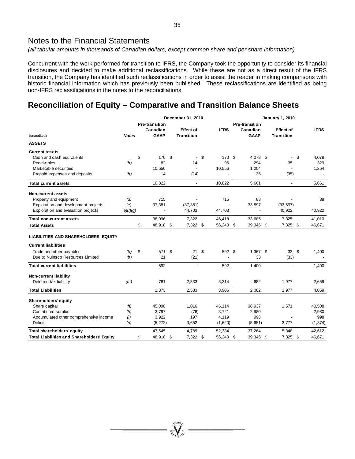*(all tabular amounts in thousands of Canadian dollars, except common share and per share information)* 

Concurrent with the work performed for transition to IFRS, the Company took the opportunity to consider its financial disclosures and decided to make additional reclassifications. While these are not as a direct result of the IFRS transition, the Company has identified such reclassifications in order to assist the reader in making comparisons with historic financial information which has previously been published. These reclassifications are identified as being non-IFRS reclassifications in the notes to the reconciliations.

# **Reconciliation of Equity – Comparative and Transition Balance Sheets**

|                                                   | December 31, 2010 |    |                          |          |                          |      | <b>January 1, 2010</b> |    |                       |  |                   |    |             |
|---------------------------------------------------|-------------------|----|--------------------------|----------|--------------------------|------|------------------------|----|-----------------------|--|-------------------|----|-------------|
|                                                   |                   |    | <b>Pre-transition</b>    |          |                          |      |                        |    | <b>Pre-transition</b> |  |                   |    |             |
|                                                   |                   |    | Canadian                 |          | <b>Effect of</b>         |      | <b>IFRS</b>            |    | Canadian              |  | <b>Effect of</b>  |    | <b>IFRS</b> |
| (unaudited)                                       | <b>Notes</b>      |    | <b>GAAP</b>              |          | <b>Transition</b>        |      |                        |    | <b>GAAP</b>           |  | <b>Transition</b> |    |             |
| <b>ASSETS</b>                                     |                   |    |                          |          |                          |      |                        |    |                       |  |                   |    |             |
| <b>Current assets</b>                             |                   |    |                          |          |                          |      |                        |    |                       |  |                   |    |             |
| Cash and cash equivalents                         |                   | \$ | 170                      | \$       | $\blacksquare$           | \$   | 170                    | \$ | 4,078 \$              |  |                   | \$ | 4,078       |
| Receivables                                       | (b)               |    | 82                       |          | 14                       |      | 96                     |    | 294                   |  | 35                |    | 329         |
| Marketable securities                             |                   |    | 10.556                   |          | $\overline{\phantom{a}}$ |      | 10,556                 |    | 1.254                 |  |                   |    | 1,254       |
| Prepaid expenses and deposits                     | (b)               |    | 14                       |          | (14)                     |      |                        |    | 35                    |  | (35)              |    |             |
| <b>Total current assets</b>                       |                   |    | 10,822                   |          | $\overline{\phantom{a}}$ |      | 10,822                 |    | 5.661                 |  | ÷,                |    | 5,661       |
| Non-current assets                                |                   |    |                          |          |                          |      |                        |    |                       |  |                   |    |             |
| Property and equipment                            | (d)               |    | 715                      |          |                          |      | 715                    |    | 88                    |  |                   |    | 88          |
| Exploration and development projects              | (e)               |    | 37,381                   |          | (37, 381)                |      |                        |    | 33,597                |  | (33, 597)         |    |             |
| Exploration and evaluation projects               | (e)(f)(g)         |    | $\overline{\phantom{a}}$ |          | 44,703                   |      | 44,703                 |    |                       |  | 40,922            |    | 40,922      |
| Total non-current assets                          |                   |    | 38,096                   |          | 7,322                    |      | 45,418                 |    | 33,685                |  | 7,325             |    | 41,010      |
| <b>Total Assets</b>                               |                   | \$ | 48,918 \$                |          | 7,322 \$                 |      | 56,240                 | \$ | 39,346 \$             |  | 7,325 \$          |    | 46,671      |
| <b>LIABILITIES AND SHAREHOLDERS' EQUITY</b>       |                   |    |                          |          |                          |      |                        |    |                       |  |                   |    |             |
| <b>Current liabilities</b>                        |                   |    |                          |          |                          |      |                        |    |                       |  |                   |    |             |
| Trade and other payables                          | (b)               | \$ | 571                      | <b>S</b> | 21                       | - \$ | 592                    | \$ | $1.367$ \$            |  | 33 <sup>5</sup>   |    | 1,400       |
| Due to Nuinsco Resources Limited                  | (b)               |    | 21                       |          | (21)                     |      |                        |    | 33                    |  | (33)              |    |             |
| <b>Total current liabilities</b>                  |                   |    | 592                      |          | $\mathbf{r}$             |      | 592                    |    | 1,400                 |  | $\blacksquare$    |    | 1,400       |
| <b>Non-current liability</b>                      |                   |    |                          |          |                          |      |                        |    |                       |  |                   |    |             |
| Deferred tax liability                            | (m)               |    | 781                      |          | 2,533                    |      | 3,314                  |    | 682                   |  | 1,977             |    | 2,659       |
| <b>Total Liabilities</b>                          |                   |    | 1.373                    |          | 2.533                    |      | 3,906                  |    | 2.082                 |  | 1.977             |    | 4,059       |
| <b>Shareholders' equity</b>                       |                   |    |                          |          |                          |      |                        |    |                       |  |                   |    |             |
| Share capital                                     | (h)               |    | 45,098                   |          | 1,016                    |      | 46,114                 |    | 38,937                |  | 1,571             |    | 40,508      |
| Contributed surplus                               | (h)               |    | 3,797                    |          | (76)                     |      | 3,721                  |    | 2,980                 |  |                   |    | 2,980       |
| Accumulated other comprehensive income            | (1)               |    | 3,922                    |          | 197                      |      | 4,119                  |    | 998                   |  |                   |    | 998         |
| Deficit                                           | (n)               |    | (5, 272)                 |          | 3,652                    |      | (1,620)                |    | (5,651)               |  | 3,777             |    | (1, 874)    |
| Total shareholders' equity                        |                   |    | 47,545                   |          | 4.789                    |      | 52,334                 |    | 37,264                |  | 5,348             |    | 42,612      |
| <b>Total Liabilities and Shareholders' Equity</b> |                   | \$ | 48,918 \$                |          | 7,322 \$                 |      | $56,240$ \ \$          |    | 39,346 \$             |  | 7,325 \$          |    | 46,671      |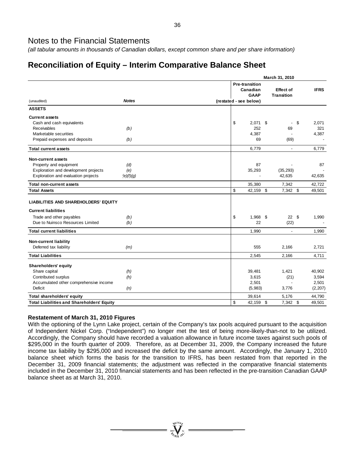*(all tabular amounts in thousands of Canadian dollars, except common share and per share information)* 

# **Reconciliation of Equity – Interim Comparative Balance Sheet**

|                                                   | March 31, 2010 |                                                  |  |                                       |             |  |  |
|---------------------------------------------------|----------------|--------------------------------------------------|--|---------------------------------------|-------------|--|--|
|                                                   |                | <b>Pre-transition</b><br>Canadian<br><b>GAAP</b> |  | <b>Effect of</b><br><b>Transition</b> | <b>IFRS</b> |  |  |
| <b>Notes</b><br>(unaudited)                       |                | (restated - see below)                           |  |                                       |             |  |  |
| <b>ASSETS</b>                                     |                |                                                  |  |                                       |             |  |  |
| <b>Current assets</b>                             |                |                                                  |  |                                       |             |  |  |
| Cash and cash equivalents                         | \$             | $2,071$ \$                                       |  |                                       | \$<br>2,071 |  |  |
| <b>Receivables</b><br>(b)                         |                | 252                                              |  | 69                                    | 321         |  |  |
| Marketable securities                             |                | 4,387                                            |  |                                       | 4,387       |  |  |
| Prepaid expenses and deposits<br>(b)              |                | 69                                               |  | (69)                                  |             |  |  |
| <b>Total current assets</b>                       |                | 6,779                                            |  | $\mathbf{r}$                          | 6,779       |  |  |
| <b>Non-current assets</b>                         |                |                                                  |  |                                       |             |  |  |
| Property and equipment<br>(d)                     |                | 87                                               |  |                                       | 87          |  |  |
| Exploration and development projects<br>(e)       |                | 35,293                                           |  | (35, 293)                             |             |  |  |
| Exploration and evaluation projects<br>(e)(f)(g)  |                |                                                  |  | 42,635                                | 42,635      |  |  |
| <b>Total non-current assets</b>                   |                | 35,380                                           |  | 7,342                                 | 42,722      |  |  |
| <b>Total Assets</b>                               | \$             | 42,159 \$                                        |  | 7,342 \$                              | 49,501      |  |  |
| LIABILITIES AND SHAREHOLDERS' EQUITY              |                |                                                  |  |                                       |             |  |  |
| <b>Current liabilities</b>                        |                |                                                  |  |                                       |             |  |  |
| Trade and other payables<br>(b)                   | \$             | 1,968 \$                                         |  | 22S                                   | 1,990       |  |  |
| Due to Nuinsco Resources Limited<br>(b)           |                | 22                                               |  | (22)                                  |             |  |  |
| <b>Total current liabilities</b>                  |                | 1,990                                            |  | $\blacksquare$                        | 1,990       |  |  |
| <b>Non-current liability</b>                      |                |                                                  |  |                                       |             |  |  |
| Deferred tax liability<br>(m)                     |                | 555                                              |  | 2,166                                 | 2,721       |  |  |
| <b>Total Liabilities</b>                          |                | 2,545                                            |  | 2,166                                 | 4,711       |  |  |
| Shareholders' equity                              |                |                                                  |  |                                       |             |  |  |
| Share capital<br>(h)                              |                | 39,481                                           |  | 1,421                                 | 40,902      |  |  |
| Contributed surplus<br>(h)                        |                | 3,615                                            |  | (21)                                  | 3,594       |  |  |
| Accumulated other comprehensive income            |                | 2,501                                            |  |                                       | 2,501       |  |  |
| Deficit<br>(n)                                    |                | (5,983)                                          |  | 3,776                                 | (2, 207)    |  |  |
| Total shareholders' equity                        |                | 39,614                                           |  | 5,176                                 | 44,790      |  |  |
| <b>Total Liabilities and Shareholders' Equity</b> | \$             | 42,159 \$                                        |  | 7,342 \$                              | 49,501      |  |  |

# **Restatement of March 31, 2010 Figures**

With the optioning of the Lynn Lake project, certain of the Company's tax pools acquired pursuant to the acquisition of Independent Nickel Corp. ("Independent") no longer met the test of being more-likely-than-not to be utilized. Accordingly, the Company should have recorded a valuation allowance in future income taxes against such pools of \$295,000 in the fourth quarter of 2009. Therefore, as at December 31, 2009, the Company increased the future income tax liability by \$295,000 and increased the deficit by the same amount. Accordingly, the January 1, 2010 balance sheet which forms the basis for the transition to IFRS, has been restated from that reported in the December 31, 2009 financial statements; the adjustment was reflected in the comparative financial statements included in the December 31, 2010 financial statements and has been reflected in the pre-transition Canadian GAAP balance sheet as at March 31, 2010.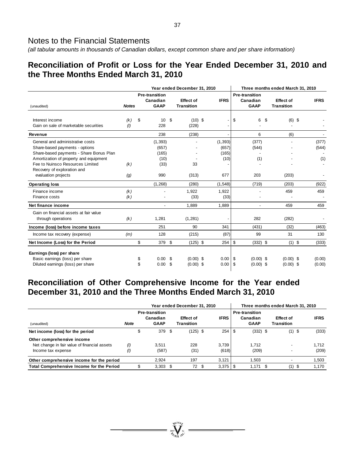*(all tabular amounts in thousands of Canadian dollars, except common share and per share information)* 

# **Reconciliation of Profit or Loss for the Year Ended December 31, 2010 and the Three Months Ended March 31, 2010**

|                                                                                                                                                                                             |              | Year ended December 31, 2010 |                                                  |           |                                       |  | Three months ended March 31, 2010  |                                                  |                            |                                       |                       |  |  |
|---------------------------------------------------------------------------------------------------------------------------------------------------------------------------------------------|--------------|------------------------------|--------------------------------------------------|-----------|---------------------------------------|--|------------------------------------|--------------------------------------------------|----------------------------|---------------------------------------|-----------------------|--|--|
| (unaudited)                                                                                                                                                                                 | <b>Notes</b> |                              | <b>Pre-transition</b><br>Canadian<br><b>GAAP</b> |           | <b>Effect of</b><br><b>Transition</b> |  | <b>IFRS</b>                        | <b>Pre-transition</b><br>Canadian<br><b>GAAP</b> |                            | <b>Effect of</b><br><b>Transition</b> | <b>IFRS</b>           |  |  |
| Interest income<br>Gain on sale of marketable securities                                                                                                                                    | (k)<br>(1)   | \$                           | 10<br>228                                        | \$        | $(10)$ \$<br>(228)                    |  |                                    | \$                                               | 6<br>\$                    | $(6)$ \$                              |                       |  |  |
| Revenue                                                                                                                                                                                     |              |                              | 238                                              |           | (238)                                 |  |                                    |                                                  | 6                          | (6)                                   |                       |  |  |
| General and administrative costs<br>Share-based payments - options<br>Share-based payments - Share Bonus Plan<br>Amortization of property and equipment<br>Fee to Nuinsco Resources Limited | (k)          |                              | (1, 393)<br>(657)<br>(165)<br>(10)<br>(33)       |           | $\overline{a}$<br>33                  |  | (1, 393)<br>(657)<br>(165)<br>(10) |                                                  | (377)<br>(544)<br>(1)      |                                       | (377)<br>(544)<br>(1) |  |  |
| Recovery of exploration and<br>evaluation projects                                                                                                                                          | (g)          |                              | 990                                              |           | (313)                                 |  | 677                                |                                                  | 203                        | (203)                                 |                       |  |  |
| <b>Operating loss</b>                                                                                                                                                                       |              |                              | (1, 268)                                         |           | (280)                                 |  | (1, 548)                           |                                                  | (719)                      | (203)                                 | (922)                 |  |  |
| Finance income<br>Finance costs                                                                                                                                                             | (k)<br>(k)   |                              |                                                  |           | 1,922<br>(33)                         |  | 1,922<br>(33)                      |                                                  |                            | 459                                   | 459                   |  |  |
| Net finance income                                                                                                                                                                          |              |                              | $\overline{\phantom{a}}$                         |           | 1.889                                 |  | 1.889                              |                                                  | $\overline{\phantom{a}}$   | 459                                   | 459                   |  |  |
| Gain on financial assets at fair value<br>through operations                                                                                                                                | (k)          |                              | 1,281                                            |           | (1,281)                               |  |                                    |                                                  | 282                        | (282)                                 |                       |  |  |
| Income (loss) before income taxes                                                                                                                                                           |              |                              | 251                                              |           | 90                                    |  | 341                                |                                                  | (431)                      | (32)                                  | (463)                 |  |  |
| Income tax recovery (expense)                                                                                                                                                               | (m)          |                              | 128                                              |           | (215)                                 |  | (87)                               |                                                  | 99                         | 31                                    | 130                   |  |  |
| Net Income (Loss) for the Period                                                                                                                                                            |              | \$                           | 379 \$                                           |           | $(125)$ \$                            |  | $254$ \$                           |                                                  | $(332)$ \$                 | $(1)$ \$                              | (333)                 |  |  |
| Earnings (loss) per share<br>Basic earnings (loss) per share<br>Diluted earnings (loss) per share                                                                                           |              | \$<br>\$                     | 0.00<br>0.00                                     | -\$<br>\$ | $(0.00)$ \$<br>$(0.00)$ \$            |  | 0.00<br>0.00                       | \$<br>\$                                         | $(0.00)$ \$<br>$(0.00)$ \$ | $(0.00)$ \$<br>$(0.00)$ \$            | (0.00)<br>(0.00)      |  |  |

# **Reconciliation of Other Comprehensive Income for the Year ended December 31, 2010 and the Three Months Ended March 31, 2010**

|                                                                                                  |                 |                                                  | Year ended December 31, 2010          |                |                                                  | Three months ended March 31, 2010 |      | <b>IFRS</b>    |  |  |  |
|--------------------------------------------------------------------------------------------------|-----------------|--------------------------------------------------|---------------------------------------|----------------|--------------------------------------------------|-----------------------------------|------|----------------|--|--|--|
| (unaudited)                                                                                      | <b>Note</b>     | <b>Pre-transition</b><br>Canadian<br><b>GAAP</b> | <b>Effect of</b><br><b>Transition</b> | <b>IFRS</b>    | <b>Pre-transition</b><br>Canadian<br><b>GAAP</b> | Effect of<br>Transition           |      |                |  |  |  |
| Net income (loss) for the period                                                                 |                 | \$<br>379 \$                                     | $(125)$ \$                            |                | $(332)$ \$                                       | $(1)$ \$                          |      | (333)          |  |  |  |
| Other comprehensive income<br>Net change in fair value of financial assets<br>Income tax expense | (1)<br>$^{(l)}$ | 3.511<br>(587)                                   | 228<br>(31)                           | 3.739<br>(618) | 1.712<br>(209)                                   |                                   |      | 1.712<br>(209) |  |  |  |
| Other comprehensive income for the period                                                        |                 | 2.924                                            | 197                                   | 3.121          | 1.503                                            |                                   |      | 1,503          |  |  |  |
| Total Comprehensive Income for the Period                                                        |                 | $3,303$ \$                                       | 72S                                   | $3,375$   \$   | 1.171                                            | (1)                               | - \$ | 1,170          |  |  |  |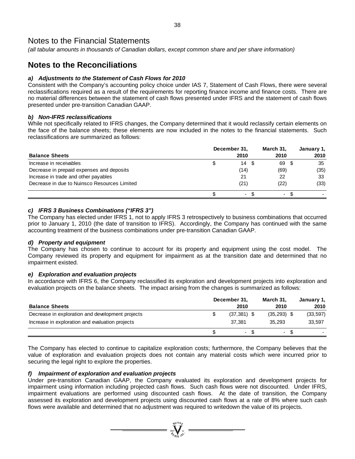*(all tabular amounts in thousands of Canadian dollars, except common share and per share information)* 

# **Notes to the Reconciliations**

# *a) Adjustments to the Statement of Cash Flows for 2010*

Consistent with the Company's accounting policy choice under IAS 7, Statement of Cash Flows, there were several reclassifications required as a result of the requirements for reporting finance income and finance costs. There are no material differences between the statement of cash flows presented under IFRS and the statement of cash flows presented under pre-transition Canadian GAAP.

### *b) Non-IFRS reclassifications*

While not specifically related to IFRS changes, the Company determined that it would reclassify certain elements on the face of the balance sheets; these elements are now included in the notes to the financial statements. Such reclassifications are summarized as follows:

| <b>Balance Sheets</b>                        |   | December 31,<br>2010 | March 31.<br>2010 |    | January 1,<br>2010 |
|----------------------------------------------|---|----------------------|-------------------|----|--------------------|
| Increase in receivables                      | Φ | 14                   | 69                |    | 35                 |
| Decrease in prepaid expenses and deposits    |   | (14)                 | (69)              |    | (35)               |
| Increase in trade and other payables         |   | 21                   | 22                |    | 33                 |
| Decrease in due to Nuinsco Resources Limited |   | (21)                 | (22)              |    | (33)               |
|                                              |   | $\blacksquare$       |                   | ۰. |                    |

# *c) IFRS 3 Business Combinations ("IFRS 3")*

The Company has elected under IFRS 1, not to apply IFRS 3 retrospectively to business combinations that occurred prior to January 1, 2010 (the date of transition to IFRS). Accordingly, the Company has continued with the same accounting treatment of the business combinations under pre-transition Canadian GAAP.

# *d) Property and equipment*

The Company has chosen to continue to account for its property and equipment using the cost model. The Company reviewed its property and equipment for impairment as at the transition date and determined that no impairment existed.

# *e) Exploration and evaluation projects*

In accordance with IFRS 6, the Company reclassified its exploration and development projects into exploration and evaluation projects on the balance sheets. The impact arising from the changes is summarized as follows:

|                                                  | December 31,                    | March 31.     | January 1, |
|--------------------------------------------------|---------------------------------|---------------|------------|
| <b>Balance Sheets</b>                            | 2010                            | 2010          | 2010       |
| Decrease in exploration and development projects | $(37.381)$ \$                   | $(35,293)$ \$ | (33, 597)  |
| Increase in exploration and evaluation projects  | 37.381                          | 35.293        | 33.597     |
|                                                  | -SS<br>$\overline{\phantom{a}}$ | -SS           |            |

The Company has elected to continue to capitalize exploration costs; furthermore, the Company believes that the value of exploration and evaluation projects does not contain any material costs which were incurred prior to securing the legal right to explore the properties.

# *f) Impairment of exploration and evaluation projects*

Under pre-transition Canadian GAAP, the Company evaluated its exploration and development projects for impairment using information including projected cash flows. Such cash flows were not discounted. Under IFRS, impairment evaluations are performed using discounted cash flows. At the date of transition, the Company assessed its exploration and development projects using discounted cash flows at a rate of 8% where such cash flows were available and determined that no adjustment was required to writedown the value of its projects.

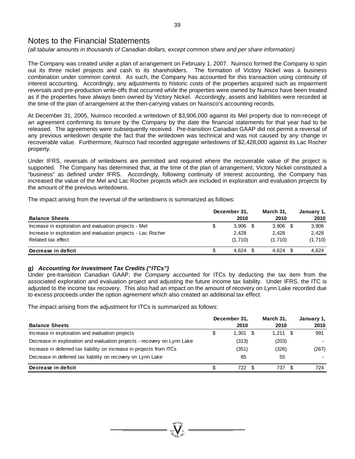*(all tabular amounts in thousands of Canadian dollars, except common share and per share information)* 

The Company was created under a plan of arrangement on February 1, 2007. Nuinsco formed the Company to spin out its three nickel projects and cash to its shareholders. The formation of Victory Nickel was a business combination under common control. As such, the Company has accounted for this transaction using continuity of interest accounting. Accordingly, any adjustments to historic costs of the properties acquired such as impairment reversals and pre-production write-offs that occurred while the properties were owned by Nuinsco have been treated as if the properties have always been owned by Victory Nickel. Accordingly, assets and liabilities were recorded at the time of the plan of arrangement at the then-carrying values on Nuinsco's accounting records.

At December 31, 2005, Nuinsco recorded a writedown of \$3,906,000 against its Mel property due to non-receipt of an agreement confirming its tenure by the Company by the date the financial statements for that year had to be released. The agreements were subsequently received. Pre-transition Canadian GAAP did not permit a reversal of any previous writedown despite the fact that the writedown was technical and was not caused by any change in recoverable value. Furthermore, Nuinsco had recorded aggregate writedowns of \$2,428,000 against its Lac Rocher property.

Under IFRS, reversals of writedowns are permitted and required where the recoverable value of the project is supported. The Company has determined that, at the time of the plan of arrangement, Victory Nickel constituted a "business" as defined under IFRS. Accordingly, following continuity of interest accounting, the Company has increased the value of the Mel and Lac Rocher projects which are included in exploration and evaluation projects by the amount of the previous writedowns.

The impact arising from the reversal of the writedowns is summarized as follows:

|                                                              |    | December 31,  | March 31,   | January 1, |  |
|--------------------------------------------------------------|----|---------------|-------------|------------|--|
| <b>Balance Sheets</b>                                        |    | 2010          | 2010        | 2010       |  |
| Increase in exploration and evaluation projects - Mel        | \$ | 3.906<br>- \$ | $3,906$ \$  | 3,906      |  |
| Increase in exploration and evaluation projects - Lac Rocher |    | 2,428         | 2.428       | 2.428      |  |
| Related tax effect                                           |    | (1,710)       | (1.710)     | (1,710)    |  |
| Decrease in deficit                                          | S  | 4.624         | 4.624<br>-S | 4.624      |  |

# *g) Accounting for Investment Tax Credits ("ITCs")*

Under pre-transition Canadian GAAP, the Company accounted for ITCs by deducting the tax item from the associated exploration and evaluation project and adjusting the future income tax liability. Under IFRS, the ITC is adjusted to the income tax recovery. This also had an impact on the amount of recovery on Lynn Lake recorded due to excess proceeds under the option agreement which also created an additional tax effect.

The impact arising from the adjustment for ITCs is summarized as follows:

|                                                                         | December 31.     | March 31.  | January 1, |
|-------------------------------------------------------------------------|------------------|------------|------------|
| <b>Balance Sheets</b>                                                   | 2010             | 2010       | 2010       |
| Increase in exploration and evaluation projects                         | \$<br>$1.301$ \$ | $1.211$ \$ | 991        |
| Decrease in exploration and evaluation projects - recovery on Lynn Lake | (313)            | (203)      |            |
| Increase in deferred tax liability on increase in projects from ITCs    | (351)            | (326)      | (267)      |
| Decrease in deferred tax liability on recovery on Lynn Lake             | 85               | 55         |            |
| Decrease in deficit                                                     | 722              | 737        | 724        |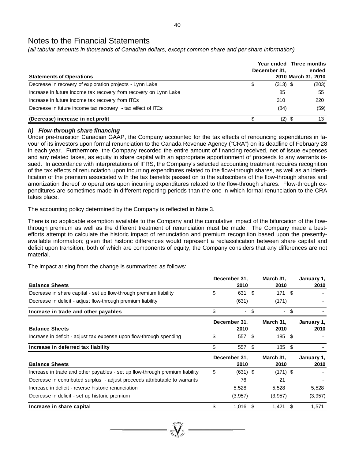*(all tabular amounts in thousands of Canadian dollars, except common share and per share information)* 

| <b>Statements of Operations</b>                                   | Year ended Three months<br>December 31,<br>2010 March 31, 2010 | ended |
|-------------------------------------------------------------------|----------------------------------------------------------------|-------|
| Decrease in recovery of exploration projects - Lynn Lake          | \$<br>$(313)$ \$                                               | (203) |
| Increase in future income tax recovery from recovery on Lynn Lake | 85                                                             | 55    |
| Increase in future income tax recovery from ITCs                  | 310                                                            | 220   |
| Decrease in future income tax recovery - tax effect of ITCs       | (84)                                                           | (59)  |
| (Decrease) increase in net profit                                 | (2) S                                                          | 13    |

# *h) Flow-through share financing*

Under pre-transition Canadian GAAP, the Company accounted for the tax effects of renouncing expenditures in favour of its investors upon formal renunciation to the Canada Revenue Agency ("CRA") on its deadline of February 28 in each year. Furthermore, the Company recorded the entire amount of financing received, net of issue expenses and any related taxes, as equity in share capital with an appropriate apportionment of proceeds to any warrants issued. In accordance with interpretations of IFRS, the Company's selected accounting treatment requires recognition of the tax effects of renunciation upon incurring expenditures related to the flow-through shares, as well as an identification of the premium associated with the tax benefits passed on to the subscribers of the flow-through shares and amortization thereof to operations upon incurring expenditures related to the flow-through shares. Flow-through expenditures are sometimes made in different reporting periods than the one in which formal renunciation to the CRA takes place.

The accounting policy determined by the Company is reflected in Note 3.

There is no applicable exemption available to the Company and the cumulative impact of the bifurcation of the flowthrough premium as well as the different treatment of renunciation must be made. The Company made a bestefforts attempt to calculate the historic impact of renunciation and premium recognition based upon the presentlyavailable information; given that historic differences would represent a reclassification between share capital and deficit upon transition, both of which are components of equity, the Company considers that any differences are not material.

The impact arising from the change is summarized as follows:

| <b>Balance Sheets</b>                                                        |    | December 31,<br>2010 |                   | March 31,<br>2010 |                    | January 1,<br>2010 |
|------------------------------------------------------------------------------|----|----------------------|-------------------|-------------------|--------------------|--------------------|
| Decrease in share capital - set up flow-through premium liability            | \$ | 631 \$               |                   | 171               | - \$               |                    |
| Decrease in deficit - adjust flow-through premium liability                  |    | (631)                |                   | (171)             |                    |                    |
| Increase in trade and other payables                                         |    | $\sim$               | - \$              | ۰                 | \$                 |                    |
| <b>Balance Sheets</b>                                                        |    | December 31,<br>2010 |                   | March 31,<br>2010 |                    | January 1,<br>2010 |
| Increase in deficit - adjust tax expense upon flow-through spending          | \$ | 557 \$               |                   | 185 \$            |                    |                    |
| Increase in deferred tax liability                                           | \$ | 557                  | \$                | 185               | -\$                |                    |
| <b>Balance Sheets</b>                                                        |    | December 31,<br>2010 | March 31,<br>2010 |                   | January 1,<br>2010 |                    |
| Increase in trade and other payables - set up flow-through premium liability | \$ | $(631)$ \$           |                   | $(171)$ \$        |                    |                    |
| Decrease in contributed surplus - adjust proceeds attributable to warrants   |    | 76                   |                   | 21                |                    |                    |
| Increase in deficit - reverse historic renunciation                          |    | 5,528                |                   | 5,528             |                    | 5,528              |
| Decrease in deficit - set up historic premium                                |    | (3,957)              |                   | (3,957)           |                    | (3,957)            |
| Increase in share capital                                                    | \$ | 1,016                |                   | 1,421             | S                  | 1,571              |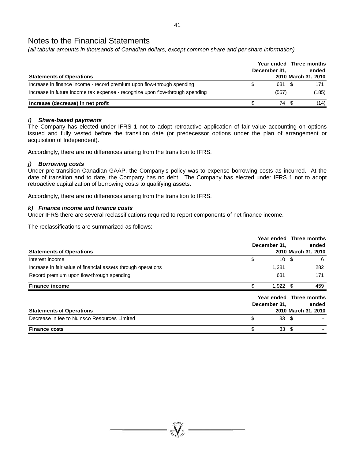*(all tabular amounts in thousands of Canadian dollars, except common share and per share information)* 

| <b>Statements of Operations</b>                                              | December 31, | Year ended Three months<br>ended<br>2010 March 31, 2010 |
|------------------------------------------------------------------------------|--------------|---------------------------------------------------------|
| Increase in finance income - record premium upon flow-through spending       | 631 \$       | 171                                                     |
| Increase in future income tax expense - recognize upon flow-through spending | (557)        | (185)                                                   |
| Increase (decrease) in net profit                                            | 74           | (14)                                                    |

### *i) Share-based payments*

The Company has elected under IFRS 1 not to adopt retroactive application of fair value accounting on options issued and fully vested before the transition date (or predecessor options under the plan of arrangement or acquisition of Independent).

Accordingly, there are no differences arising from the transition to IFRS.

# *j) Borrowing costs*

Under pre-transition Canadian GAAP, the Company's policy was to expense borrowing costs as incurred. At the date of transition and to date, the Company has no debt. The Company has elected under IFRS 1 not to adopt retroactive capitalization of borrowing costs to qualifying assets.

Accordingly, there are no differences arising from the transition to IFRS.

### *k) Finance income and finance costs*

Under IFRS there are several reclassifications required to report components of net finance income.

The reclassifications are summarized as follows:

|                                                               |              | Year ended Three months |                     |       |
|---------------------------------------------------------------|--------------|-------------------------|---------------------|-------|
|                                                               | December 31. |                         | ended               |       |
| <b>Statements of Operations</b>                               |              |                         | 2010 March 31, 2010 |       |
| Interest income                                               | \$           | 10S                     |                     | -6    |
| Increase in fair value of financial assets through operations |              | 1,281                   |                     | 282   |
| Record premium upon flow-through spending                     |              | 631                     |                     | 171   |
| <b>Finance income</b>                                         | \$.          | $1,922$ \$              |                     | 459   |
|                                                               |              | Year ended Three months |                     |       |
|                                                               |              | December 31.            |                     | ended |
| <b>Statements of Operations</b>                               |              |                         | 2010 March 31, 2010 |       |
| Decrease in fee to Nuinsco Resources Limited                  | \$           | 33S                     |                     |       |
| <b>Finance costs</b>                                          | \$           | 33                      |                     |       |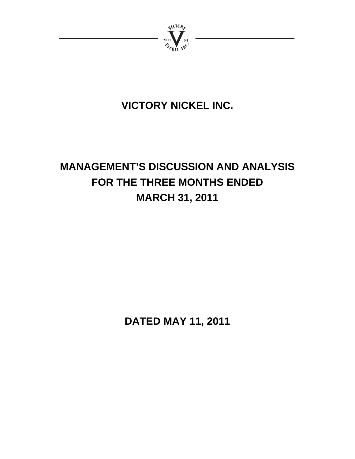

# **VICTORY NICKEL INC.**

# **MANAGEMENT'S DISCUSSION AND ANALYSIS FOR THE THREE MONTHS ENDED MARCH 31, 2011**

**DATED MAY 11, 2011**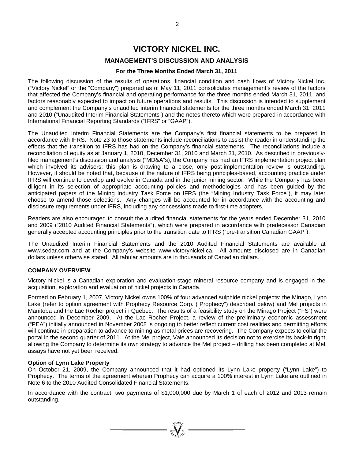# **VICTORY NICKEL INC.**

# **MANAGEMENT'S DISCUSSION AND ANALYSIS**

# **For the Three Months Ended March 31, 2011**

The following discussion of the results of operations, financial condition and cash flows of Victory Nickel Inc. ("Victory Nickel" or the "Company") prepared as of May 11, 2011 consolidates management's review of the factors that affected the Company's financial and operating performance for the three months ended March 31, 2011, and factors reasonably expected to impact on future operations and results. This discussion is intended to supplement and complement the Company's unaudited interim financial statements for the three months ended March 31, 2011 and 2010 ("Unaudited Interim Financial Statements") and the notes thereto which were prepared in accordance with International Financial Reporting Standards ("IFRS" or "GAAP").

The Unaudited Interim Financial Statements are the Company's first financial statements to be prepared in accordance with IFRS. Note 23 to those statements include reconciliations to assist the reader in understanding the effects that the transition to IFRS has had on the Company's financial statements. The reconciliations include a reconciliation of equity as at January 1, 2010, December 31, 2010 and March 31, 2010. As described in previouslyfiled management's discussion and analysis ("MD&A"s), the Company has had an IFRS implementation project plan which involved its advisers; this plan is drawing to a close, only post-implementation review is outstanding. However, it should be noted that, because of the nature of IFRS being principles-based, accounting practice under IFRS will continue to develop and evolve in Canada and in the junior mining sector. While the Company has been diligent in its selection of appropriate accounting policies and methodologies and has been guided by the anticipated papers of the Mining Industry Task Force on IFRS (the "Mining Industry Task Force"), it may later choose to amend those selections. Any changes will be accounted for in accordance with the accounting and disclosure requirements under IFRS, including any concessions made to first-time adopters.

Readers are also encouraged to consult the audited financial statements for the years ended December 31, 2010 and 2009 ("2010 Audited Financial Statements"), which were prepared in accordance with predecessor Canadian generally accepted accounting principles prior to the transition date to IFRS ("pre-transition Canadian GAAP").

The Unaudited Interim Financial Statements and the 2010 Audited Financial Statements are available at www.sedar.com and at the Company's website www.victorynickel.ca. All amounts disclosed are in Canadian dollars unless otherwise stated. All tabular amounts are in thousands of Canadian dollars.

# **COMPANY OVERVIEW**

Victory Nickel is a Canadian exploration and evaluation-stage mineral resource company and is engaged in the acquisition, exploration and evaluation of nickel projects in Canada.

Formed on February 1, 2007, Victory Nickel owns 100% of four advanced sulphide nickel projects: the Minago, Lynn Lake (refer to option agreement with Prophecy Resource Corp. ("Prophecy") described below) and Mel projects in Manitoba and the Lac Rocher project in Québec. The results of a feasibility study on the Minago Project ("FS") were announced in December 2009. At the Lac Rocher Project, a review of the preliminary economic assessment ("PEA") initially announced in November 2008 is ongoing to better reflect current cost realities and permitting efforts will continue in preparation to advance to mining as metal prices are recovering. The Company expects to collar the portal in the second quarter of 2011. At the Mel project, Vale announced its decision not to exercise its back-in right, allowing the Company to determine its own strategy to advance the Mel project – drilling has been completed at Mel, assays have not yet been received.

### **Option of Lynn Lake Property**

On October 21, 2009, the Company announced that it had optioned its Lynn Lake property ("Lynn Lake") to Prophecy. The terms of the agreement wherein Prophecy can acquire a 100% interest in Lynn Lake are outlined in Note 6 to the 2010 Audited Consolidated Financial Statements.

In accordance with the contract, two payments of \$1,000,000 due by March 1 of each of 2012 and 2013 remain outstanding.

 $\sum_{n=0}$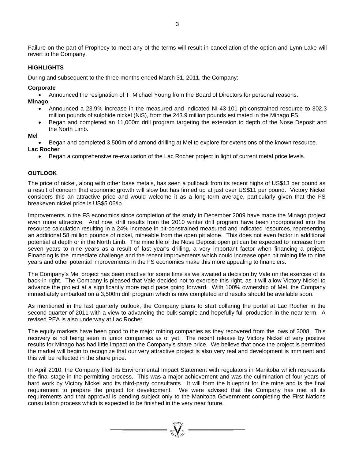Failure on the part of Prophecy to meet any of the terms will result in cancellation of the option and Lynn Lake will revert to the Company.

### **HIGHLIGHTS**

During and subsequent to the three months ended March 31, 2011, the Company:

#### **Corporate**

Announced the resignation of T. Michael Young from the Board of Directors for personal reasons.

**Minago** 

- Announced a 23.9% increase in the measured and indicated NI-43-101 pit-constrained resource to 302.3 million pounds of sulphide nickel (NiS), from the 243.9 million pounds estimated in the Minago FS.
- Began and completed an 11,000m drill program targeting the extension to depth of the Nose Deposit and the North Limb.

**Mel** 

Began and completed 3,500m of diamond drilling at Mel to explore for extensions of the known resource.

### **Lac Rocher**

Began a comprehensive re-evaluation of the Lac Rocher project in light of current metal price levels.

### **OUTLOOK**

The price of nickel, along with other base metals, has seen a pullback from its recent highs of US\$13 per pound as a result of concern that economic growth will slow but has firmed up at just over US\$11 per pound. Victory Nickel considers this an attractive price and would welcome it as a long-term average, particularly given that the FS breakeven nickel price is US\$5.06/lb.

Improvements in the FS economics since completion of the study in December 2009 have made the Minago project even more attractive. And now, drill results from the 2010 winter drill program have been incorporated into the resource calculation resulting in a 24% increase in pit-constrained measured and indicated resources, representing an additional 58 million pounds of nickel, mineable from the open pit alone. This does not even factor in additional potential at depth or in the North Limb. The mine life of the Nose Deposit open pit can be expected to increase from seven years to nine years as a result of last year's drilling, a very important factor when financing a project. Financing is the immediate challenge and the recent improvements which could increase open pit mining life to nine years and other potential improvements in the FS economics make this more appealing to financiers.

The Company's Mel project has been inactive for some time as we awaited a decision by Vale on the exercise of its back-in right. The Company is pleased that Vale decided not to exercise this right, as it will allow Victory Nickel to advance the project at a significantly more rapid pace going forward. With 100% ownership of Mel, the Company immediately embarked on a 3,500m drill program which is now completed and results should be available soon.

As mentioned in the last quarterly outlook, the Company plans to start collaring the portal at Lac Rocher in the second quarter of 2011 with a view to advancing the bulk sample and hopefully full production in the near term. A revised PEA is also underway at Lac Rocher.

The equity markets have been good to the major mining companies as they recovered from the lows of 2008. This recovery is not being seen in junior companies as of yet. The recent release by Victory Nickel of very positive results for Minago has had little impact on the Company's share price. We believe that once the project is permitted the market will begin to recognize that our very attractive project is also very real and development is imminent and this will be reflected in the share price.

In April 2010, the Company filed its Environmental Impact Statement with regulators in Manitoba which represents the final stage in the permitting process. This was a major achievement and was the culmination of four years of hard work by Victory Nickel and its third-party consultants. It will form the blueprint for the mine and is the final requirement to prepare the project for development. We were advised that the Company has met all its requirements and that approval is pending subject only to the Manitoba Government completing the First Nations consultation process which is expected to be finished in the very near future.

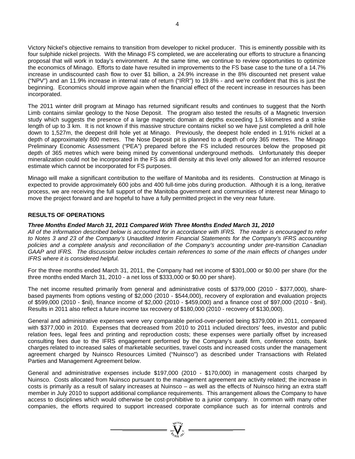Victory Nickel's objective remains to transition from developer to nickel producer. This is eminently possible with its four sulphide nickel projects. With the Minago FS completed, we are accelerating our efforts to structure a financing proposal that will work in today's environment. At the same time, we continue to review opportunities to optimize the economics of Minago. Efforts to date have resulted in improvements to the FS base case to the tune of a 14.7% increase in undiscounted cash flow to over \$1 billion, a 24.9% increase in the 8% discounted net present value ("NPV") and an 11.9% increase in internal rate of return ("IRR") to 19.8% - and we're confident that this is just the beginning. Economics should improve again when the financial effect of the recent increase in resources has been incorporated.

The 2011 winter drill program at Minago has returned significant results and continues to suggest that the North Limb contains similar geology to the Nose Deposit. The program also tested the results of a Magnetic Inversion study which suggests the presence of a large magnetic domain at depths exceeding 1.5 kilometres and a strike length of up to 3 km. It is not known if this massive structure contains nickel so we have just completed a drill hole down to 1,527m, the deepest drill hole yet at Minago. Previously, the deepest hole ended in 1.91% nickel at a depth of approximately 800 metres. The Nose Deposit pit is planned to a depth of only 365 metres. The Minago Preliminary Economic Assessment ("PEA") prepared before the FS included resources below the proposed pit depth of 365 metres which were being mined by conventional underground methods. Unfortunately this deeper mineralization could not be incorporated in the FS as drill density at this level only allowed for an inferred resource estimate which cannot be incorporated for FS purposes.

Minago will make a significant contribution to the welfare of Manitoba and its residents. Construction at Minago is expected to provide approximately 600 jobs and 400 full-time jobs during production. Although it is a long, iterative process, we are receiving the full support of the Manitoba government and communities of interest near Minago to move the project forward and are hopeful to have a fully permitted project in the very near future.

### **RESULTS OF OPERATIONS**

#### *Three Months Ended March 31, 2011 Compared With Three Months Ended March 31, 2010*

*All of the information described below is accounted for in accordance with IFRS. The reader is encouraged to refer to Notes 3 and 23 of the Company's Unaudited Interim Financial Statements for the Company's IFRS accounting policies and a complete analysis and reconciliation of the Company's accounting under pre-transition Canadian GAAP and IFRS. The discussion below includes certain references to some of the main effects of changes under IFRS where it is considered helpful.* 

For the three months ended March 31, 2011, the Company had net income of \$301,000 or \$0.00 per share (for the three months ended March 31, 2010 - a net loss of \$333,000 or \$0.00 per share).

The net income resulted primarily from general and administrative costs of \$379,000 (2010 - \$377,000), sharebased payments from options vesting of \$2,000 (2010 - \$544,000), recovery of exploration and evaluation projects of \$599,000 (2010 - \$nil), finance income of \$2,000 (2010 - \$459,000) and a finance cost of \$97,000 (2010 - \$nil). Results in 2011 also reflect a future income tax recovery of \$180,000 (2010 - recovery of \$130,000).

General and administrative expenses were very comparable period-over-period being \$379,000 in 2011, compared with \$377,000 in 2010. Expenses that decreased from 2010 to 2011 included directors' fees, investor and public relation fees, legal fees and printing and reproduction costs; these expenses were partially offset by increased consulting fees due to the IFRS engagement performed by the Company's audit firm, conference costs, bank charges related to increased sales of marketable securities, travel costs and increased costs under the management agreement charged by Nuinsco Resources Limited ("Nuinsco") as described under Transactions with Related Parties and Management Agreement below.

General and administrative expenses include \$197,000 (2010 - \$170,000) in management costs charged by Nuinsco. Costs allocated from Nuinsco pursuant to the management agreement are activity related; the increase in costs is primarily as a result of salary increases at Nuinsco – as well as the effects of Nuinsco hiring an extra staff member in July 2010 to support additional compliance requirements. This arrangement allows the Company to have access to disciplines which would otherwise be cost-prohibitive to a junior company. In common with many other companies, the efforts required to support increased corporate compliance such as for internal controls and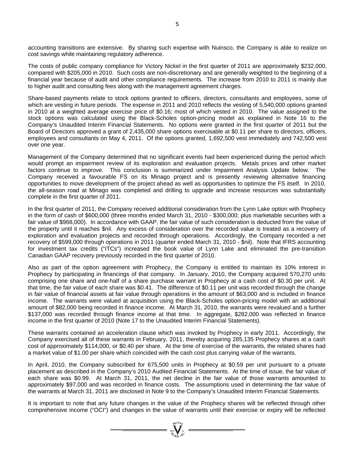accounting transitions are extensive. By sharing such expertise with Nuinsco, the Company is able to realize on cost savings while maintaining regulatory adherence.

The costs of public company compliance for Victory Nickel in the first quarter of 2011 are approximately \$232,000, compared with \$205,000 in 2010. Such costs are non-discretionary and are generally weighted to the beginning of a financial year because of audit and other compliance requirements. The increase from 2010 to 2011 is mainly due to higher audit and consulting fees along with the management agreement charges.

Share-based payments relate to stock options granted to officers, directors, consultants and employees, some of which are vesting in future periods. The expense in 2011 and 2010 reflects the vesting of 5,540,000 options granted in 2010 at a weighted average exercise price of \$0.16; most of which vested in 2010. The value assigned to the stock options was calculated using the Black-Scholes option-pricing model as explained in Note 16 to the Company's Unaudited Interim Financial Statements. No options were granted in the first quarter of 2011 but the Board of Directors approved a grant of 2,435,000 share options exercisable at \$0.11 per share to directors, officers, employees and consultants on May 4, 2011. Of the options granted, 1,692,500 vest immediately and 742,500 vest over one year.

Management of the Company determined that no significant events had been experienced during the period which would prompt an impairment review of its exploration and evaluation projects. Metals prices and other market factors continue to improve. This conclusion is summarized under Impairment Analysis Update below. The Company received a favourable FS on its Minago project and is presently reviewing alternative financing opportunities to move development of the project ahead as well as opportunities to optimize the FS itself. In 2010, the all-season road at Minago was completed and drilling to upgrade and increase resources was substantially complete in the first quarter of 2011.

In the first quarter of 2011, the Company received additional consideration from the Lynn Lake option with Prophecy in the form of cash of \$600,000 (three months ended March 31, 2010 - \$300,000; plus marketable securities with a fair value of \$968,000). In accordance with GAAP, the fair value of such consideration is deducted from the value of the property until it reaches \$nil. Any excess of consideration over the recorded value is treated as a recovery of exploration and evaluation projects and recorded through operations. Accordingly, the Company recorded a net recovery of \$599,000 through operations in 2011 (quarter ended March 31, 2010 - \$nil). Note that IFRS accounting for investment tax credits ("ITCs") increased the book value of Lynn Lake and eliminated the pre-transition Canadian GAAP recovery previously recorded in the first quarter of 2010.

Also as part of the option agreement with Prophecy, the Company is entitled to maintain its 10% interest in Prophecy by participating in financings of that company. In January, 2010, the Company acquired 570,270 units comprising one share and one-half of a share purchase warrant in Prophecy at a cash cost of \$0.30 per unit. At that time, the fair value of each share was \$0.41. The difference of \$0.11 per unit was recorded through the change in fair value of financial assets at fair value through operations in the amount of \$63,000 and is included in finance income. The warrants were valued at acquisition using the Black-Scholes option-pricing model with an additional amount of \$82,000 being recorded in finance income. At March 31, 2010, the warrants were revalued and a further \$137,000 was recorded through finance income at that time. In aggregate, \$282,000 was reflected in finance income in the first quarter of 2010 (Note 17 to the Unaudited Interim Financial Statements).

These warrants contained an acceleration clause which was invoked by Prophecy in early 2011. Accordingly, the Company exercised all of these warrants in February, 2011, thereby acquiring 285,135 Prophecy shares at a cash cost of approximately \$114,000, or \$0.40 per share. At the time of exercise of the warrants, the related shares had a market value of \$1.00 per share which coincided with the cash cost plus carrying value of the warrants.

In April, 2010, the Company subscribed for 675,500 units in Prophecy at \$0.59 per unit pursuant to a private placement as described in the Company's 2010 Audited Financial Statements. At the time of issue, the fair value of each share was \$0.99. At March 31, 2011, the net decline in the fair value of those warrants amounted to approximately \$97,000 and was recorded in finance costs. The assumptions used in determining the fair value of the warrants at March 31, 2011 are disclosed in Note 9 to the Company's Unaudited Interim Financial Statements.

It is important to note that any future changes in the value of the Prophecy shares will be reflected through other comprehensive income ("OCI") and changes in the value of warrants until their exercise or expiry will be reflected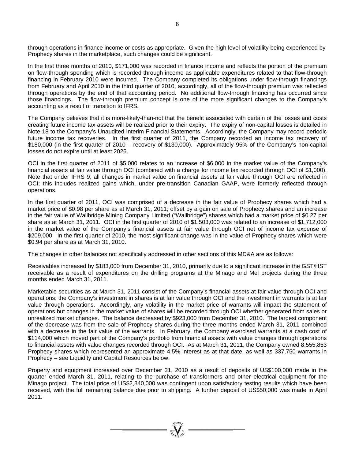through operations in finance income or costs as appropriate. Given the high level of volatility being experienced by Prophecy shares in the marketplace, such changes could be significant.

In the first three months of 2010, \$171,000 was recorded in finance income and reflects the portion of the premium on flow-through spending which is recorded through income as applicable expenditures related to that flow-through financing in February 2010 were incurred. The Company completed its obligations under flow-through financings from February and April 2010 in the third quarter of 2010, accordingly, all of the flow-through premium was reflected through operations by the end of that accounting period. No additional flow-through financing has occurred since those financings. The flow-through premium concept is one of the more significant changes to the Company's accounting as a result of transition to IFRS.

The Company believes that it is more-likely-than-not that the benefit associated with certain of the losses and costs creating future income tax assets will be realized prior to their expiry. The expiry of non-capital losses is detailed in Note 18 to the Company's Unaudited Interim Financial Statements. Accordingly, the Company may record periodic future income tax recoveries. In the first quarter of 2011, the Company recorded an income tax recovery of \$180,000 (in the first quarter of 2010 – recovery of \$130,000). Approximately 95% of the Company's non-capital losses do not expire until at least 2026.

OCI in the first quarter of 2011 of \$5,000 relates to an increase of \$6,000 in the market value of the Company's financial assets at fair value through OCI (combined with a charge for income tax recorded through OCI of \$1,000). Note that under IFRS 9, all changes in market value on financial assets at fair value through OCI are reflected in OCI; this includes realized gains which, under pre-transition Canadian GAAP, were formerly reflected through operations.

In the first quarter of 2011, OCI was comprised of a decrease in the fair value of Prophecy shares which had a market price of \$0.98 per share as at March 31, 2011; offset by a gain on sale of Prophecy shares and an increase in the fair value of Wallbridge Mining Company Limited ("Wallbridge") shares which had a market price of \$0.27 per share as at March 31, 2011. OCI in the first quarter of 2010 of \$1,503,000 was related to an increase of \$1,712,000 in the market value of the Company's financial assets at fair value through OCI net of income tax expense of \$209,000. In the first quarter of 2010, the most significant change was in the value of Prophecy shares which were \$0.94 per share as at March 31, 2010.

The changes in other balances not specifically addressed in other sections of this MD&A are as follows:

Receivables increased by \$183,000 from December 31, 2010, primarily due to a significant increase in the GST/HST receivable as a result of expenditures on the drilling programs at the Minago and Mel projects during the three months ended March 31, 2011.

Marketable securities as at March 31, 2011 consist of the Company's financial assets at fair value through OCI and operations; the Company's investment in shares is at fair value through OCI and the investment in warrants is at fair value through operations. Accordingly, any volatility in the market price of warrants will impact the statement of operations but changes in the market value of shares will be recorded through OCI whether generated from sales or unrealized market changes. The balance decreased by \$923,000 from December 31, 2010. The largest component of the decrease was from the sale of Prophecy shares during the three months ended March 31, 2011 combined with a decrease in the fair value of the warrants. In February, the Company exercised warrants at a cash cost of \$114,000 which moved part of the Company's portfolio from financial assets with value changes through operations to financial assets with value changes recorded through OCI. As at March 31, 2011, the Company owned 8,555,853 Prophecy shares which represented an approximate 4.5% interest as at that date, as well as 337,750 warrants in Prophecy – see Liquidity and Capital Resources below.

Property and equipment increased over December 31, 2010 as a result of deposits of US\$100,000 made in the quarter ended March 31, 2011, relating to the purchase of transformers and other electrical equipment for the Minago project. The total price of US\$2,840,000 was contingent upon satisfactory testing results which have been received, with the full remaining balance due prior to shipping. A further deposit of US\$50,000 was made in April 2011.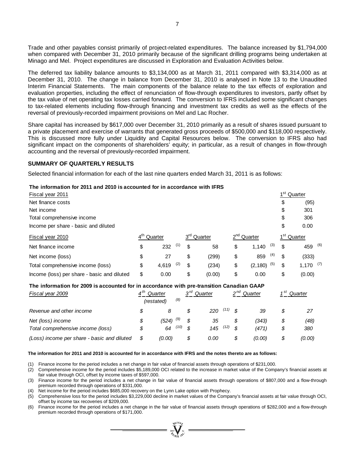Trade and other payables consist primarily of project-related expenditures. The balance increased by \$1,794,000 when compared with December 31, 2010 primarily because of the significant drilling programs being undertaken at Minago and Mel. Project expenditures are discussed in Exploration and Evaluation Activities below.

The deferred tax liability balance amounts to \$3,134,000 as at March 31, 2011 compared with \$3,314,000 as at December 31, 2010. The change in balance from December 31, 2010 is analysed in Note 13 to the Unaudited Interim Financial Statements. The main components of the balance relate to the tax effects of exploration and evaluation properties, including the effect of renunciation of flow-through expenditures to investors, partly offset by the tax value of net operating tax losses carried forward. The conversion to IFRS included some significant changes to tax-related elements including flow-through financing and investment tax credits as well as the effects of the reversal of previously-recorded impairment provisions on Mel and Lac Rocher.

Share capital has increased by \$617,000 over December 31, 2010 primarily as a result of shares issued pursuant to a private placement and exercise of warrants that generated gross proceeds of \$500,000 and \$118,000 respectively. This is discussed more fully under Liquidity and Capital Resources below. The conversion to IFRS also had significant impact on the components of shareholders' equity; in particular, as a result of changes in flow-through accounting and the reversal of previously-recorded impairment.

#### **SUMMARY OF QUARTERLY RESULTS**

Selected financial information for each of the last nine quarters ended March 31, 2011 is as follows:

#### **The information for 2011 and 2010 is accounted for in accordance with IFRS**

| Fiscal year 2011                            |                 |         |     |                         |                         |     | 1 <sup>st</sup> | Quarter                 |  |
|---------------------------------------------|-----------------|---------|-----|-------------------------|-------------------------|-----|-----------------|-------------------------|--|
| Net finance costs                           |                 |         |     |                         |                         |     | \$              | (95)                    |  |
| Net income                                  |                 |         |     |                         |                         |     | \$              | 301                     |  |
| Total comprehensive income                  |                 |         |     |                         |                         |     | \$              | 306                     |  |
| Income per share - basic and diluted        |                 |         |     |                         |                         |     | \$              | 0.00                    |  |
| Fiscal year 2010                            | $4^{\text{th}}$ | Quarter |     | 3 <sup>rd</sup> Quarter | 2 <sup>nd</sup> Quarter |     |                 | 1 <sup>st</sup> Quarter |  |
| Net finance income                          | \$              | 232     | (1) | \$<br>58                | \$<br>1,140             | (3) | \$              | 459 (6)                 |  |
| Net income (loss)                           | \$              | 27      |     | \$<br>(299)             | \$<br>859               | (4) | \$              | (333)                   |  |
| Total comprehensive income (loss)           | \$              | 4.619   | (2) | \$<br>(234)             | \$<br>$(2,180)^{(5)}$   |     | \$              | $1,170$ (7)             |  |
| Income (loss) per share - basic and diluted | \$              | 0.00    |     | \$<br>(0.00)            | \$<br>0.00              |     | \$              | (0.00)                  |  |

#### **The information for 2009 is accounted for in accordance with pre-transition Canadian GAAP**

| Fiscal year 2009                            | ⊿th | Quarter    |      | ∩רפ | Quarter |      | ე nd          | Quarter | 4 St<br>Quarter |        |  |
|---------------------------------------------|-----|------------|------|-----|---------|------|---------------|---------|-----------------|--------|--|
|                                             |     | (restated) | (8)  |     |         |      |               |         |                 |        |  |
| Revenue and other income                    |     | 8          |      |     | 220     | (11) | $\mathcal{S}$ | 39      |                 |        |  |
| Net (loss) income                           | S   | (524)      | (9)  |     | 35      |      |               | (343)   | \$              | (48)   |  |
| Total comprehensive income (loss)           |     | 64         | (10) | \$  | 145     | (12) | <b>S</b>      | (471)   | \$              | 380    |  |
| (Loss) income per share - basic and diluted |     | (0.00)     |      |     | 0.00    |      |               | (0.00)  | \$              | (0.00) |  |

#### **The information for 2011 and 2010 is accounted for in accordance with IFRS and the notes thereto are as follows:**

(1) Finance income for the period includes a net change in fair value of financial assets through operations of \$231,000.

(2) Comprehensive income for the period includes \$5,189,000 OCI related to the increase in market value of the Company's financial assets at fair value through OCI, offset by income taxes of \$597,000.

(3) Finance income for the period includes a net change in fair value of financial assets through operations of \$807,000 and a flow-through premium recorded through operations of \$331,000.

(4) Net income for the period includes \$685,000 recovery on the Lynn Lake option with Prophecy.

(5) Comprehensive loss for the period includes \$3,229,000 decline in market values of the Company's financial assets at fair value through OCI, offset by income tax recoveries of \$209,000.

Finance income for the period includes a net change in the fair value of financial assets through operations of \$282,000 and a flow-through premium recorded through operations of \$171,000.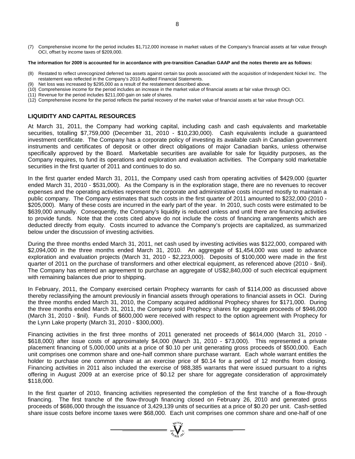(7) Comprehensive income for the period includes \$1,712,000 increase in market values of the Company's financial assets at fair value through OCI, offset by income taxes of \$209,000.

#### **The information for 2009 is accounted for in accordance with pre-transition Canadian GAAP and the notes thereto are as follows:**

- (8) Restated to reflect unrecognized deferred tax assets against certain tax pools associated with the acquisition of Independent Nickel Inc. The restatement was reflected in the Company's 2010 Audited Financial Statements.
- (9) Net loss was increased by \$295,000 as a result of the restatement described above.
- (10) Comprehensive income for the period includes an increase in the market value of financial assets at fair value through OCI.
- (11) Revenue for the period includes \$211,000 gain on sale of shares.
- (12) Comprehensive income for the period reflects the partial recovery of the market value of financial assets at fair value through OCI.

# **LIQUIDITY AND CAPITAL RESOURCES**

At March 31, 2011, the Company had working capital, including cash and cash equivalents and marketable securities, totalling \$7,759,000 (December 31, 2010 - \$10,230,000). Cash equivalents include a guaranteed investment certificate. The Company has a corporate policy of investing its available cash in Canadian government instruments and certificates of deposit or other direct obligations of major Canadian banks, unless otherwise specifically approved by the Board. Marketable securities are available for sale for liquidity purposes, as the Company requires, to fund its operations and exploration and evaluation activities. The Company sold marketable securities in the first quarter of 2011 and continues to do so.

In the first quarter ended March 31, 2011, the Company used cash from operating activities of \$429,000 (quarter ended March 31, 2010 - \$531,000). As the Company is in the exploration stage, there are no revenues to recover expenses and the operating activities represent the corporate and administrative costs incurred mostly to maintain a public company. The Company estimates that such costs in the first quarter of 2011 amounted to \$232,000 (2010 - \$205,000). Many of these costs are incurred in the early part of the year. In 2010, such costs were estimated to be \$639,000 annually. Consequently, the Company's liquidity is reduced unless and until there are financing activities to provide funds. Note that the costs cited above do not include the costs of financing arrangements which are deducted directly from equity. Costs incurred to advance the Company's projects are capitalized, as summarized below under the discussion of investing activities.

During the three months ended March 31, 2011, net cash used by investing activities was \$122,000, compared with \$2,094,000 in the three months ended March 31, 2010. An aggregate of \$1,454,000 was used to advance exploration and evaluation projects (March 31, 2010 - \$2,223,000). Deposits of \$100,000 were made in the first quarter of 2011 on the purchase of transformers and other electrical equipment, as referenced above (2010 - \$nil). The Company has entered an agreement to purchase an aggregate of US\$2,840,000 of such electrical equipment with remaining balances due prior to shipping.

In February, 2011, the Company exercised certain Prophecy warrants for cash of \$114,000 as discussed above thereby reclassifying the amount previously in financial assets through operations to financial assets in OCI. During the three months ended March 31, 2010, the Company acquired additional Prophecy shares for \$171,000. During the three months ended March 31, 2011, the Company sold Prophecy shares for aggregate proceeds of \$946,000 (March 31, 2010 - \$nil). Funds of \$600,000 were received with respect to the option agreement with Prophecy for the Lynn Lake property (March 31, 2010 - \$300,000).

Financing activities in the first three months of 2011 generated net proceeds of \$614,000 (March 31, 2010 - \$618,000) after issue costs of approximately \$4,000 (March 31, 2010 - \$73,000). This represented a private placement financing of 5,000,000 units at a price of \$0.10 per unit generating gross proceeds of \$500,000. Each unit comprises one common share and one-half common share purchase warrant. Each whole warrant entitles the holder to purchase one common share at an exercise price of \$0.14 for a period of 12 months from closing. Financing activities in 2011 also included the exercise of 988,385 warrants that were issued pursuant to a rights offering in August 2009 at an exercise price of \$0.12 per share for aggregate consideration of approximately \$118,000.

In the first quarter of 2010, financing activities represented the completion of the first tranche of a flow-through financing. The first tranche of the flow-through financing closed on February 26, 2010 and generated gross proceeds of \$686,000 through the issuance of 3,429,139 units of securities at a price of \$0.20 per unit. Cash-settled share issue costs before income taxes were \$68,000. Each unit comprises one common share and one-half of one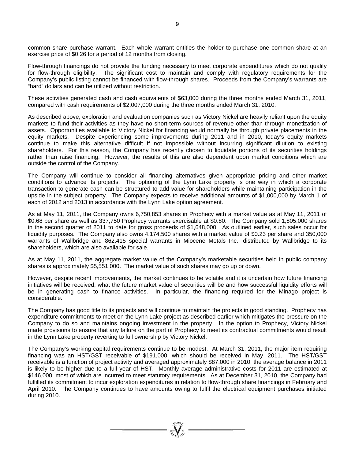common share purchase warrant. Each whole warrant entitles the holder to purchase one common share at an exercise price of \$0.26 for a period of 12 months from closing.

Flow-through financings do not provide the funding necessary to meet corporate expenditures which do not qualify for flow-through eligibility. The significant cost to maintain and comply with regulatory requirements for the Company's public listing cannot be financed with flow-through shares. Proceeds from the Company's warrants are "hard" dollars and can be utilized without restriction.

These activities generated cash and cash equivalents of \$63,000 during the three months ended March 31, 2011, compared with cash requirements of \$2,007,000 during the three months ended March 31, 2010.

As described above, exploration and evaluation companies such as Victory Nickel are heavily reliant upon the equity markets to fund their activities as they have no short-term sources of revenue other than through monetization of assets. Opportunities available to Victory Nickel for financing would normally be through private placements in the equity markets. Despite experiencing some improvements during 2011 and in 2010, today's equity markets continue to make this alternative difficult if not impossible without incurring significant dilution to existing shareholders. For this reason, the Company has recently chosen to liquidate portions of its securities holdings rather than raise financing. However, the results of this are also dependent upon market conditions which are outside the control of the Company.

The Company will continue to consider all financing alternatives given appropriate pricing and other market conditions to advance its projects. The optioning of the Lynn Lake property is one way in which a corporate transaction to generate cash can be structured to add value for shareholders while maintaining participation in the upside in the subject property. The Company expects to receive additional amounts of \$1,000,000 by March 1 of each of 2012 and 2013 in accordance with the Lynn Lake option agreement.

As at May 11, 2011, the Company owns 6,750,853 shares in Prophecy with a market value as at May 11, 2011 of \$0.68 per share as well as 337,750 Prophecy warrants exercisable at \$0.80. The Company sold 1,805,000 shares in the second quarter of 2011 to date for gross proceeds of \$1,648,000. As outlined earlier, such sales occur for liquidity purposes. The Company also owns 4,174,500 shares with a market value of \$0.23 per share and 350,000 warrants of Wallbridge and 862,415 special warrants in Miocene Metals Inc., distributed by Wallbridge to its shareholders, which are also available for sale.

As at May 11, 2011, the aggregate market value of the Company's marketable securities held in public company shares is approximately \$5,551,000. The market value of such shares may go up or down.

However, despite recent improvements, the market continues to be volatile and it is uncertain how future financing initiatives will be received, what the future market value of securities will be and how successful liquidity efforts will be in generating cash to finance activities. In particular, the financing required for the Minago project is considerable.

The Company has good title to its projects and will continue to maintain the projects in good standing. Prophecy has expenditure commitments to meet on the Lynn Lake project as described earlier which mitigates the pressure on the Company to do so and maintains ongoing investment in the property. In the option to Prophecy, Victory Nickel made provisions to ensure that any failure on the part of Prophecy to meet its contractual commitments would result in the Lynn Lake property reverting to full ownership by Victory Nickel.

The Company's working capital requirements continue to be modest. At March 31, 2011, the major item requiring financing was an HST/GST receivable of \$191,000, which should be received in May, 2011. The HST/GST receivable is a function of project activity and averaged approximately \$87,000 in 2010; the average balance in 2011 is likely to be higher due to a full year of HST. Monthly average administrative costs for 2011 are estimated at \$146,000, most of which are incurred to meet statutory requirements. As at December 31, 2010, the Company had fulfilled its commitment to incur exploration expenditures in relation to flow-through share financings in February and April 2010. The Company continues to have amounts owing to fulfil the electrical equipment purchases initiated during 2010.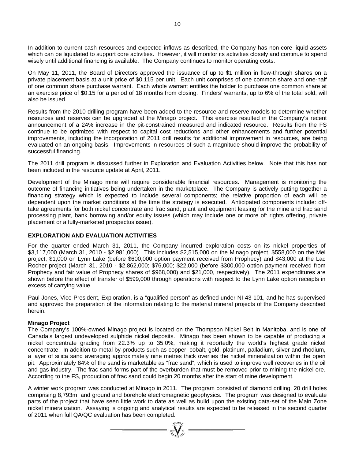In addition to current cash resources and expected inflows as described, the Company has non-core liquid assets which can be liquidated to support core activities. However, it will monitor its activities closely and continue to spend wisely until additional financing is available. The Company continues to monitor operating costs.

On May 11, 2011, the Board of Directors approved the issuance of up to \$1 million in flow-through shares on a private placement basis at a unit price of \$0.115 per unit. Each unit comprises of one common share and one-half of one common share purchase warrant. Each whole warrant entitles the holder to purchase one common share at an exercise price of \$0.15 for a period of 18 months from closing. Finders' warrants, up to 6% of the total sold, will also be issued.

Results from the 2010 drilling program have been added to the resource and reserve models to determine whether resources and reserves can be upgraded at the Minago project. This exercise resulted in the Company's recent announcement of a 24% increase in the pit-constrained measured and indicated resource. Results from the FS continue to be optimized with respect to capital cost reductions and other enhancements and further potential improvements, including the incorporation of 2011 drill results for additional improvement in resources, are being evaluated on an ongoing basis. Improvements in resources of such a magnitude should improve the probability of successful financing.

The 2011 drill program is discussed further in Exploration and Evaluation Activities below. Note that this has not been included in the resource update at April, 2011.

Development of the Minago mine will require considerable financial resources. Management is monitoring the outcome of financing initiatives being undertaken in the marketplace. The Company is actively putting together a financing strategy which is expected to include several components; the relative proportion of each will be dependent upon the market conditions at the time the strategy is executed. Anticipated components include: offtake agreements for both nickel concentrate and frac sand, plant and equipment leasing for the mine and frac sand processing plant, bank borrowing and/or equity issues (which may include one or more of: rights offering, private placement or a fully-marketed prospectus issue).

### **EXPLORATION AND EVALUATION ACTIVITIES**

For the quarter ended March 31, 2011, the Company incurred exploration costs on its nickel properties of \$3,117,000 (March 31, 2010 - \$2,981,000). This includes \$2,515,000 on the Minago project, \$558,000 on the Mel project, \$1,000 on Lynn Lake (before \$600,000 option payment received from Prophecy) and \$43,000 at the Lac Rocher project (March 31, 2010 - \$2,862,000; \$76,000; \$22,000 (before \$300,000 option payment received from Prophecy and fair value of Prophecy shares of \$968,000) and \$21,000, respectively). The 2011 expenditures are shown before the effect of transfer of \$599,000 through operations with respect to the Lynn Lake option receipts in excess of carrying value.

Paul Jones, Vice-President, Exploration, is a "qualified person" as defined under NI-43-101, and he has supervised and approved the preparation of the information relating to the material mineral projects of the Company described herein.

### **Minago Project**

The Company's 100%-owned Minago project is located on the Thompson Nickel Belt in Manitoba, and is one of Canada's largest undeveloped sulphide nickel deposits. Minago has been shown to be capable of producing a nickel concentrate grading from 22.3% up to 35.0%, making it reportedly the world's highest grade nickel concentrate. In addition to metal by-products such as copper, cobalt, gold, platinum, palladium, silver and rhodium, a layer of silica sand averaging approximately nine metres thick overlies the nickel mineralization within the open pit. Approximately 84% of the sand is marketable as "frac sand", which is used to improve well recoveries in the oil and gas industry. The frac sand forms part of the overburden that must be removed prior to mining the nickel ore. According to the FS, production of frac sand could begin 20 months after the start of mine development.

A winter work program was conducted at Minago in 2011. The program consisted of diamond drilling, 20 drill holes comprising 8,793m, and ground and borehole electromagnetic geophysics. The program was designed to evaluate parts of the project that have seen little work to date as well as build upon the existing data-set of the Main Zone nickel mineralization. Assaying is ongoing and analytical results are expected to be released in the second quarter of 2011 when full QA/QC evaluation has been completed.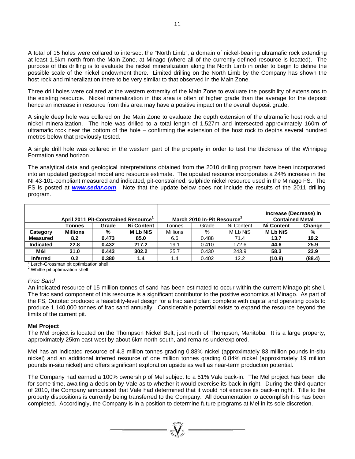A total of 15 holes were collared to intersect the "North Limb", a domain of nickel-bearing ultramafic rock extending at least 1.5km north from the Main Zone, at Minago (where all of the currently-defined resource is located). The purpose of this drilling is to evaluate the nickel mineralization along the North Limb in order to begin to define the possible scale of the nickel endowment there. Limited drilling on the North Limb by the Company has shown the host rock and mineralization there to be very similar to that observed in the Main Zone.

Three drill holes were collared at the western extremity of the Main Zone to evaluate the possibility of extensions to the existing resource. Nickel mineralization in this area is often of higher grade than the average for the deposit hence an increase in resource from this area may have a positive impact on the overall deposit grade.

A single deep hole was collared on the Main Zone to evaluate the depth extension of the ultramafic host rock and nickel mineralization. The hole was drilled to a total length of 1,527m and intersected approximately 160m of ultramafic rock near the bottom of the hole – confirming the extension of the host rock to depths several hundred metres below that previously tested.

A single drill hole was collared in the western part of the property in order to test the thickness of the Winnipeg Formation sand horizon.

The analytical data and geological interpretations obtained from the 2010 drilling program have been incorporated into an updated geological model and resource estimate. The updated resource incorporates a 24% increase in the NI 43-101-compliant measured and indicated, pit-constrained, sulphide nickel resource used in the Minago FS. The FS is posted at *www.sedar.com*. Note that the update below does not include the results of the 2011 drilling program.

|                  | April 2011 Pit-Constrained Resource <sup>1</sup> |       |                   |                 | March 2010 In-Pit Resource <sup>2</sup> |            | Increase (Decrease) in<br><b>Contained Metal</b> |        |
|------------------|--------------------------------------------------|-------|-------------------|-----------------|-----------------------------------------|------------|--------------------------------------------------|--------|
|                  | Tonnes                                           | Grade | <b>Ni Content</b> | Tonnes          | Grade                                   | Ni Content | <b>Ni Content</b>                                | Change |
| Category         | <b>Millions</b>                                  | %     | <b>MLbNiS</b>     | <b>Millions</b> | %                                       | M Lb NiS   | <b>MLbNiS</b>                                    | %      |
| <b>Measured</b>  | 8.2                                              | 0.473 | 85.0              | 6.6             | 0.488                                   | 71.4       | 13.7                                             | 19.2   |
| <b>Indicated</b> | 22.8                                             | 0.432 | 217.2             | 19.1            | 0.410                                   | 172.6      | 44.6                                             | 25.9   |
| M&I              | 31.0                                             | 0.443 | 302.2             | 25.7            | 0.430                                   | 243.9      | 58.3                                             | 23.9   |
| <b>Inferred</b>  | 0.2 <sub>0</sub>                                 | 0.380 | 1.4               | 1.4             | 0.402                                   | 12.2       | (10.8)                                           | (88.4) |

1 Lerch-Grossman pit optimization shell

<sup>2</sup> Whittle pit optimization shell

### *Frac Sand*

An indicated resource of 15 million tonnes of sand has been estimated to occur within the current Minago pit shell. The frac sand component of this resource is a significant contributor to the positive economics at Minago. As part of the FS, Outotec produced a feasibility-level design for a frac sand plant complete with capital and operating costs to produce 1,140,000 tonnes of frac sand annually. Considerable potential exists to expand the resource beyond the limits of the current pit.

### **Mel Project**

The Mel project is located on the Thompson Nickel Belt, just north of Thompson, Manitoba. It is a large property, approximately 25km east-west by about 6km north-south, and remains underexplored.

Mel has an indicated resource of 4.3 million tonnes grading 0.88% nickel (approximately 83 million pounds in-situ nickel) and an additional inferred resource of one million tonnes grading 0.84% nickel (approximately 19 million pounds in-situ nickel) and offers significant exploration upside as well as near-term production potential.

The Company had earned a 100% ownership of Mel subject to a 51% Vale back-in. The Mel project has been idle for some time, awaiting a decision by Vale as to whether it would exercise its back-in right. During the third quarter of 2010, the Company announced that Vale had determined that it would not exercise its back-in right. Title to the property dispositions is currently being transferred to the Company. All documentation to accomplish this has been completed. Accordingly, the Company is in a position to determine future programs at Mel in its sole discretion.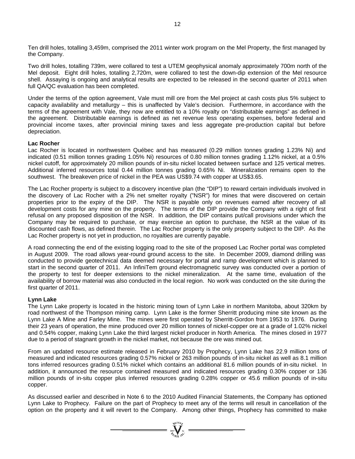Ten drill holes, totalling 3,459m, comprised the 2011 winter work program on the Mel Property, the first managed by the Company.

Two drill holes, totalling 739m, were collared to test a UTEM geophysical anomaly approximately 700m north of the Mel deposit. Eight drill holes, totalling 2,720m, were collared to test the down-dip extension of the Mel resource shell. Assaying is ongoing and analytical results are expected to be released in the second quarter of 2011 when full QA/QC evaluation has been completed.

Under the terms of the option agreement, Vale must mill ore from the Mel project at cash costs plus 5% subject to capacity availability and metallurgy – this is unaffected by Vale's decision. Furthermore, in accordance with the terms of the agreement with Vale, they now are entitled to a 10% royalty on "distributable earnings" as defined in the agreement. Distributable earnings is defined as net revenue less operating expenses, before federal and provincial income taxes, after provincial mining taxes and less aggregate pre-production capital but before depreciation.

#### **Lac Rocher**

Lac Rocher is located in northwestern Québec and has measured (0.29 million tonnes grading 1.23% Ni) and indicated (0.51 million tonnes grading 1.05% Ni) resources of 0.80 million tonnes grading 1.12% nickel, at a 0.5% nickel cutoff, for approximately 20 million pounds of in-situ nickel located between surface and 125 vertical metres. Additional inferred resources total 0.44 million tonnes grading 0.65% Ni. Mineralization remains open to the southwest. The breakeven price of nickel in the PEA was US\$9.74 with copper at US\$3.65.

The Lac Rocher property is subject to a discovery incentive plan (the "DIP") to reward certain individuals involved in the discovery of Lac Rocher with a 2% net smelter royalty ("NSR") for mines that were discovered on certain properties prior to the expiry of the DIP. The NSR is payable only on revenues earned after recovery of all development costs for any mine on the property. The terms of the DIP provide the Company with a right of first refusal on any proposed disposition of the NSR. In addition, the DIP contains put/call provisions under which the Company may be required to purchase, or may exercise an option to purchase, the NSR at the value of its discounted cash flows, as defined therein. The Lac Rocher property is the only property subject to the DIP. As the Lac Rocher property is not yet in production, no royalties are currently payable.

A road connecting the end of the existing logging road to the site of the proposed Lac Rocher portal was completed in August 2009. The road allows year-round ground access to the site. In December 2009, diamond drilling was conducted to provide geotechnical data deemed necessary for portal and ramp development which is planned to start in the second quarter of 2011. An InfiniTem ground electromagnetic survey was conducted over a portion of the property to test for deeper extensions to the nickel mineralization. At the same time, evaluation of the availability of borrow material was also conducted in the local region. No work was conducted on the site during the first quarter of 2011.

#### **Lynn Lake**

The Lynn Lake property is located in the historic mining town of Lynn Lake in northern Manitoba, about 320km by road northwest of the Thompson mining camp. Lynn Lake is the former Sherritt producing mine site known as the Lynn Lake A Mine and Farley Mine. The mines were first operated by Sherritt-Gordon from 1953 to 1976. During their 23 years of operation, the mine produced over 20 million tonnes of nickel-copper ore at a grade of 1.02% nickel and 0.54% copper, making Lynn Lake the third largest nickel producer in North America. The mines closed in 1977 due to a period of stagnant growth in the nickel market, not because the ore was mined out.

From an updated resource estimate released in February 2010 by Prophecy, Lynn Lake has 22.9 million tons of measured and indicated resources grading 0.57% nickel or 263 million pounds of in-situ nickel as well as 8.1 million tons inferred resources grading 0.51% nickel which contains an additional 81.6 million pounds of in-situ nickel. In addition, it announced the resource contained measured and indicated resources grading 0.30% copper or 136 million pounds of in-situ copper plus inferred resources grading 0.28% copper or 45.6 million pounds of in-situ copper.

As discussed earlier and described in Note 6 to the 2010 Audited Financial Statements, the Company has optioned Lynn Lake to Prophecy. Failure on the part of Prophecy to meet any of the terms will result in cancellation of the option on the property and it will revert to the Company. Among other things, Prophecy has committed to make

 $\sum_{n=1}^{\infty} \sum_{n=1}^{\infty} n^n$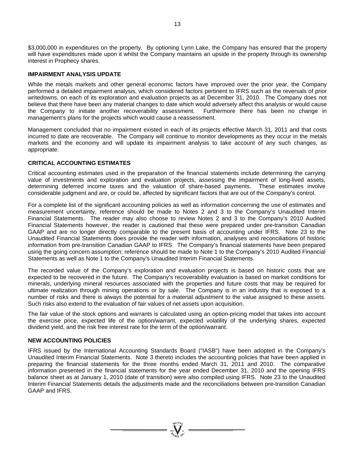\$3,000,000 in expenditures on the property. By optioning Lynn Lake, the Company has ensured that the property will have expenditures made upon it whilst the Company maintains an upside in the property through its ownership interest in Prophecy shares.

### **IMPAIRMENT ANALYSIS UPDATE**

While the metals markets and other general economic factors have improved over the prior year, the Company performed a detailed impairment analysis, which considered factors pertinent to IFRS such as the reversals of prior writedowns, on each of its exploration and evaluation projects as at December 31, 2010. The Company does not believe that there have been any material changes to date which would adversely affect this analysis or would cause the Company to initiate another recoverability assessment. Furthermore there has been no change in management's plans for the projects which would cause a reassessment.

Management concluded that no impairment existed in each of its projects effective March 31, 2011 and that costs incurred to date are recoverable. The Company will continue to monitor developments as they occur in the metals markets and the economy and will update its impairment analysis to take account of any such changes, as appropriate.

### **CRITICAL ACCOUNTING ESTIMATES**

Critical accounting estimates used in the preparation of the financial statements include determining the carrying value of investments and exploration and evaluation projects, assessing the impairment of long-lived assets, determining deferred income taxes and the valuation of share-based payments. These estimates involve considerable judgment and are, or could be, affected by significant factors that are out of the Company's control.

For a complete list of the significant accounting policies as well as information concerning the use of estimates and measurement uncertainty, reference should be made to Notes 2 and 3 to the Company's Unaudited Interim Financial Statements. The reader may also choose to review Notes 2 and 3 to the Company's 2010 Audited Financial Statements however, the reader is cautioned that these were prepared under pre-transition Canadian GAAP and are no longer directly comparable to the present basis of accounting under IFRS. Note 23 to the Unaudited Financial Statements does provide the reader with information, analyses and reconciliations of historic information from pre-transition Canadian GAAP to IFRS. The Company's financial statements have been prepared using the going concern assumption; reference should be made to Note 1 to the Company's 2010 Audited Financial Statements as well as Note 1 to the Company's Unaudited Interim Financial Statements.

The recorded value of the Company's exploration and evaluation projects is based on historic costs that are expected to be recovered in the future. The Company's recoverability evaluation is based on market conditions for minerals, underlying mineral resources associated with the properties and future costs that may be required for ultimate realization through mining operations or by sale. The Company is in an industry that is exposed to a number of risks and there is always the potential for a material adjustment to the value assigned to these assets. Such risks also extend to the evaluation of fair values of net assets upon acquisition.

The fair value of the stock options and warrants is calculated using an option-pricing model that takes into account the exercise price, expected life of the option/warrant, expected volatility of the underlying shares, expected dividend yield, and the risk free interest rate for the term of the option/warrant.

#### **NEW ACCOUNTING POLICIES**

IFRS issued by the International Accounting Standards Board ("IASB") have been adopted in the Company's Unaudited Interim Financial Statements. Note 3 thereto includes the accounting policies that have been applied in preparing the financial statements for the three months ended March 31, 2011 and 2010. The comparative information presented in the financial statements for the year ended December 31, 2010 and the opening IFRS balance sheet as at January 1, 2010 (date of transition) were also compiled using IFRS. Note 23 to the Unaudited Interim Financial Statements details the adjustments made and the reconciliations between pre-transition Canadian GAAP and IFRS.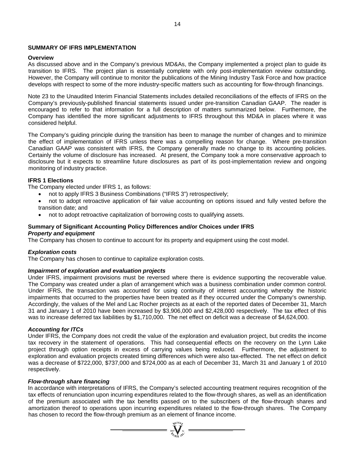### **SUMMARY OF IFRS IMPLEMENTATION**

### **Overview**

As discussed above and in the Company's previous MD&As, the Company implemented a project plan to guide its transition to IFRS. The project plan is essentially complete with only post-implementation review outstanding. However, the Company will continue to monitor the publications of the Mining Industry Task Force and how practice develops with respect to some of the more industry-specific matters such as accounting for flow-through financings.

Note 23 to the Unaudited Interim Financial Statements includes detailed reconciliations of the effects of IFRS on the Company's previously-published financial statements issued under pre-transition Canadian GAAP. The reader is encouraged to refer to that information for a full description of matters summarized below. Furthermore, the Company has identified the more significant adjustments to IFRS throughout this MD&A in places where it was considered helpful.

The Company's guiding principle during the transition has been to manage the number of changes and to minimize the effect of implementation of IFRS unless there was a compelling reason for change. Where pre-transition Canadian GAAP was consistent with IFRS, the Company generally made no change to its accounting policies. Certainly the volume of disclosure has increased. At present, the Company took a more conservative approach to disclosure but it expects to streamline future disclosures as part of its post-implementation review and ongoing monitoring of industry practice.

### **IFRS 1 Elections**

The Company elected under IFRS 1, as follows:

- not to apply IFRS 3 Business Combinations ("IFRS 3") retrospectively;
- not to adopt retroactive application of fair value accounting on options issued and fully vested before the transition date; and
- not to adopt retroactive capitalization of borrowing costs to qualifying assets.

#### **Summary of Significant Accounting Policy Differences and/or Choices under IFRS**  *Property and equipment*

The Company has chosen to continue to account for its property and equipment using the cost model.

### *Exploration costs*

The Company has chosen to continue to capitalize exploration costs.

### *Impairment of exploration and evaluation projects*

Under IFRS, impairment provisions must be reversed where there is evidence supporting the recoverable value. The Company was created under a plan of arrangement which was a business combination under common control. Under IFRS, the transaction was accounted for using continuity of interest accounting whereby the historic impairments that occurred to the properties have been treated as if they occurred under the Company's ownership. Accordingly, the values of the Mel and Lac Rocher projects as at each of the reported dates of December 31, March 31 and January 1 of 2010 have been increased by \$3,906,000 and \$2,428,000 respectively. The tax effect of this was to increase deferred tax liabilities by \$1,710,000. The net effect on deficit was a decrease of \$4,624,000.

### *Accounting for ITCs*

Under IFRS, the Company does not credit the value of the exploration and evaluation project, but credits the income tax recovery in the statement of operations. This had consequential effects on the recovery on the Lynn Lake project through option receipts in excess of carrying values being reduced. Furthermore, the adjustment to exploration and evaluation projects created timing differences which were also tax-effected. The net effect on deficit was a decrease of \$722,000, \$737,000 and \$724,000 as at each of December 31, March 31 and January 1 of 2010 respectively.

### *Flow-through share financing*

In accordance with interpretations of IFRS, the Company's selected accounting treatment requires recognition of the tax effects of renunciation upon incurring expenditures related to the flow-through shares, as well as an identification of the premium associated with the tax benefits passed on to the subscribers of the flow-through shares and amortization thereof to operations upon incurring expenditures related to the flow-through shares. The Company has chosen to record the flow-through premium as an element of finance income.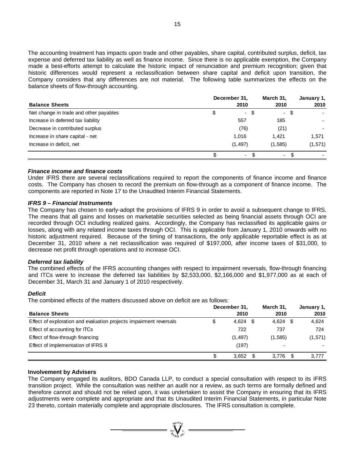The accounting treatment has impacts upon trade and other payables, share capital, contributed surplus, deficit, tax expense and deferred tax liability as well as finance income. Since there is no applicable exemption, the Company made a best-efforts attempt to calculate the historic impact of renunciation and premium recognition; given that historic differences would represent a reclassification between share capital and deficit upon transition, the Company considers that any differences are not material. The following table summarizes the effects on the balance sheets of flow-through accounting.

|                                        | December 31,         |         | January 1, |
|----------------------------------------|----------------------|---------|------------|
| <b>Balance Sheets</b>                  | 2010                 | 2010    | 2010       |
| Net change in trade and other payables | \$<br>- \$           | - \$    |            |
| Increase in deferred tax liability     | 557                  | 185     |            |
| Decrease in contributed surplus        | (76)                 | (21)    |            |
| Increase in share capital - net        | 1,016                | 1.421   | 1.571      |
| Increase in deficit, net               | (1, 497)             | (1,585) | (1,571)    |
|                                        | \$<br>- \$<br>$\sim$ | ۰.      |            |

#### *Finance income and finance costs*

Under IFRS there are several reclassifications required to report the components of finance income and finance costs. The Company has chosen to record the premium on flow-through as a component of finance income. The components are reported in Note 17 to the Unaudited Interim Financial Statements.

#### *IFRS 9 – Financial Instruments*

The Company has chosen to early-adopt the provisions of IFRS 9 in order to avoid a subsequent change to IFRS. The means that all gains and losses on marketable securities selected as being financial assets through OCI are recorded through OCI including realized gains. Accordingly, the Company has reclassified its applicable gains or losses, along with any related income taxes through OCI. This is applicable from January 1, 2010 onwards with no historic adjustment required. Because of the timing of transactions, the only applicable reportable effect is as at December 31, 2010 where a net reclassification was required of \$197,000, after income taxes of \$31,000, to decrease net profit through operations and to increase OCI.

### *Deferred tax liability*

The combined effects of the IFRS accounting changes with respect to impairment reversals, flow-through financing and ITCs were to increase the deferred tax liabilities by \$2,533,000, \$2,166,000 and \$1,977,000 as at each of December 31, March 31 and January 1 of 2010 respectively.

#### *Deficit*

The combined effects of the matters discussed above on deficit are as follows:

|                                                                    | December 31.       | March 31.  | January 1, |
|--------------------------------------------------------------------|--------------------|------------|------------|
| <b>Balance Sheets</b>                                              | 2010               | 2010       | 2010       |
| Effect of exploration and evaluation projects impairment reversals | \$<br>4,624<br>-SG | $4,624$ \$ | 4,624      |
| Effect of accounting for ITCs                                      | 722                | 737        | 724        |
| Effect of flow-through financing                                   | (1, 497)           | (1,585)    | (1,571)    |
| Effect of implementation of IFRS 9                                 | (197)              | ۰          |            |
|                                                                    | 3,652<br>\$.       | $3,776$ \$ | 3,777      |

#### **Involvement by Advisers**

The Company engaged its auditors, BDO Canada LLP, to conduct a special consultation with respect to its IFRS transition project. While the consultation was neither an audit nor a review, as such terms are formally defined and therefore cannot and should not be relied upon, it was undertaken to assist the Company in ensuring that its IFRS adjustments were complete and appropriate and that its Unaudited Interim Financial Statements, in particular Note 23 thereto, contain materially complete and appropriate disclosures. The IFRS consultation is complete.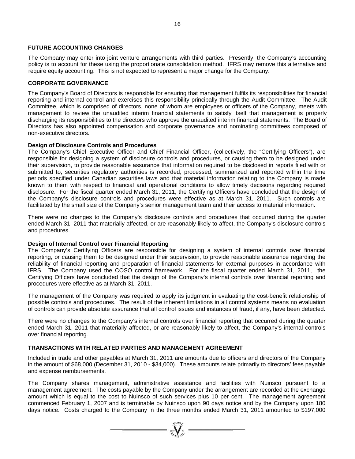### **FUTURE ACCOUNTING CHANGES**

The Company may enter into joint venture arrangements with third parties. Presently, the Company's accounting policy is to account for these using the proportionate consolidation method. IFRS may remove this alternative and require equity accounting. This is not expected to represent a major change for the Company.

### **CORPORATE GOVERNANCE**

The Company's Board of Directors is responsible for ensuring that management fulfils its responsibilities for financial reporting and internal control and exercises this responsibility principally through the Audit Committee. The Audit Committee, which is comprised of directors, none of whom are employees or officers of the Company, meets with management to review the unaudited interim financial statements to satisfy itself that management is properly discharging its responsibilities to the directors who approve the unaudited interim financial statements. The Board of Directors has also appointed compensation and corporate governance and nominating committees composed of non-executive directors.

### **Design of Disclosure Controls and Procedures**

The Company's Chief Executive Officer and Chief Financial Officer, (collectively, the "Certifying Officers"), are responsible for designing a system of disclosure controls and procedures, or causing them to be designed under their supervision, to provide reasonable assurance that information required to be disclosed in reports filed with or submitted to, securities regulatory authorities is recorded, processed, summarized and reported within the time periods specified under Canadian securities laws and that material information relating to the Company is made known to them with respect to financial and operational conditions to allow timely decisions regarding required disclosure. For the fiscal quarter ended March 31, 2011, the Certifying Officers have concluded that the design of the Company's disclosure controls and procedures were effective as at March 31, 2011. Such controls are facilitated by the small size of the Company's senior management team and their access to material information.

There were no changes to the Company's disclosure controls and procedures that occurred during the quarter ended March 31, 2011 that materially affected, or are reasonably likely to affect, the Company's disclosure controls and procedures.

### **Design of Internal Control over Financial Reporting**

The Company's Certifying Officers are responsible for designing a system of internal controls over financial reporting, or causing them to be designed under their supervision, to provide reasonable assurance regarding the reliability of financial reporting and preparation of financial statements for external purposes in accordance with IFRS. The Company used the COSO control framework. For the fiscal quarter ended March 31, 2011, the Certifying Officers have concluded that the design of the Company's internal controls over financial reporting and procedures were effective as at March 31, 2011.

The management of the Company was required to apply its judgment in evaluating the cost-benefit relationship of possible controls and procedures. The result of the inherent limitations in all control systems means no evaluation of controls can provide absolute assurance that all control issues and instances of fraud, if any, have been detected.

There were no changes to the Company's internal controls over financial reporting that occurred during the quarter ended March 31, 2011 that materially affected, or are reasonably likely to affect, the Company's internal controls over financial reporting.

### **TRANSACTIONS WITH RELATED PARTIES AND MANAGEMENT AGREEMENT**

Included in trade and other payables at March 31, 2011 are amounts due to officers and directors of the Company in the amount of \$68,000 (December 31, 2010 - \$34,000). These amounts relate primarily to directors' fees payable and expense reimbursements.

The Company shares management, administrative assistance and facilities with Nuinsco pursuant to a management agreement. The costs payable by the Company under the arrangement are recorded at the exchange amount which is equal to the cost to Nuinsco of such services plus 10 per cent. The management agreement commenced February 1, 2007 and is terminable by Nuinsco upon 90 days notice and by the Company upon 180 days notice. Costs charged to the Company in the three months ended March 31, 2011 amounted to \$197,000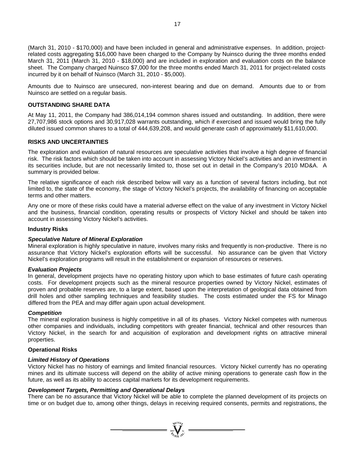(March 31, 2010 - \$170,000) and have been included in general and administrative expenses. In addition, projectrelated costs aggregating \$16,000 have been charged to the Company by Nuinsco during the three months ended March 31, 2011 (March 31, 2010 - \$18,000) and are included in exploration and evaluation costs on the balance sheet. The Company charged Nuinsco \$7,000 for the three months ended March 31, 2011 for project-related costs incurred by it on behalf of Nuinsco (March 31, 2010 - \$5,000).

Amounts due to Nuinsco are unsecured, non-interest bearing and due on demand. Amounts due to or from Nuinsco are settled on a regular basis.

### **OUTSTANDING SHARE DATA**

At May 11, 2011, the Company had 386,014,194 common shares issued and outstanding. In addition, there were 27,707,986 stock options and 30,917,028 warrants outstanding, which if exercised and issued would bring the fully diluted issued common shares to a total of 444,639,208, and would generate cash of approximately \$11,610,000.

### **RISKS AND UNCERTAINTIES**

The exploration and evaluation of natural resources are speculative activities that involve a high degree of financial risk. The risk factors which should be taken into account in assessing Victory Nickel's activities and an investment in its securities include, but are not necessarily limited to, those set out in detail in the Company's 2010 MD&A. A summary is provided below.

The relative significance of each risk described below will vary as a function of several factors including, but not limited to, the state of the economy, the stage of Victory Nickel's projects, the availability of financing on acceptable terms and other matters.

Any one or more of these risks could have a material adverse effect on the value of any investment in Victory Nickel and the business, financial condition, operating results or prospects of Victory Nickel and should be taken into account in assessing Victory Nickel's activities.

#### **Industry Risks**

### *Speculative Nature of Mineral Exploration*

Mineral exploration is highly speculative in nature, involves many risks and frequently is non-productive. There is no assurance that Victory Nickel's exploration efforts will be successful. No assurance can be given that Victory Nickel's exploration programs will result in the establishment or expansion of resources or reserves.

#### *Evaluation Projects*

In general, development projects have no operating history upon which to base estimates of future cash operating costs. For development projects such as the mineral resource properties owned by Victory Nickel, estimates of proven and probable reserves are, to a large extent, based upon the interpretation of geological data obtained from drill holes and other sampling techniques and feasibility studies. The costs estimated under the FS for Minago differed from the PEA and may differ again upon actual development.

#### *Competition*

The mineral exploration business is highly competitive in all of its phases. Victory Nickel competes with numerous other companies and individuals, including competitors with greater financial, technical and other resources than Victory Nickel, in the search for and acquisition of exploration and development rights on attractive mineral properties.

### **Operational Risks**

### *Limited History of Operations*

Victory Nickel has no history of earnings and limited financial resources. Victory Nickel currently has no operating mines and its ultimate success will depend on the ability of active mining operations to generate cash flow in the future, as well as its ability to access capital markets for its development requirements.

### *Development Targets, Permitting and Operational Delays*

There can be no assurance that Victory Nickel will be able to complete the planned development of its projects on time or on budget due to, among other things, delays in receiving required consents, permits and registrations, the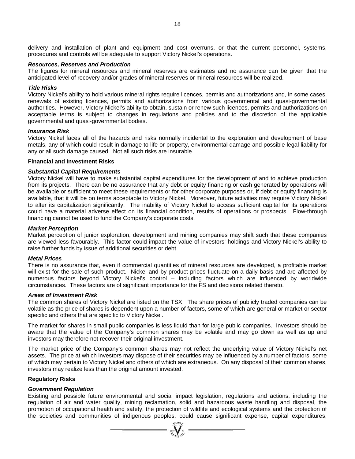delivery and installation of plant and equipment and cost overruns, or that the current personnel, systems, procedures and controls will be adequate to support Victory Nickel's operations.

#### *Resources, Reserves and Production*

The figures for mineral resources and mineral reserves are estimates and no assurance can be given that the anticipated level of recovery and/or grades of mineral reserves or mineral resources will be realized.

#### *Title Risks*

Victory Nickel's ability to hold various mineral rights require licences, permits and authorizations and, in some cases, renewals of existing licences, permits and authorizations from various governmental and quasi-governmental authorities. However, Victory Nickel's ability to obtain, sustain or renew such licences, permits and authorizations on acceptable terms is subject to changes in regulations and policies and to the discretion of the applicable governmental and quasi-governmental bodies.

#### *Insurance Risk*

Victory Nickel faces all of the hazards and risks normally incidental to the exploration and development of base metals, any of which could result in damage to life or property, environmental damage and possible legal liability for any or all such damage caused. Not all such risks are insurable.

#### **Financial and Investment Risks**

#### *Substantial Capital Requirements*

Victory Nickel will have to make substantial capital expenditures for the development of and to achieve production from its projects. There can be no assurance that any debt or equity financing or cash generated by operations will be available or sufficient to meet these requirements or for other corporate purposes or, if debt or equity financing is available, that it will be on terms acceptable to Victory Nickel. Moreover, future activities may require Victory Nickel to alter its capitalization significantly. The inability of Victory Nickel to access sufficient capital for its operations could have a material adverse effect on its financial condition, results of operations or prospects. Flow-through financing cannot be used to fund the Company's corporate costs.

#### *Market Perception*

Market perception of junior exploration, development and mining companies may shift such that these companies are viewed less favourably. This factor could impact the value of investors' holdings and Victory Nickel's ability to raise further funds by issue of additional securities or debt.

#### *Metal Prices*

There is no assurance that, even if commercial quantities of mineral resources are developed, a profitable market will exist for the sale of such product. Nickel and by-product prices fluctuate on a daily basis and are affected by numerous factors beyond Victory Nickel's control – including factors which are influenced by worldwide circumstances. These factors are of significant importance for the FS and decisions related thereto.

#### *Areas of Investment Risk*

The common shares of Victory Nickel are listed on the TSX. The share prices of publicly traded companies can be volatile as the price of shares is dependent upon a number of factors, some of which are general or market or sector specific and others that are specific to Victory Nickel.

The market for shares in small public companies is less liquid than for large public companies. Investors should be aware that the value of the Company's common shares may be volatile and may go down as well as up and investors may therefore not recover their original investment.

The market price of the Company's common shares may not reflect the underlying value of Victory Nickel's net assets. The price at which investors may dispose of their securities may be influenced by a number of factors, some of which may pertain to Victory Nickel and others of which are extraneous. On any disposal of their common shares, investors may realize less than the original amount invested.

#### **Regulatory Risks**

#### *Government Regulation*

Existing and possible future environmental and social impact legislation, regulations and actions, including the regulation of air and water quality, mining reclamation, solid and hazardous waste handling and disposal, the promotion of occupational health and safety, the protection of wildlife and ecological systems and the protection of the societies and communities of indigenous peoples, could cause significant expense, capital expenditures,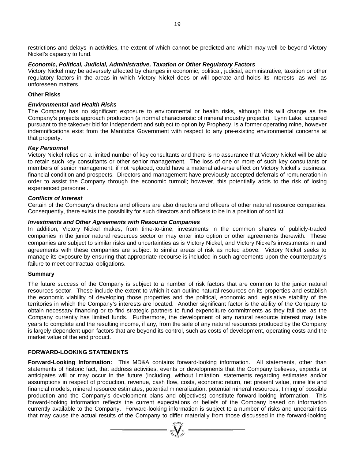restrictions and delays in activities, the extent of which cannot be predicted and which may well be beyond Victory Nickel's capacity to fund.

#### *Economic, Political, Judicial, Administrative, Taxation or Other Regulatory Factors*

Victory Nickel may be adversely affected by changes in economic, political, judicial, administrative, taxation or other regulatory factors in the areas in which Victory Nickel does or will operate and holds its interests, as well as unforeseen matters.

#### **Other Risks**

### *Environmental and Health Risks*

The Company has no significant exposure to environmental or health risks, although this will change as the Company's projects approach production (a normal characteristic of mineral industry projects). Lynn Lake, acquired pursuant to the takeover bid for Independent and subject to option by Prophecy, is a former operating mine, however indemnifications exist from the Manitoba Government with respect to any pre-existing environmental concerns at that property.

#### *Key Personnel*

Victory Nickel relies on a limited number of key consultants and there is no assurance that Victory Nickel will be able to retain such key consultants or other senior management. The loss of one or more of such key consultants or members of senior management, if not replaced, could have a material adverse effect on Victory Nickel's business, financial condition and prospects. Directors and management have previously accepted deferrals of remuneration in order to assist the Company through the economic turmoil; however, this potentially adds to the risk of losing experienced personnel.

#### *Conflicts of Interest*

Certain of the Company's directors and officers are also directors and officers of other natural resource companies. Consequently, there exists the possibility for such directors and officers to be in a position of conflict.

#### *Investments and Other Agreements with Resource Companies*

In addition, Victory Nickel makes, from time-to-time, investments in the common shares of publicly-traded companies in the junior natural resources sector or may enter into option or other agreements therewith. These companies are subject to similar risks and uncertainties as is Victory Nickel, and Victory Nickel's investments in and agreements with these companies are subject to similar areas of risk as noted above. Victory Nickel seeks to manage its exposure by ensuring that appropriate recourse is included in such agreements upon the counterparty's failure to meet contractual obligations.

#### **Summary**

The future success of the Company is subject to a number of risk factors that are common to the junior natural resources sector. These include the extent to which it can outline natural resources on its properties and establish the economic viability of developing those properties and the political, economic and legislative stability of the territories in which the Company's interests are located. Another significant factor is the ability of the Company to obtain necessary financing or to find strategic partners to fund expenditure commitments as they fall due, as the Company currently has limited funds. Furthermore, the development of any natural resource interest may take years to complete and the resulting income, if any, from the sale of any natural resources produced by the Company is largely dependent upon factors that are beyond its control, such as costs of development, operating costs and the market value of the end product.

#### **FORWARD-LOOKING STATEMENTS**

**Forward-Looking Information:** This MD&A contains forward-looking information. All statements, other than statements of historic fact, that address activities, events or developments that the Company believes, expects or anticipates will or may occur in the future (including, without limitation, statements regarding estimates and/or assumptions in respect of production, revenue, cash flow, costs, economic return, net present value, mine life and financial models, mineral resource estimates, potential mineralization, potential mineral resources, timing of possible production and the Company's development plans and objectives) constitute forward-looking information. This forward-looking information reflects the current expectations or beliefs of the Company based on information currently available to the Company. Forward-looking information is subject to a number of risks and uncertainties that may cause the actual results of the Company to differ materially from those discussed in the forward-looking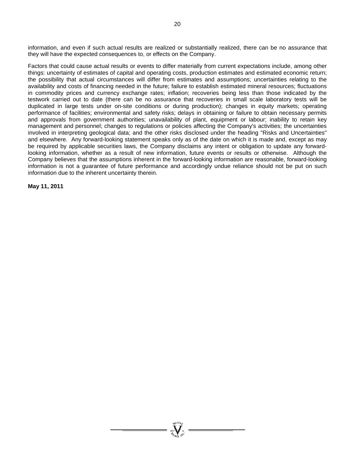information, and even if such actual results are realized or substantially realized, there can be no assurance that they will have the expected consequences to, or effects on the Company.

Factors that could cause actual results or events to differ materially from current expectations include, among other things: uncertainty of estimates of capital and operating costs, production estimates and estimated economic return; the possibility that actual circumstances will differ from estimates and assumptions; uncertainties relating to the availability and costs of financing needed in the future; failure to establish estimated mineral resources; fluctuations in commodity prices and currency exchange rates; inflation; recoveries being less than those indicated by the testwork carried out to date (there can be no assurance that recoveries in small scale laboratory tests will be duplicated in large tests under on-site conditions or during production); changes in equity markets; operating performance of facilities; environmental and safety risks; delays in obtaining or failure to obtain necessary permits and approvals from government authorities; unavailability of plant, equipment or labour; inability to retain key management and personnel; changes to regulations or policies affecting the Company's activities; the uncertainties involved in interpreting geological data; and the other risks disclosed under the heading "Risks and Uncertainties" and elsewhere. Any forward-looking statement speaks only as of the date on which it is made and, except as may be required by applicable securities laws, the Company disclaims any intent or obligation to update any forwardlooking information, whether as a result of new information, future events or results or otherwise. Although the Company believes that the assumptions inherent in the forward-looking information are reasonable, forward-looking information is not a guarantee of future performance and accordingly undue reliance should not be put on such information due to the inherent uncertainty therein.

**May 11, 2011**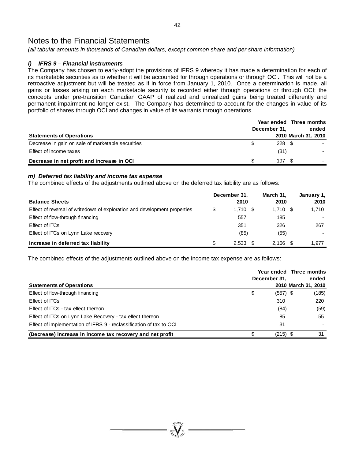*(all tabular amounts in thousands of Canadian dollars, except common share and per share information)* 

# *l) IFRS 9 – Financial instruments*

The Company has chosen to early-adopt the provisions of IFRS 9 whereby it has made a determination for each of its marketable securities as to whether it will be accounted for through operations or through OCI. This will not be a retroactive adjustment but will be treated as if in force from January 1, 2010. Once a determination is made, all gains or losses arising on each marketable security is recorded either through operations or through OCI; the concepts under pre-transition Canadian GAAP of realized and unrealized gains being treated differently and permanent impairment no longer exist. The Company has determined to account for the changes in value of its portfolio of shares through OCI and changes in value of its warrants through operations.

| <b>Statements of Operations</b>                   | December 31.     | Year ended Three months<br>ended<br>2010 March 31, 2010 |
|---------------------------------------------------|------------------|---------------------------------------------------------|
| Decrease in gain on sale of marketable securities | $228 \text{ } $$ |                                                         |
| Effect of income taxes                            | (31)             |                                                         |
| Decrease in net profit and increase in OCI        | 197              |                                                         |

# *m) Deferred tax liability and income tax expense*

The combined effects of the adjustments outlined above on the deferred tax liability are as follows:

| <b>Balance Sheets</b>                                                     | December 31,<br>2010 | March 31.<br>2010 | January 1,<br>2010 |
|---------------------------------------------------------------------------|----------------------|-------------------|--------------------|
| Effect of reversal of writedown of exploration and development properties | \$<br>$1,710$ \$     | $1,710$ \$        | 1,710              |
| Effect of flow-through financing                                          | 557                  | 185               |                    |
| Effect of ITCs                                                            | 351                  | 326               | 267                |
| Effect of ITCs on Lynn Lake recovery                                      | (85)                 | (55)              |                    |
| Increase in deferred tax liability                                        | 2.533                | 2,166             | 1,977              |

The combined effects of the adjustments outlined above on the income tax expense are as follows:

| <b>Statements of Operations</b>                                     | December 31.     | Year ended Three months<br>ended<br>2010 March 31, 2010 |
|---------------------------------------------------------------------|------------------|---------------------------------------------------------|
| Effect of flow-through financing                                    | \$<br>$(557)$ \$ | (185)                                                   |
| Effect of ITCs                                                      | 310              | 220                                                     |
| Effect of ITCs - tax effect thereon                                 | (84)             | (59)                                                    |
| Effect of ITCs on Lynn Lake Recovery - tax effect thereon           | 85               | 55                                                      |
| Effect of implementation of IFRS 9 - reclassification of tax to OCI | 31               |                                                         |
| (Decrease) increase in income tax recovery and net profit           | $(215)$ \$<br>\$ | 31                                                      |